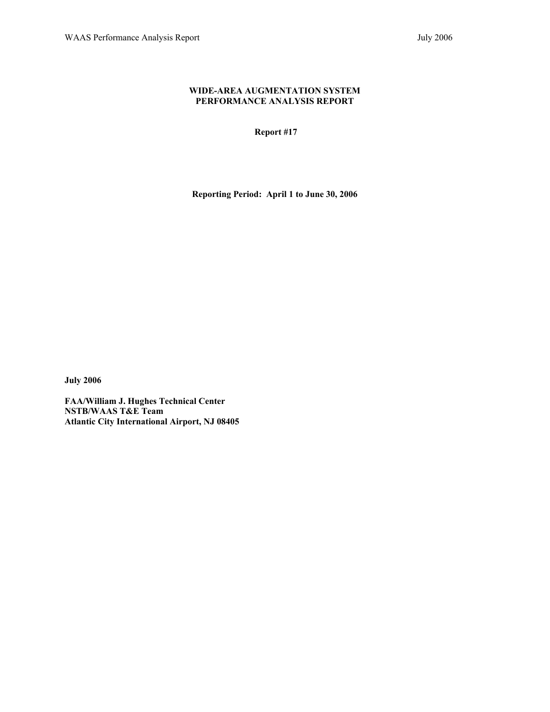#### **WIDE-AREA AUGMENTATION SYSTEM PERFORMANCE ANALYSIS REPORT**

 **Report #17** 

**Reporting Period: April 1 to June 30, 2006** 

**July 2006** 

**FAA/William J. Hughes Technical Center NSTB/WAAS T&E Team Atlantic City International Airport, NJ 08405**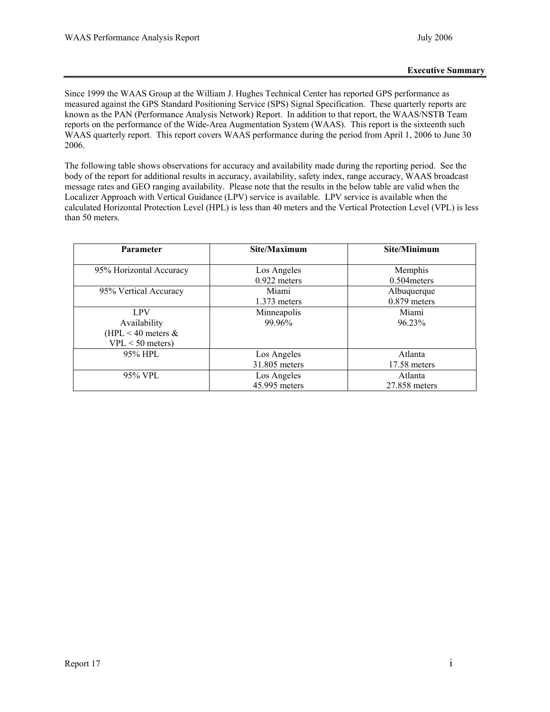Since 1999 the WAAS Group at the William J. Hughes Technical Center has reported GPS performance as measured against the GPS Standard Positioning Service (SPS) Signal Specification. These quarterly reports are known as the PAN (Performance Analysis Network) Report. In addition to that report, the WAAS/NSTB Team reports on the performance of the Wide-Area Augmentation System (WAAS). This report is the sixteenth such WAAS quarterly report. This report covers WAAS performance during the period from April 1, 2006 to June 30 2006.

The following table shows observations for accuracy and availability made during the reporting period. See the body of the report for additional results in accuracy, availability, safety index, range accuracy, WAAS broadcast message rates and GEO ranging availability. Please note that the results in the below table are valid when the Localizer Approach with Vertical Guidance (LPV) service is available. LPV service is available when the calculated Horizontal Protection Level (HPL) is less than 40 meters and the Vertical Protection Level (VPL) is less than 50 meters.

| <b>Parameter</b>        | Site/Maximum   | Site/Minimum   |  |
|-------------------------|----------------|----------------|--|
|                         |                |                |  |
| 95% Horizontal Accuracy | Los Angeles    | Memphis        |  |
|                         | $0.922$ meters | $0.504$ meters |  |
| 95% Vertical Accuracy   | Miami          | Albuquerque    |  |
|                         | $1.373$ meters | $0.879$ meters |  |
| LPV                     | Minneapolis    | Miami          |  |
| Availability            | 99.96%         | 96.23%         |  |
| (HPL $<$ 40 meters $&$  |                |                |  |
| $VPL < 50$ meters)      |                |                |  |
| 95% HPL                 | Los Angeles    | Atlanta        |  |
|                         | 31.805 meters  | 17.58 meters   |  |
| 95% VPL                 | Los Angeles    | Atlanta        |  |
|                         | 45.995 meters  | 27.858 meters  |  |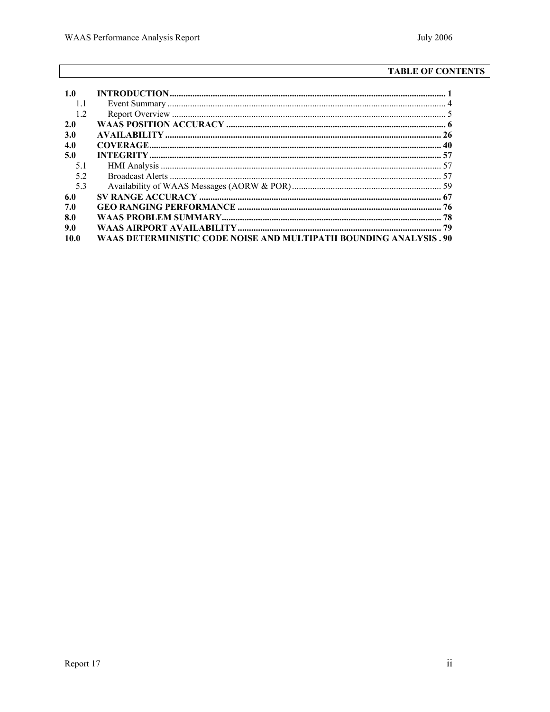# **TABLE OF CONTENTS**

| 1.0  |                                                                    |  |
|------|--------------------------------------------------------------------|--|
| 11   |                                                                    |  |
| 1.2  |                                                                    |  |
| 2.0  |                                                                    |  |
| 3.0  |                                                                    |  |
| 4.0  |                                                                    |  |
| 5.0  |                                                                    |  |
| 51   |                                                                    |  |
| 52   |                                                                    |  |
| 53   |                                                                    |  |
| 6.0  |                                                                    |  |
| 7.0  |                                                                    |  |
| 8.0  |                                                                    |  |
| 9.0  |                                                                    |  |
| 10.0 | WAAS DETERMINISTIC CODE NOISE AND MULTIPATH BOUNDING ANALYSIS . 90 |  |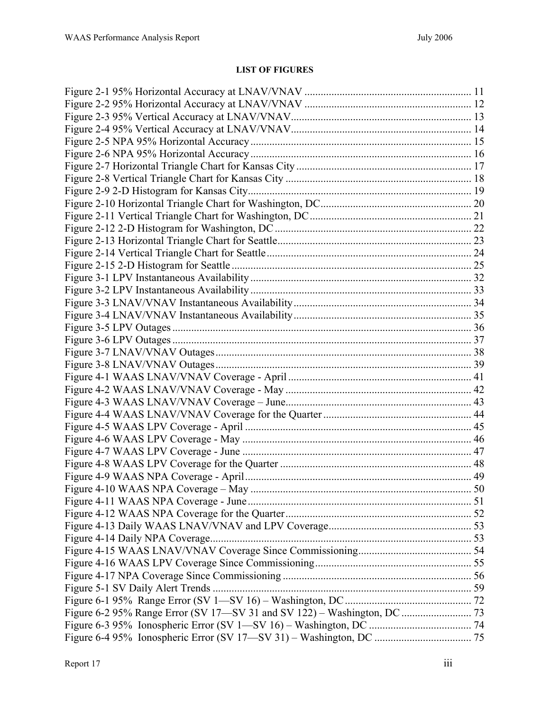# **LIST OF FIGURES**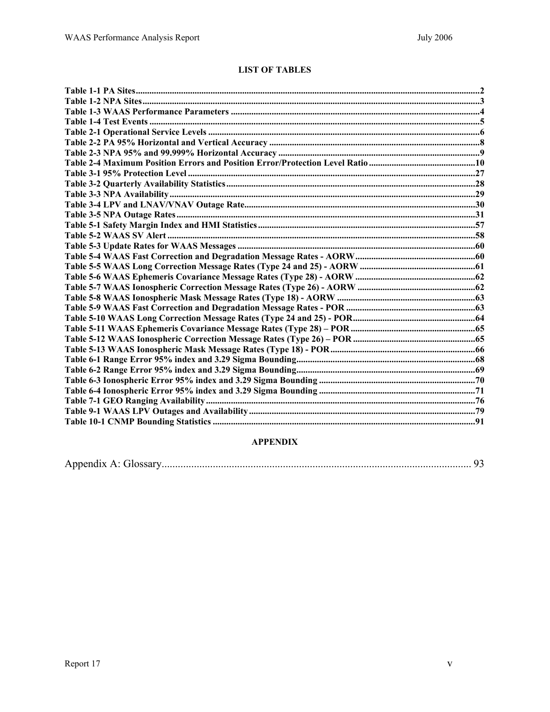## **LIST OF TABLES**

# **APPENDIX**

|--|--|--|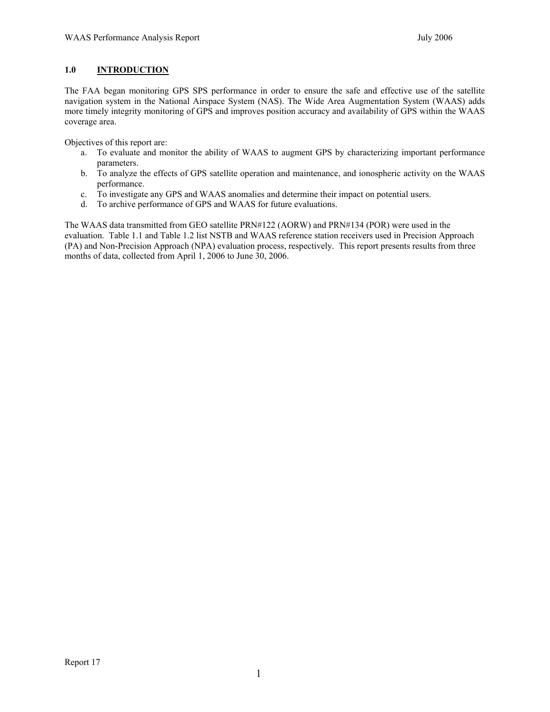## <span id="page-6-0"></span>**1.0 INTRODUCTION**

The FAA began monitoring GPS SPS performance in order to ensure the safe and effective use of the satellite navigation system in the National Airspace System (NAS). The Wide Area Augmentation System (WAAS) adds more timely integrity monitoring of GPS and improves position accuracy and availability of GPS within the WAAS coverage area.

Objectives of this report are:

- a. To evaluate and monitor the ability of WAAS to augment GPS by characterizing important performance parameters.
- b. To analyze the effects of GPS satellite operation and maintenance, and ionospheric activity on the WAAS performance.
- c. To investigate any GPS and WAAS anomalies and determine their impact on potential users.
- d. To archive performance of GPS and WAAS for future evaluations.

The WAAS data transmitted from GEO satellite PRN#122 (AORW) and PRN#134 (POR) were used in the evaluation. Table 1.1 and Table 1.2 list NSTB and WAAS reference station receivers used in Precision Approach (PA) and Non-Precision Approach (NPA) evaluation process, respectively. This report presents results from three months of data, collected from April 1, 2006 to June 30, 2006.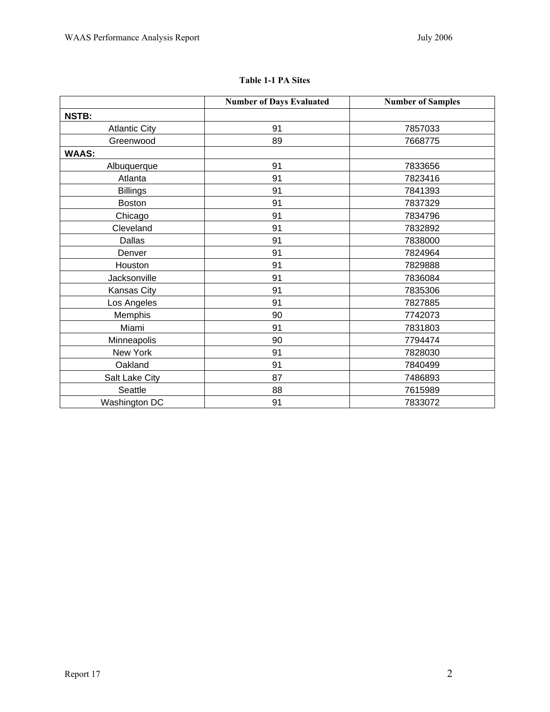|                      | <b>Number of Days Evaluated</b> | <b>Number of Samples</b> |
|----------------------|---------------------------------|--------------------------|
| <b>NSTB:</b>         |                                 |                          |
| <b>Atlantic City</b> | 91                              | 7857033                  |
| Greenwood            | 89                              | 7668775                  |
| <b>WAAS:</b>         |                                 |                          |
| Albuquerque          | 91                              | 7833656                  |
| Atlanta              | 91                              | 7823416                  |
| <b>Billings</b>      | 91                              | 7841393                  |
| <b>Boston</b>        | 91                              | 7837329                  |
| Chicago              | 91                              | 7834796                  |
| Cleveland            | 91                              | 7832892                  |
| Dallas               | 91                              | 7838000                  |
| Denver               | 91                              | 7824964                  |
| Houston              | 91                              | 7829888                  |
| Jacksonville         | 91                              | 7836084                  |
| Kansas City          | 91                              | 7835306                  |
| Los Angeles          | 91                              | 7827885                  |
| Memphis              | 90                              | 7742073                  |
| Miami                | 91                              | 7831803                  |
| Minneapolis          | 90                              | 7794474                  |
| New York             | 91                              | 7828030                  |
| Oakland              | 91                              | 7840499                  |
| Salt Lake City       | 87                              | 7486893                  |
| Seattle              | 88                              | 7615989                  |
| Washington DC        | 91                              | 7833072                  |

## **Table 1-1 PA Sites**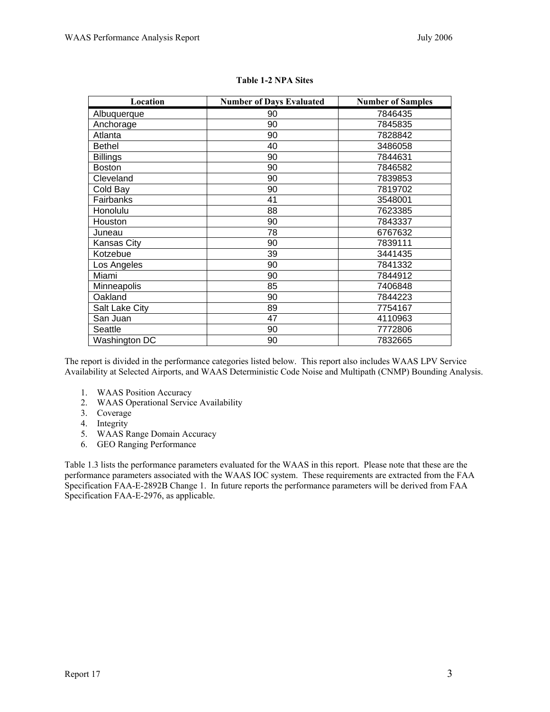| Location<br><b>Number of Days Evaluated</b> |    | <b>Number of Samples</b> |
|---------------------------------------------|----|--------------------------|
| Albuquerque                                 | 90 | 7846435                  |
| Anchorage                                   | 90 | 7845835                  |
| Atlanta                                     | 90 | 7828842                  |
| <b>Bethel</b>                               | 40 | 3486058                  |
| <b>Billings</b>                             | 90 | 7844631                  |
| <b>Boston</b>                               | 90 | 7846582                  |
| Cleveland                                   | 90 | 7839853                  |
| Cold Bay                                    | 90 | 7819702                  |
| Fairbanks                                   | 41 | 3548001                  |
| Honolulu                                    | 88 | 7623385                  |
| Houston                                     | 90 | 7843337                  |
| Juneau                                      | 78 | 6767632                  |
| Kansas City                                 | 90 | 7839111                  |
| Kotzebue                                    | 39 | 3441435                  |
| Los Angeles                                 | 90 | 7841332                  |
| Miami                                       | 90 | 7844912                  |
| Minneapolis                                 | 85 | 7406848                  |
| Oakland                                     | 90 | 7844223                  |
| Salt Lake City                              | 89 | 7754167                  |
| San Juan                                    | 47 | 4110963                  |
| Seattle                                     | 90 | 7772806                  |
| Washington DC                               | 90 | 7832665                  |

| <b>Table 1-2 NPA Sites</b> |  |  |
|----------------------------|--|--|
|                            |  |  |

The report is divided in the performance categories listed below. This report also includes WAAS LPV Service Availability at Selected Airports, and WAAS Deterministic Code Noise and Multipath (CNMP) Bounding Analysis.

- 1. WAAS Position Accuracy
- 2. WAAS Operational Service Availability
- 3. Coverage
- 4. Integrity
- 5. WAAS Range Domain Accuracy
- 6. GEO Ranging Performance

Table 1.3 lists the performance parameters evaluated for the WAAS in this report. Please note that these are the performance parameters associated with the WAAS IOC system. These requirements are extracted from the FAA Specification FAA-E-2892B Change 1. In future reports the performance parameters will be derived from FAA Specification FAA-E-2976, as applicable.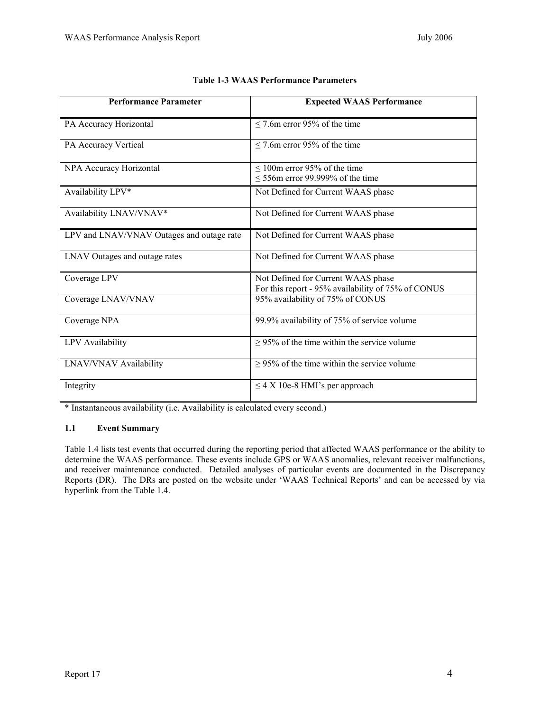<span id="page-9-0"></span>

| <b>Performance Parameter</b>              | <b>Expected WAAS Performance</b>                                                         |
|-------------------------------------------|------------------------------------------------------------------------------------------|
| PA Accuracy Horizontal                    | $\leq$ 7.6m error 95% of the time                                                        |
| PA Accuracy Vertical                      | $\leq$ 7.6m error 95% of the time                                                        |
| NPA Accuracy Horizontal                   | $\leq 100$ m error 95% of the time<br>$\leq$ 556m error 99.999% of the time              |
| Availability LPV*                         | Not Defined for Current WAAS phase                                                       |
| Availability LNAV/VNAV*                   | Not Defined for Current WAAS phase                                                       |
| LPV and LNAV/VNAV Outages and outage rate | Not Defined for Current WAAS phase                                                       |
| LNAV Outages and outage rates             | Not Defined for Current WAAS phase                                                       |
| Coverage LPV                              | Not Defined for Current WAAS phase<br>For this report - 95% availability of 75% of CONUS |
| Coverage LNAV/VNAV                        | 95% availability of 75% of CONUS                                                         |
| Coverage NPA                              | 99.9% availability of 75% of service volume                                              |
| LPV Availability                          | $\geq$ 95% of the time within the service volume                                         |
| LNAV/VNAV Availability                    | $\geq$ 95% of the time within the service volume                                         |
| Integrity                                 | $\leq$ 4 X 10e-8 HMI's per approach                                                      |

| <b>Table 1-3 WAAS Performance Parameters</b> |
|----------------------------------------------|
|----------------------------------------------|

\* Instantaneous availability (i.e. Availability is calculated every second.)

### **1.1 Event Summary**

Table 1.4 lists test events that occurred during the reporting period that affected WAAS performance or the ability to determine the WAAS performance. These events include GPS or WAAS anomalies, relevant receiver malfunctions, and receiver maintenance conducted. Detailed analyses of particular events are documented in the Discrepancy Reports (DR). The DRs are posted on the website under 'WAAS Technical Reports' and can be accessed by via hyperlink from the Table 1.4.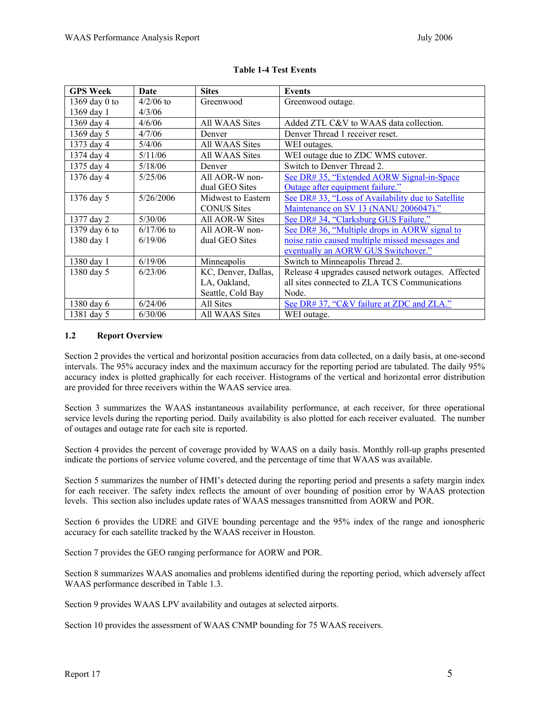<span id="page-10-0"></span>

| <b>GPS Week</b> | Date         | <b>Sites</b>        | <b>Events</b>                                       |
|-----------------|--------------|---------------------|-----------------------------------------------------|
| 1369 day 0 to   | $4/2/06$ to  | Greenwood           | Greenwood outage.                                   |
| 1369 day 1      | 4/3/06       |                     |                                                     |
| 1369 day 4      | 4/6/06       | All WAAS Sites      | Added ZTL C&V to WAAS data collection.              |
| 1369 day 5      | 4/7/06       | Denver              | Denver Thread 1 receiver reset.                     |
| 1373 day 4      | 5/4/06       | All WAAS Sites      | WEI outages.                                        |
| 1374 day 4      | 5/11/06      | All WAAS Sites      | WEI outage due to ZDC WMS cutover.                  |
| 1375 day 4      | 5/18/06      | Denver              | Switch to Denver Thread 2.                          |
| 1376 day 4      | 5/25/06      | All AOR-W non-      | See DR# 35, "Extended AORW Signal-in-Space          |
|                 |              | dual GEO Sites      | Outage after equipment failure."                    |
| 1376 day 5      | 5/26/2006    | Midwest to Eastern  | See DR# 33, "Loss of Availability due to Satellite  |
|                 |              | <b>CONUS Sites</b>  | Maintenance on SV 13 (NANU 2006047)."               |
| 1377 day 2      | 5/30/06      | All AOR-W Sites     | See DR# 34, "Clarksburg GUS Failure."               |
| 1379 day 6 to   | $6/17/06$ to | All AOR-W non-      | See DR# 36, "Multiple drops in AORW signal to       |
| 1380 day 1      | 6/19/06      | dual GEO Sites      | noise ratio caused multiple missed messages and     |
|                 |              |                     | eventually an AORW GUS Switchover."                 |
| 1380 day 1      | 6/19/06      | Minneapolis         | Switch to Minneapolis Thread 2.                     |
| 1380 day 5      | 6/23/06      | KC, Denver, Dallas, | Release 4 upgrades caused network outages. Affected |
|                 |              | LA, Oakland,        | all sites connected to ZLA TCS Communications       |
|                 |              | Seattle, Cold Bay   | Node.                                               |
| 1380 day 6      | 6/24/06      | All Sites           | See DR# 37, "C&V failure at ZDC and ZLA."           |
| 1381 day 5      | 6/30/06      | All WAAS Sites      | WEI outage.                                         |

### **Table 1-4 Test Events**

#### **1.2 Report Overview**

Section 2 provides the vertical and horizontal position accuracies from data collected, on a daily basis, at one-second intervals. The 95% accuracy index and the maximum accuracy for the reporting period are tabulated. The daily 95% accuracy index is plotted graphically for each receiver. Histograms of the vertical and horizontal error distribution are provided for three receivers within the WAAS service area.

Section 3 summarizes the WAAS instantaneous availability performance, at each receiver, for three operational service levels during the reporting period. Daily availability is also plotted for each receiver evaluated. The number of outages and outage rate for each site is reported.

Section 4 provides the percent of coverage provided by WAAS on a daily basis. Monthly roll-up graphs presented indicate the portions of service volume covered, and the percentage of time that WAAS was available.

Section 5 summarizes the number of HMI's detected during the reporting period and presents a safety margin index for each receiver. The safety index reflects the amount of over bounding of position error by WAAS protection levels. This section also includes update rates of WAAS messages transmitted from AORW and POR.

Section 6 provides the UDRE and GIVE bounding percentage and the 95% index of the range and ionospheric accuracy for each satellite tracked by the WAAS receiver in Houston.

Section 7 provides the GEO ranging performance for AORW and POR.

Section 8 summarizes WAAS anomalies and problems identified during the reporting period, which adversely affect WAAS performance described in Table 1.3.

Section 9 provides WAAS LPV availability and outages at selected airports.

Section 10 provides the assessment of WAAS CNMP bounding for 75 WAAS receivers.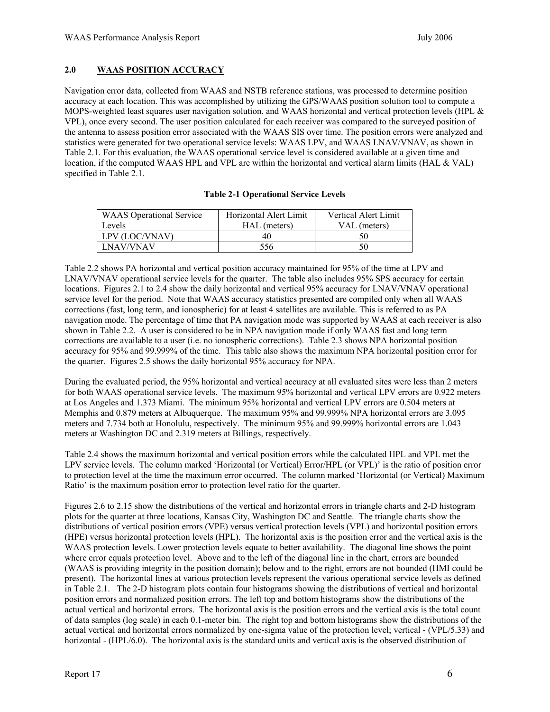## <span id="page-11-0"></span>**2.0 WAAS POSITION ACCURACY**

Navigation error data, collected from WAAS and NSTB reference stations, was processed to determine position accuracy at each location. This was accomplished by utilizing the GPS/WAAS position solution tool to compute a MOPS-weighted least squares user navigation solution, and WAAS horizontal and vertical protection levels (HPL & VPL), once every second. The user position calculated for each receiver was compared to the surveyed position of the antenna to assess position error associated with the WAAS SIS over time. The position errors were analyzed and statistics were generated for two operational service levels: WAAS LPV, and WAAS LNAV/VNAV, as shown in Table 2.1. For this evaluation, the WAAS operational service level is considered available at a given time and location, if the computed WAAS HPL and VPL are within the horizontal and vertical alarm limits (HAL & VAL) specified in Table 2.1.

| <b>WAAS</b> Operational Service | Horizontal Alert Limit | <b>Vertical Alert Limit</b> |
|---------------------------------|------------------------|-----------------------------|
| Levels                          | HAL (meters)           | VAL (meters)                |
| LPV (LOC/VNAV)                  | 40                     | 50                          |
| LNAV/VNAV                       | 556                    | 50                          |

#### **Table 2-1 Operational Service Levels**

Table 2.2 shows PA horizontal and vertical position accuracy maintained for 95% of the time at LPV and LNAV/VNAV operational service levels for the quarter. The table also includes 95% SPS accuracy for certain locations. Figures 2.1 to 2.4 show the daily horizontal and vertical 95% accuracy for LNAV/VNAV operational service level for the period. Note that WAAS accuracy statistics presented are compiled only when all WAAS corrections (fast, long term, and ionospheric) for at least 4 satellites are available. This is referred to as PA navigation mode. The percentage of time that PA navigation mode was supported by WAAS at each receiver is also shown in Table 2.2. A user is considered to be in NPA navigation mode if only WAAS fast and long term corrections are available to a user (i.e. no ionospheric corrections). Table 2.3 shows NPA horizontal position accuracy for 95% and 99.999% of the time. This table also shows the maximum NPA horizontal position error for the quarter. Figures 2.5 shows the daily horizontal 95% accuracy for NPA.

During the evaluated period, the 95% horizontal and vertical accuracy at all evaluated sites were less than 2 meters for both WAAS operational service levels. The maximum 95% horizontal and vertical LPV errors are 0.922 meters at Los Angeles and 1.373 Miami. The minimum 95% horizontal and vertical LPV errors are 0.504 meters at Memphis and 0.879 meters at Albuquerque. The maximum 95% and 99.999% NPA horizontal errors are 3.095 meters and 7.734 both at Honolulu, respectively. The minimum 95% and 99.999% horizontal errors are 1.043 meters at Washington DC and 2.319 meters at Billings, respectively.

Table 2.4 shows the maximum horizontal and vertical position errors while the calculated HPL and VPL met the LPV service levels. The column marked 'Horizontal (or Vertical) Error/HPL (or VPL)' is the ratio of position error to protection level at the time the maximum error occurred. The column marked 'Horizontal (or Vertical) Maximum Ratio' is the maximum position error to protection level ratio for the quarter.

Figures 2.6 to 2.15 show the distributions of the vertical and horizontal errors in triangle charts and 2-D histogram plots for the quarter at three locations, Kansas City, Washington DC and Seattle. The triangle charts show the distributions of vertical position errors (VPE) versus vertical protection levels (VPL) and horizontal position errors (HPE) versus horizontal protection levels (HPL). The horizontal axis is the position error and the vertical axis is the WAAS protection levels. Lower protection levels equate to better availability. The diagonal line shows the point where error equals protection level. Above and to the left of the diagonal line in the chart, errors are bounded (WAAS is providing integrity in the position domain); below and to the right, errors are not bounded (HMI could be present). The horizontal lines at various protection levels represent the various operational service levels as defined in Table 2.1. The 2-D histogram plots contain four histograms showing the distributions of vertical and horizontal position errors and normalized position errors. The left top and bottom histograms show the distributions of the actual vertical and horizontal errors. The horizontal axis is the position errors and the vertical axis is the total count of data samples (log scale) in each 0.1-meter bin. The right top and bottom histograms show the distributions of the actual vertical and horizontal errors normalized by one-sigma value of the protection level; vertical - (VPL/5.33) and horizontal - (HPL/6.0). The horizontal axis is the standard units and vertical axis is the observed distribution of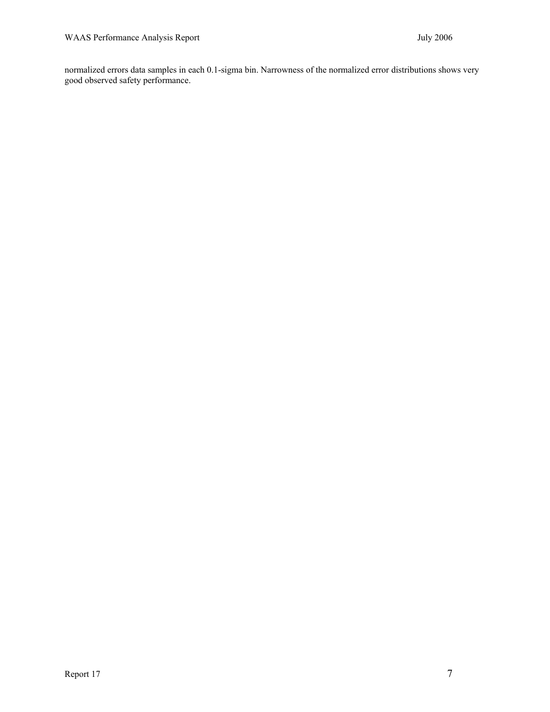normalized errors data samples in each 0.1-sigma bin. Narrowness of the normalized error distributions shows very good observed safety performance.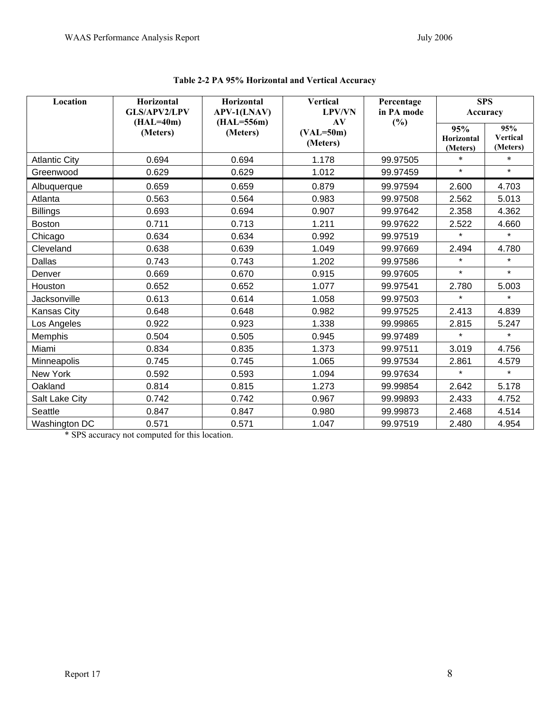| Location             | Horizontal<br><b>GLS/APV2/LPV</b><br>$(HAL=40m)$ | Horizontal<br><b>APV-1(LNAV)</b> | <b>Vertical</b><br><b>LPV/VN</b><br>AV | Percentage<br>in PA mode | <b>SPS</b><br>Accuracy        |                                    |
|----------------------|--------------------------------------------------|----------------------------------|----------------------------------------|--------------------------|-------------------------------|------------------------------------|
|                      | (Meters)                                         | $(HAL=556m)$<br>(Meters)         | $(VAL=50m)$<br>(Meters)                | (%)                      | 95%<br>Horizontal<br>(Meters) | 95%<br><b>Vertical</b><br>(Meters) |
| <b>Atlantic City</b> | 0.694                                            | 0.694                            | 1.178                                  | 99.97505                 | $\ast$                        | $\ast$                             |
| Greenwood            | 0.629                                            | 0.629                            | 1.012                                  | 99.97459                 | $\star$                       | $\star$                            |
| Albuquerque          | 0.659                                            | 0.659                            | 0.879                                  | 99.97594                 | 2.600                         | 4.703                              |
| Atlanta              | 0.563                                            | 0.564                            | 0.983                                  | 99.97508                 | 2.562                         | 5.013                              |
| <b>Billings</b>      | 0.693                                            | 0.694                            | 0.907                                  | 99.97642                 | 2.358                         | 4.362                              |
| <b>Boston</b>        | 0.711                                            | 0.713                            | 1.211                                  | 99.97622                 | 2.522                         | 4.660                              |
| Chicago              | 0.634                                            | 0.634                            | 0.992                                  | 99.97519                 | $\star$                       | $\star$                            |
| Cleveland            | 0.638                                            | 0.639                            | 1.049                                  | 99.97669                 | 2.494                         | 4.780                              |
| Dallas               | 0.743                                            | 0.743                            | 1.202                                  | 99.97586                 | $\star$                       | $\star$                            |
| Denver               | 0.669                                            | 0.670                            | 0.915                                  | 99.97605                 | $\star$                       | $\star$                            |
| Houston              | 0.652                                            | 0.652                            | 1.077                                  | 99.97541                 | 2.780                         | 5.003                              |
| Jacksonville         | 0.613                                            | 0.614                            | 1.058                                  | 99.97503                 | $\star$                       | $\star$                            |
| <b>Kansas City</b>   | 0.648                                            | 0.648                            | 0.982                                  | 99.97525                 | 2.413                         | 4.839                              |
| Los Angeles          | 0.922                                            | 0.923                            | 1.338                                  | 99.99865                 | 2.815                         | 5.247                              |
| Memphis              | 0.504                                            | 0.505                            | 0.945                                  | 99.97489                 | $\star$                       | $\star$                            |
| Miami                | 0.834                                            | 0.835                            | 1.373                                  | 99.97511                 | 3.019                         | 4.756                              |
| Minneapolis          | 0.745                                            | 0.745                            | 1.065                                  | 99.97534                 | 2.861                         | 4.579                              |
| New York             | 0.592                                            | 0.593                            | 1.094                                  | 99.97634                 | $\star$                       | $\star$                            |
| Oakland              | 0.814                                            | 0.815                            | 1.273                                  | 99.99854                 | 2.642                         | 5.178                              |
| Salt Lake City       | 0.742                                            | 0.742                            | 0.967                                  | 99.99893                 | 2.433                         | 4.752                              |
| Seattle              | 0.847                                            | 0.847                            | 0.980                                  | 99.99873                 | 2.468                         | 4.514                              |
| Washington DC        | 0.571                                            | 0.571                            | 1.047                                  | 99.97519                 | 2.480                         | 4.954                              |

**Table 2-2 PA 95% Horizontal and Vertical Accuracy** 

\* SPS accuracy not computed for this location.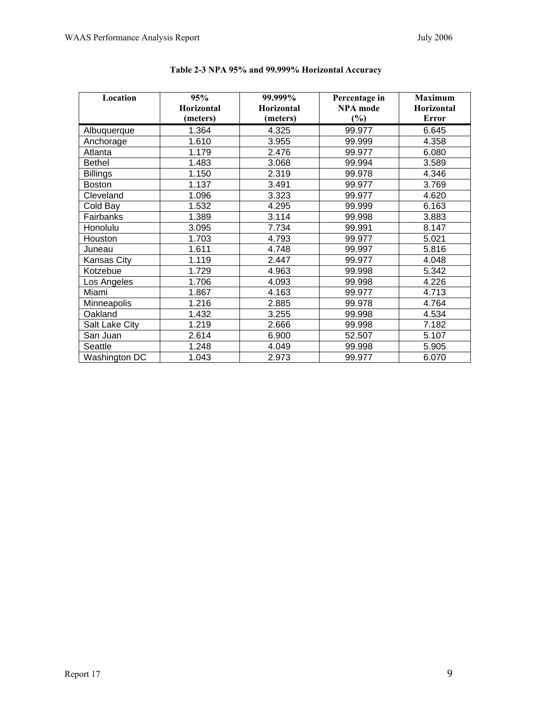| Location        | 95%        | 99.999%    | Percentage in   | <b>Maximum</b> |
|-----------------|------------|------------|-----------------|----------------|
|                 | Horizontal | Horizontal | <b>NPA</b> mode | Horizontal     |
|                 | (meters)   | (meters)   | (%)             | <b>Error</b>   |
| Albuquerque     | 1.364      | 4.325      | 99.977          | 6.645          |
| Anchorage       | 1.610      | 3.955      | 99.999          | 4.358          |
| Atlanta         | 1.179      | 2.476      | 99.977          | 6.080          |
| <b>Bethel</b>   | 1.483      | 3.068      | 99.994          | 3.589          |
| <b>Billings</b> | 1.150      | 2.319      | 99.978          | 4.346          |
| <b>Boston</b>   | 1.137      | 3.491      | 99.977          | 3.769          |
| Cleveland       | 1.096      | 3.323      | 99.977          | 4.620          |
| Cold Bay        | 1.532      | 4.295      | 99.999          | 6.163          |
| Fairbanks       | 1.389      | 3.114      | 99.998          | 3.883          |
| Honolulu        | 3.095      | 7.734      | 99.991          | 8.147          |
| Houston         | 1.703      | 4.793      | 99.977          | 5.021          |
| Juneau          | 1.611      | 4.748      | 99.997          | 5.816          |
| Kansas City     | 1.119      | 2.447      | 99.977          | 4.048          |
| Kotzebue        | 1.729      | 4.963      | 99.998          | 5.342          |
| Los Angeles     | 1.706      | 4.093      | 99.998          | 4.226          |
| Miami           | 1.867      | 4.163      | 99.977          | 4.713          |
| Minneapolis     | 1.216      | 2.885      | 99.978          | 4.764          |
| Oakland         | 1.432      | 3.255      | 99.998          | 4.534          |
| Salt Lake City  | 1.219      | 2.666      | 99.998          | 7.182          |
| San Juan        | 2.614      | 6.900      | 52.507          | 5.107          |
| Seattle         | 1.248      | 4.049      | 99.998          | 5.905          |
| Washington DC   | 1.043      | 2.973      | 99.977          | 6.070          |

| Table 2-3 NPA 95% and 99.999% Horizontal Accuracy |  |  |  |  |
|---------------------------------------------------|--|--|--|--|
|---------------------------------------------------|--|--|--|--|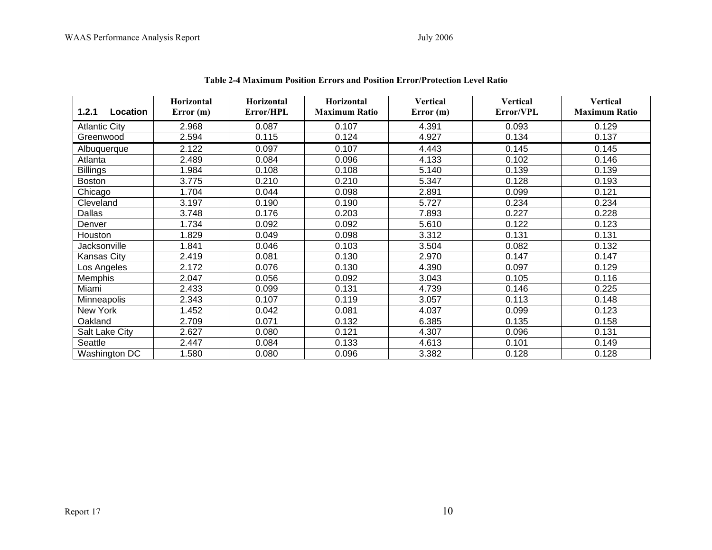| Location<br>1.2.1    | Horizontal<br>Error(m) | Horizontal<br>Error/HPL | Horizontal<br><b>Maximum Ratio</b> | <b>Vertical</b><br>Error(m) | <b>Vertical</b><br>Error/VPL | <b>Vertical</b><br><b>Maximum Ratio</b> |
|----------------------|------------------------|-------------------------|------------------------------------|-----------------------------|------------------------------|-----------------------------------------|
| <b>Atlantic City</b> | 2.968                  | 0.087                   | 0.107                              | 4.391                       | 0.093                        | 0.129                                   |
| Greenwood            | 2.594                  | 0.115                   | 0.124                              | 4.927                       | 0.134                        | 0.137                                   |
| Albuquerque          | 2.122                  | 0.097                   | 0.107                              | 4.443                       | 0.145                        | 0.145                                   |
| Atlanta              | 2.489                  | 0.084                   | 0.096                              | 4.133                       | 0.102                        | 0.146                                   |
| <b>Billings</b>      | 1.984                  | 0.108                   | 0.108                              | 5.140                       | 0.139                        | 0.139                                   |
| <b>Boston</b>        | 3.775                  | 0.210                   | 0.210                              | 5.347                       | 0.128                        | 0.193                                   |
| Chicago              | 1.704                  | 0.044                   | 0.098                              | 2.891                       | 0.099                        | 0.121                                   |
| Cleveland            | 3.197                  | 0.190                   | 0.190                              | 5.727                       | 0.234                        | 0.234                                   |
| Dallas               | 3.748                  | 0.176                   | 0.203                              | 7.893                       | 0.227                        | 0.228                                   |
| Denver               | 1.734                  | 0.092                   | 0.092                              | 5.610                       | 0.122                        | 0.123                                   |
| Houston              | 1.829                  | 0.049                   | 0.098                              | 3.312                       | 0.131                        | 0.131                                   |
| Jacksonville         | 1.841                  | 0.046                   | 0.103                              | 3.504                       | 0.082                        | 0.132                                   |
| <b>Kansas City</b>   | 2.419                  | 0.081                   | 0.130                              | 2.970                       | 0.147                        | 0.147                                   |
| Los Angeles          | 2.172                  | 0.076                   | 0.130                              | 4.390                       | 0.097                        | 0.129                                   |
| Memphis              | 2.047                  | 0.056                   | 0.092                              | 3.043                       | 0.105                        | 0.116                                   |
| Miami                | 2.433                  | 0.099                   | 0.131                              | 4.739                       | 0.146                        | 0.225                                   |
| <b>Minneapolis</b>   | 2.343                  | 0.107                   | 0.119                              | 3.057                       | 0.113                        | 0.148                                   |
| New York             | 1.452                  | 0.042                   | 0.081                              | 4.037                       | 0.099                        | 0.123                                   |
| Oakland              | 2.709                  | 0.071                   | 0.132                              | 6.385                       | 0.135                        | 0.158                                   |
| Salt Lake City       | 2.627                  | 0.080                   | 0.121                              | 4.307                       | 0.096                        | 0.131                                   |
| Seattle              | 2.447                  | 0.084                   | 0.133                              | 4.613                       | 0.101                        | 0.149                                   |
| Washington DC        | 1.580                  | 0.080                   | 0.096                              | 3.382                       | 0.128                        | 0.128                                   |

#### **Table 2-4 Maximum Position Errors and Position Error/Protection Level Ratio**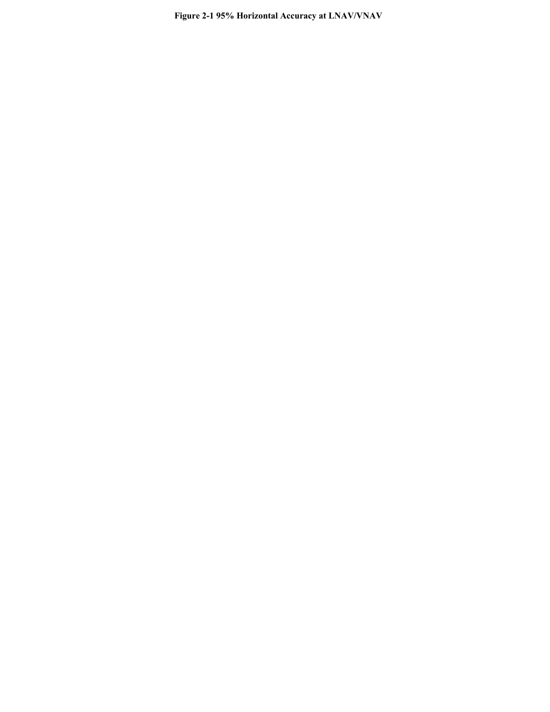Figure 2-1 95% Horizontal Accuracy at LNAV/VNAV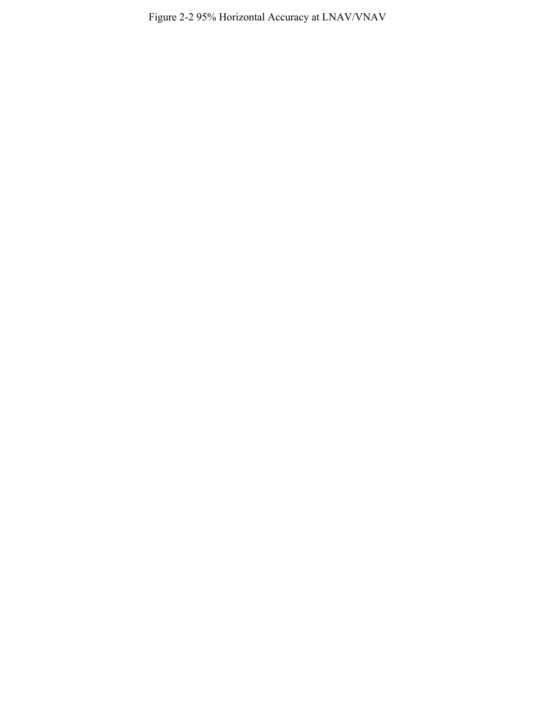Figure 2-2 95% Horizontal Accuracy at LNAV/VNAV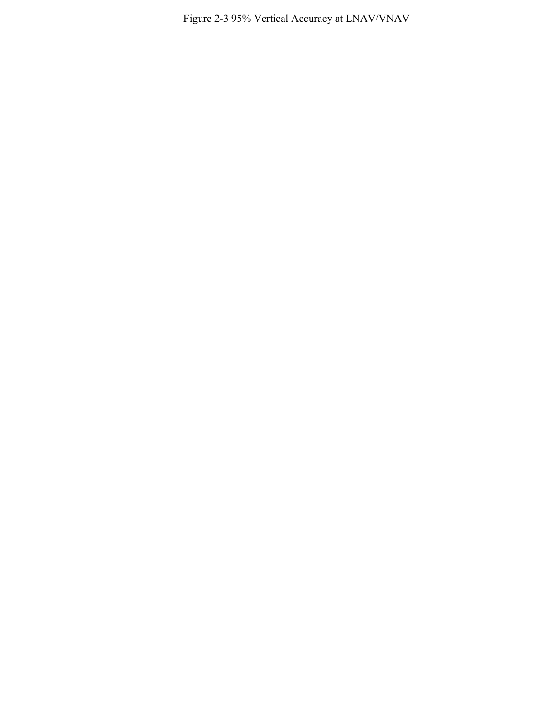Figure 2-3 95% Vertical Accuracy at LNAV/VNAV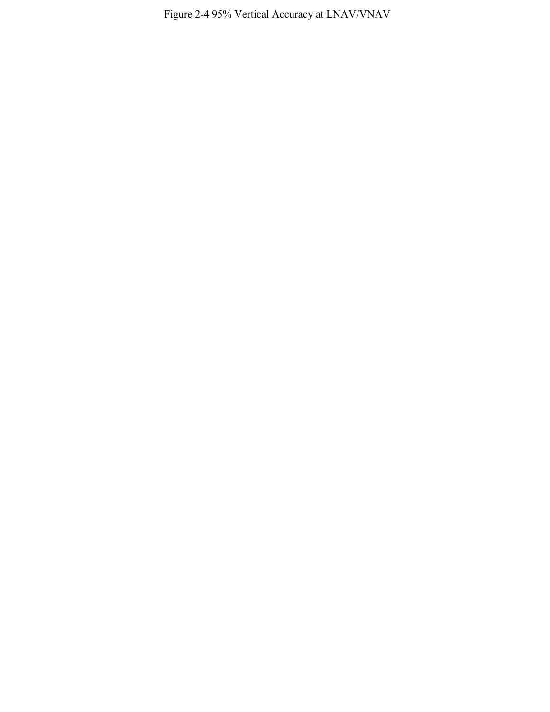Figure 2-4 95% Vertical Accuracy at LNAV/VNAV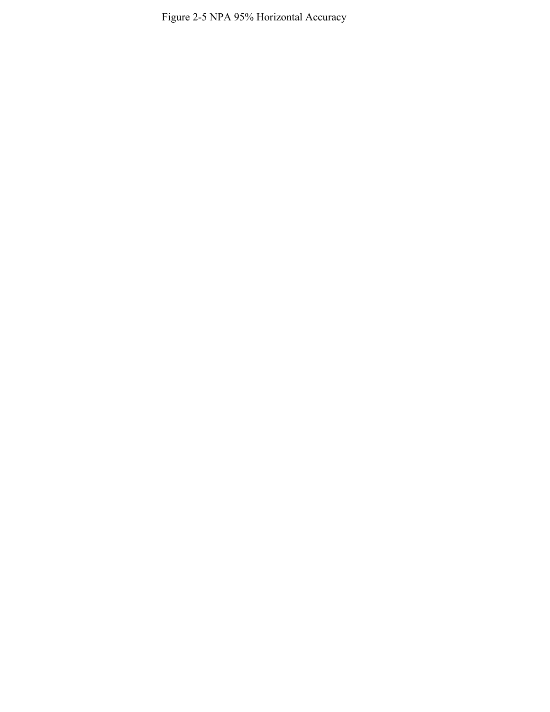Figure 2-5 NPA 95% Horizontal Accuracy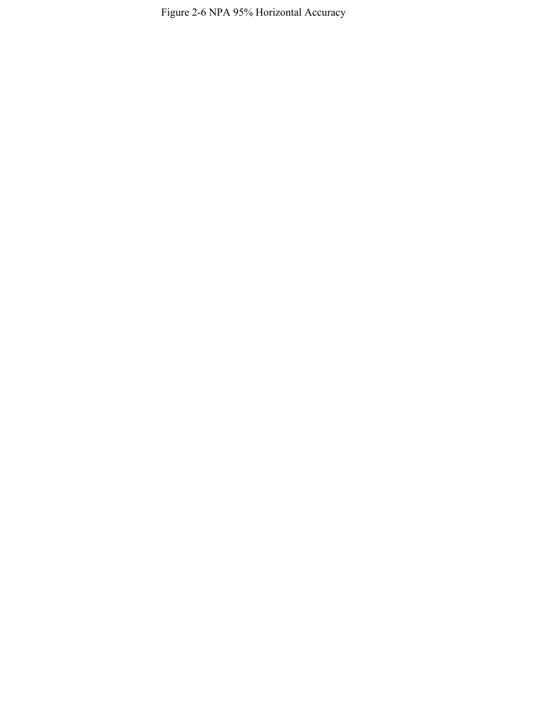Figure 2-6 NPA 95% Horizontal Accuracy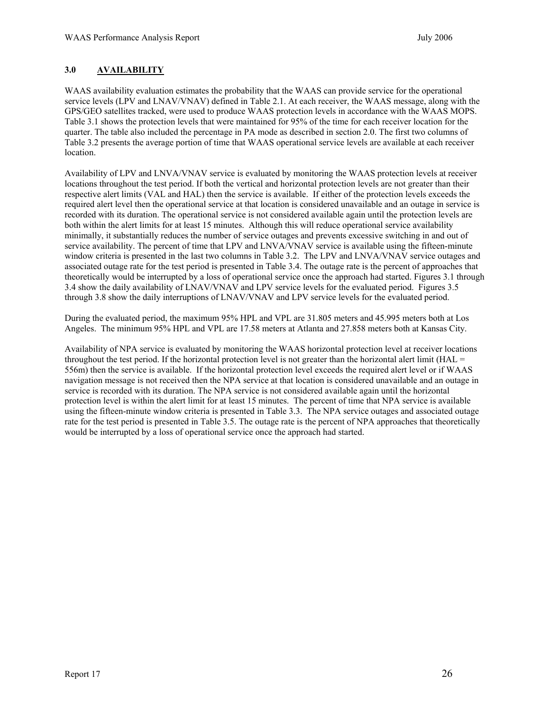## <span id="page-31-0"></span>**3.0 AVAILABILITY**

WAAS availability evaluation estimates the probability that the WAAS can provide service for the operational service levels (LPV and LNAV/VNAV) defined in Table 2.1. At each receiver, the WAAS message, along with the GPS/GEO satellites tracked, were used to produce WAAS protection levels in accordance with the WAAS MOPS. Table 3.1 shows the protection levels that were maintained for 95% of the time for each receiver location for the quarter. The table also included the percentage in PA mode as described in section 2.0. The first two columns of Table 3.2 presents the average portion of time that WAAS operational service levels are available at each receiver location.

Availability of LPV and LNVA/VNAV service is evaluated by monitoring the WAAS protection levels at receiver locations throughout the test period. If both the vertical and horizontal protection levels are not greater than their respective alert limits (VAL and HAL) then the service is available. If either of the protection levels exceeds the required alert level then the operational service at that location is considered unavailable and an outage in service is recorded with its duration. The operational service is not considered available again until the protection levels are both within the alert limits for at least 15 minutes. Although this will reduce operational service availability minimally, it substantially reduces the number of service outages and prevents excessive switching in and out of service availability. The percent of time that LPV and LNVA/VNAV service is available using the fifteen-minute window criteria is presented in the last two columns in Table 3.2. The LPV and LNVA/VNAV service outages and associated outage rate for the test period is presented in Table 3.4. The outage rate is the percent of approaches that theoretically would be interrupted by a loss of operational service once the approach had started. Figures 3.1 through 3.4 show the daily availability of LNAV/VNAV and LPV service levels for the evaluated period. Figures 3.5 through 3.8 show the daily interruptions of LNAV/VNAV and LPV service levels for the evaluated period.

During the evaluated period, the maximum 95% HPL and VPL are 31.805 meters and 45.995 meters both at Los Angeles. The minimum 95% HPL and VPL are 17.58 meters at Atlanta and 27.858 meters both at Kansas City.

Availability of NPA service is evaluated by monitoring the WAAS horizontal protection level at receiver locations throughout the test period. If the horizontal protection level is not greater than the horizontal alert limit (HAL  $=$ 556m) then the service is available. If the horizontal protection level exceeds the required alert level or if WAAS navigation message is not received then the NPA service at that location is considered unavailable and an outage in service is recorded with its duration. The NPA service is not considered available again until the horizontal protection level is within the alert limit for at least 15 minutes. The percent of time that NPA service is available using the fifteen-minute window criteria is presented in Table 3.3. The NPA service outages and associated outage rate for the test period is presented in Table 3.5. The outage rate is the percent of NPA approaches that theoretically would be interrupted by a loss of operational service once the approach had started.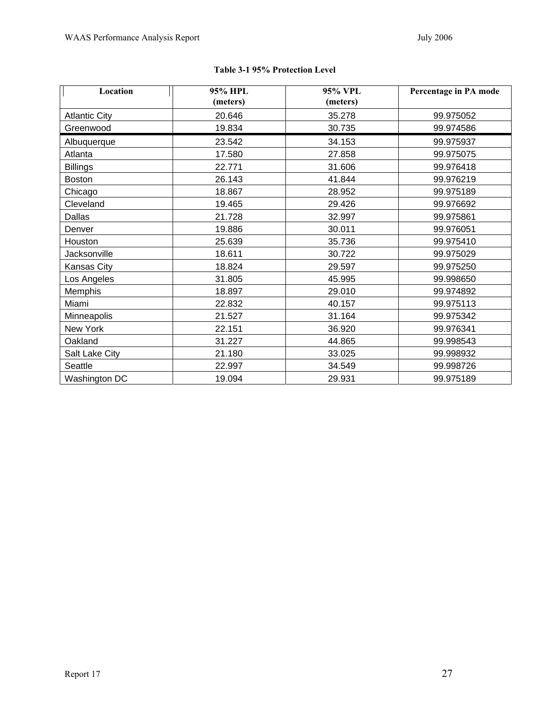| Location             | 95% HPL  | 95% VPL  | Percentage in PA mode |
|----------------------|----------|----------|-----------------------|
|                      | (meters) | (meters) |                       |
| <b>Atlantic City</b> | 20.646   | 35.278   | 99.975052             |
| Greenwood            | 19.834   | 30.735   | 99.974586             |
| Albuquerque          | 23.542   | 34.153   | 99.975937             |
| Atlanta              | 17.580   | 27.858   | 99.975075             |
| <b>Billings</b>      | 22.771   | 31.606   | 99.976418             |
| <b>Boston</b>        | 26.143   | 41.844   | 99.976219             |
| Chicago              | 18.867   | 28.952   | 99.975189             |
| Cleveland            | 19.465   | 29.426   | 99.976692             |
| Dallas               | 21.728   | 32.997   | 99.975861             |
| Denver               | 19.886   | 30.011   | 99.976051             |
| Houston              | 25.639   | 35.736   | 99.975410             |
| Jacksonville         | 18.611   | 30.722   | 99.975029             |
| Kansas City          | 18.824   | 29.597   | 99.975250             |
| Los Angeles          | 31.805   | 45.995   | 99.998650             |
| Memphis              | 18.897   | 29.010   | 99.974892             |
| Miami                | 22.832   | 40.157   | 99.975113             |
| Minneapolis          | 21.527   | 31.164   | 99.975342             |
| New York             | 22.151   | 36.920   | 99.976341             |
| Oakland              | 31.227   | 44.865   | 99.998543             |
| Salt Lake City       | 21.180   | 33.025   | 99.998932             |
| Seattle              | 22.997   | 34.549   | 99.998726             |
| Washington DC        | 19.094   | 29.931   | 99.975189             |

## **Table 3-1 95% Protection Level**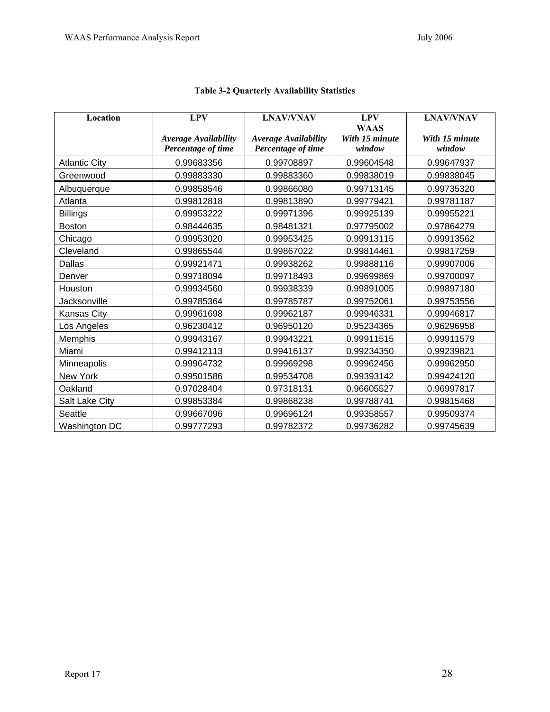| Location             | <b>LPV</b>                  | <b>LNAV/VNAV</b>            | <b>LPV</b>     | <b>LNAV/VNAV</b> |
|----------------------|-----------------------------|-----------------------------|----------------|------------------|
|                      |                             |                             | <b>WAAS</b>    |                  |
|                      | <b>Average Availability</b> | <b>Average Availability</b> | With 15 minute | With 15 minute   |
|                      | Percentage of time          | Percentage of time          | window         | window           |
| <b>Atlantic City</b> | 0.99683356                  | 0.99708897                  | 0.99604548     | 0.99647937       |
| Greenwood            | 0.99883330                  | 0.99883360                  | 0.99838019     | 0.99838045       |
| Albuquerque          | 0.99858546                  | 0.99866080                  | 0.99713145     | 0.99735320       |
| Atlanta              | 0.99812818                  | 0.99813890                  | 0.99779421     | 0.99781187       |
| <b>Billings</b>      | 0.99953222                  | 0.99971396                  | 0.99925139     | 0.99955221       |
| <b>Boston</b>        | 0.98444635                  | 0.98481321                  | 0.97795002     | 0.97864279       |
| Chicago              | 0.99953020                  | 0.99953425                  | 0.99913115     | 0.99913562       |
| Cleveland            | 0.99865544                  | 0.99867022                  | 0.99814461     | 0.99817259       |
| <b>Dallas</b>        | 0.99921471                  | 0.99938262                  | 0.99888116     | 0.99907006       |
| Denver               | 0.99718094                  | 0.99718493                  | 0.99699869     | 0.99700097       |
| Houston              | 0.99934560                  | 0.99938339                  | 0.99891005     | 0.99897180       |
| Jacksonville         | 0.99785364                  | 0.99785787                  | 0.99752061     | 0.99753556       |
| Kansas City          | 0.99961698                  | 0.99962187                  | 0.99946331     | 0.99946817       |
| Los Angeles          | 0.96230412                  | 0.96950120                  | 0.95234365     | 0.96296958       |
| Memphis              | 0.99943167                  | 0.99943221                  | 0.99911515     | 0.99911579       |
| Miami                | 0.99412113                  | 0.99416137                  | 0.99234350     | 0.99239821       |
| Minneapolis          | 0.99964732                  | 0.99969298                  | 0.99962456     | 0.99962950       |
| New York             | 0.99501586                  | 0.99534708                  | 0.99393142     | 0.99424120       |
| Oakland              | 0.97028404                  | 0.97318131                  | 0.96605527     | 0.96997817       |
| Salt Lake City       | 0.99853384                  | 0.99868238                  | 0.99788741     | 0.99815468       |
| Seattle              | 0.99667096                  | 0.99696124                  | 0.99358557     | 0.99509374       |
| Washington DC        | 0.99777293                  | 0.99782372                  | 0.99736282     | 0.99745639       |

# **Table 3-2 Quarterly Availability Statistics**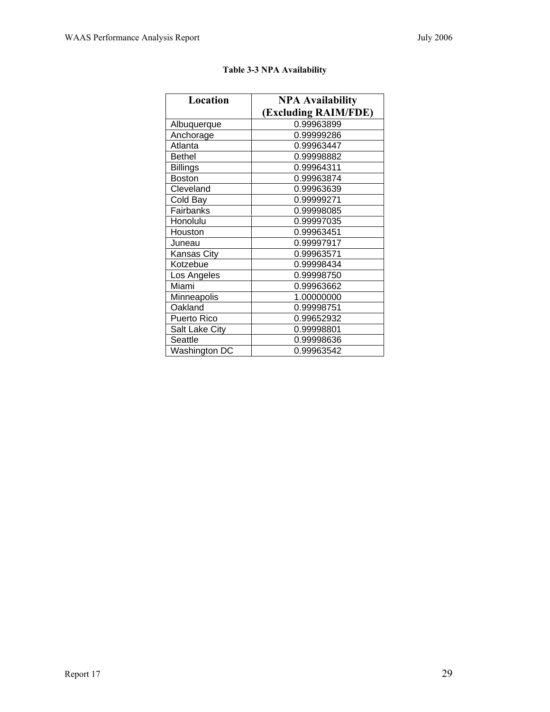| Location        | <b>NPA Availability</b> |  |  |
|-----------------|-------------------------|--|--|
|                 | (Excluding RAIM/FDE)    |  |  |
| Albuquerque     | 0.99963899              |  |  |
| Anchorage       | 0.99999286              |  |  |
| Atlanta         | 0.99963447              |  |  |
| <b>Bethel</b>   | 0.99998882              |  |  |
| <b>Billings</b> | 0.99964311              |  |  |
| <b>Boston</b>   | 0.99963874              |  |  |
| Cleveland       | 0.99963639              |  |  |
| Cold Bay        | 0.99999271              |  |  |
| Fairbanks       | 0.99998085              |  |  |
| Honolulu        | 0.99997035              |  |  |
| Houston         | 0.99963451              |  |  |
| Juneau          | 0.99997917              |  |  |
| Kansas City     | 0.99963571              |  |  |
| Kotzebue        | 0.99998434              |  |  |
| Los Angeles     | 0.99998750              |  |  |
| Miami           | 0.99963662              |  |  |
| Minneapolis     | 1.00000000              |  |  |
| Oakland         | 0.99998751              |  |  |
| Puerto Rico     | 0.99652932              |  |  |
| Salt Lake City  | 0.99998801              |  |  |
| Seattle         | 0.99998636              |  |  |
| Washington DC   | 0.99963542              |  |  |

# **Table 3-3 NPA Availability**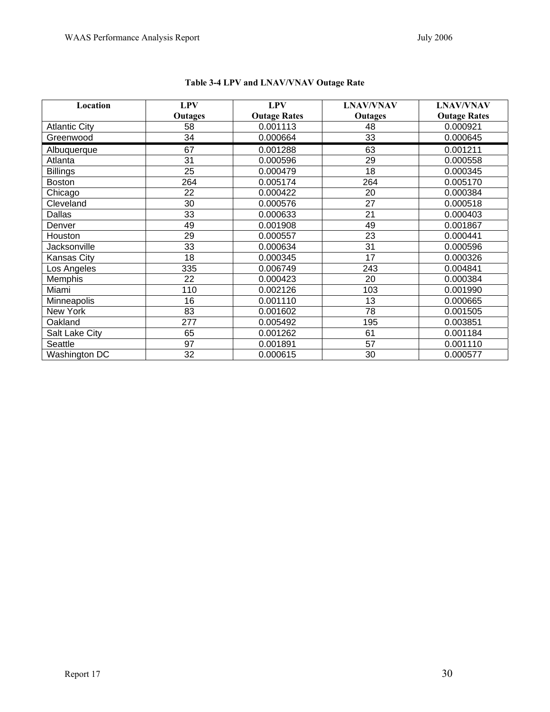| Location             | <b>LPV</b>     | <b>LPV</b>          | <b>LNAV/VNAV</b> | <b>LNAV/VNAV</b>    |
|----------------------|----------------|---------------------|------------------|---------------------|
|                      | <b>Outages</b> | <b>Outage Rates</b> | Outages          | <b>Outage Rates</b> |
| <b>Atlantic City</b> | 58             | 0.001113            | 48               | 0.000921            |
| Greenwood            | 34             | 0.000664            | 33               | 0.000645            |
| Albuquerque          | 67             | 0.001288            | 63               | 0.001211            |
| Atlanta              | 31             | 0.000596            | 29               | 0.000558            |
| <b>Billings</b>      | 25             | 0.000479            | 18               | 0.000345            |
| <b>Boston</b>        | 264            | 0.005174            | 264              | 0.005170            |
| Chicago              | 22             | 0.000422            | 20               | 0.000384            |
| Cleveland            | 30             | 0.000576            | 27               | 0.000518            |
| Dallas               | 33             | 0.000633            | 21               | 0.000403            |
| Denver               | 49             | 0.001908            | 49               | 0.001867            |
| Houston              | 29             | 0.000557            | 23               | 0.000441            |
| Jacksonville         | 33             | 0.000634            | 31               | 0.000596            |
| Kansas City          | 18             | 0.000345            | 17               | 0.000326            |
| Los Angeles          | 335            | 0.006749            | 243              | 0.004841            |
| Memphis              | 22             | 0.000423            | 20               | 0.000384            |
| Miami                | 110            | 0.002126            | 103              | 0.001990            |
| Minneapolis          | 16             | 0.001110            | 13               | 0.000665            |
| New York             | 83             | 0.001602            | 78               | 0.001505            |
| Oakland              | 277            | 0.005492            | 195              | 0.003851            |
| Salt Lake City       | 65             | 0.001262            | 61               | 0.001184            |
| Seattle              | 97             | 0.001891            | 57               | 0.001110            |
| Washington DC        | 32             | 0.000615            | 30               | 0.000577            |

# **Table 3-4 LPV and LNAV/VNAV Outage Rate**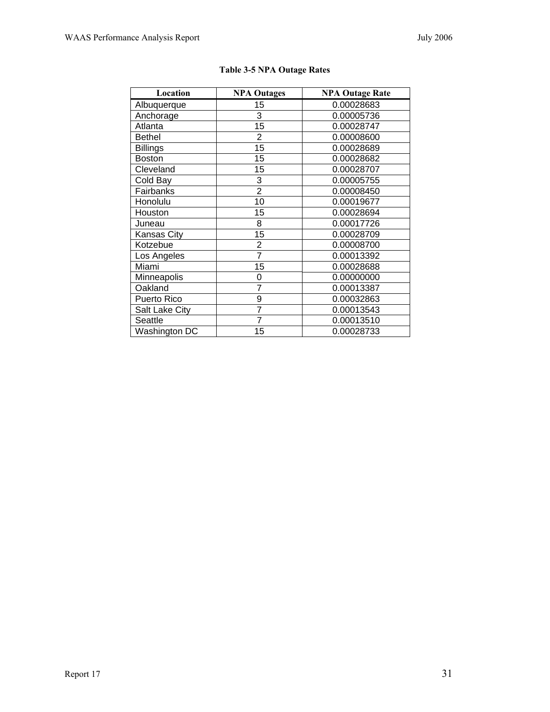| Location        | <b>NPA Outages</b> | <b>NPA Outage Rate</b> |
|-----------------|--------------------|------------------------|
| Albuquerque     | 15                 | 0.00028683             |
| Anchorage       | 3                  | 0.00005736             |
| Atlanta         | 15                 | 0.00028747             |
| <b>Bethel</b>   | $\overline{2}$     | 0.00008600             |
| <b>Billings</b> | 15                 | 0.00028689             |
| <b>Boston</b>   | 15                 | 0.00028682             |
| Cleveland       | 15                 | 0.00028707             |
| Cold Bay        | 3                  | 0.00005755             |
| Fairbanks       | $\overline{2}$     | 0.00008450             |
| Honolulu        | 10                 | 0.00019677             |
| Houston         | 15                 | 0.00028694             |
| Juneau          | 8                  | 0.00017726             |
| Kansas City     | 15                 | 0.00028709             |
| Kotzebue        | $\overline{2}$     | 0.00008700             |
| Los Angeles     | 7                  | 0.00013392             |
| Miami           | 15                 | 0.00028688             |
| Minneapolis     | 0                  | 0.00000000             |
| Oakland         | $\overline{7}$     | 0.00013387             |
| Puerto Rico     | 9                  | 0.00032863             |
| Salt Lake City  | $\overline{7}$     | 0.00013543             |
| Seattle         | $\overline{7}$     | 0.00013510             |
| Washington DC   | 15                 | 0.00028733             |

#### **Table 3-5 NPA Outage Rates**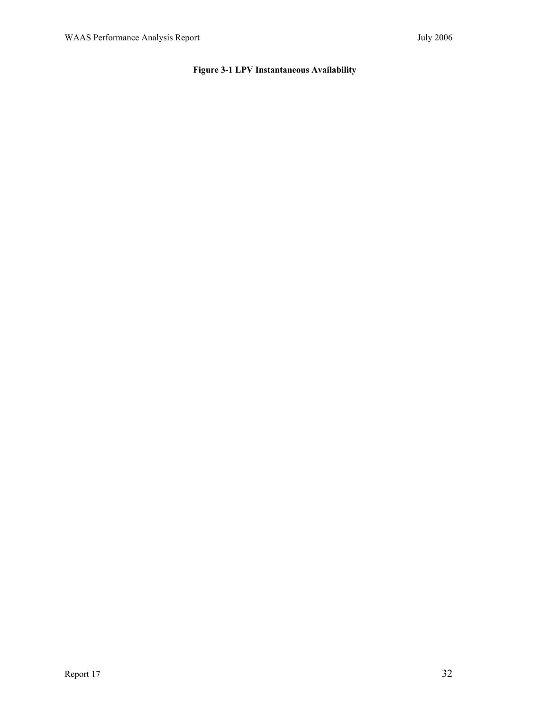# **Figure 3-1 LPV Instantaneous Availability**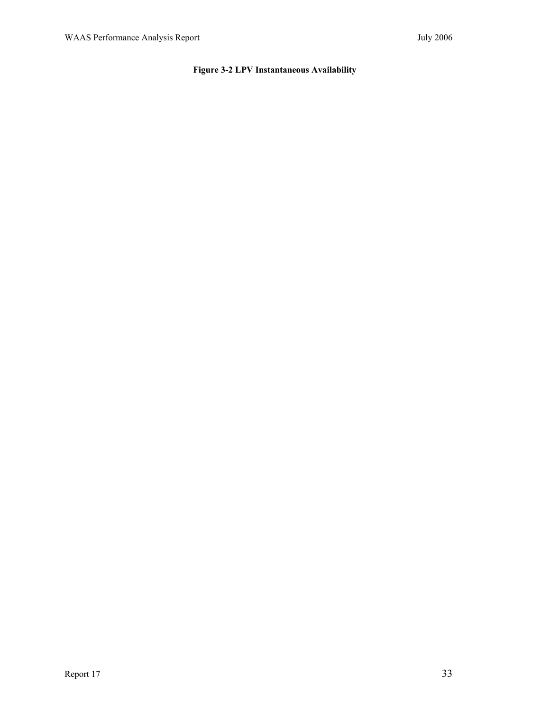# **Figure 3-2 LPV Instantaneous Availability**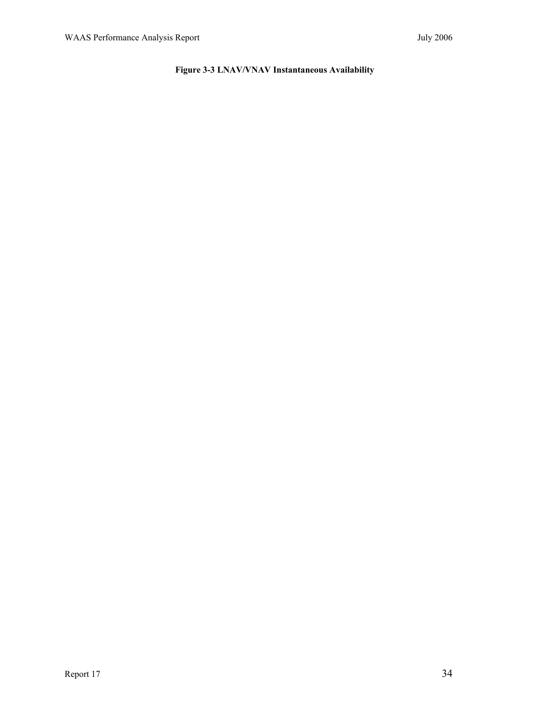## **Figure 3-3 LNAV/VNAV Instantaneous Availability**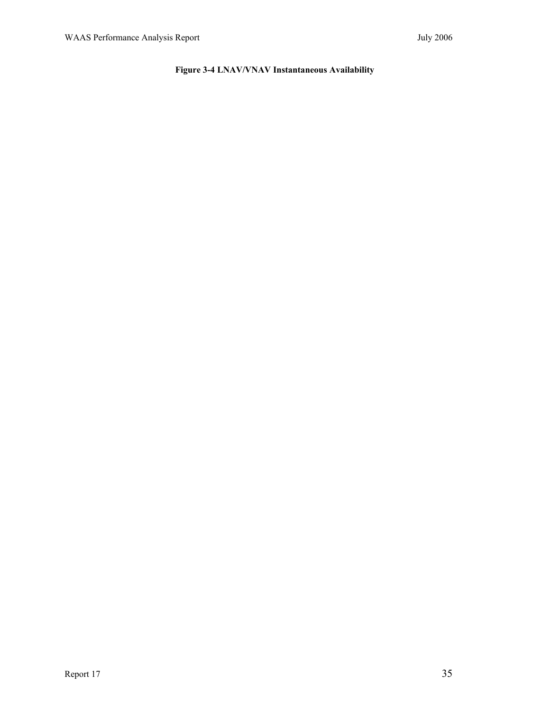## **Figure 3-4 LNAV/VNAV Instantaneous Availability**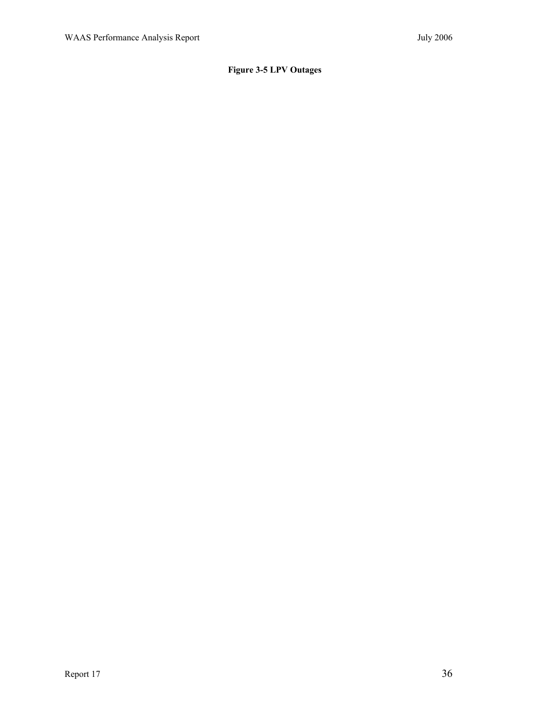# **Figure 3-5 LPV Outages**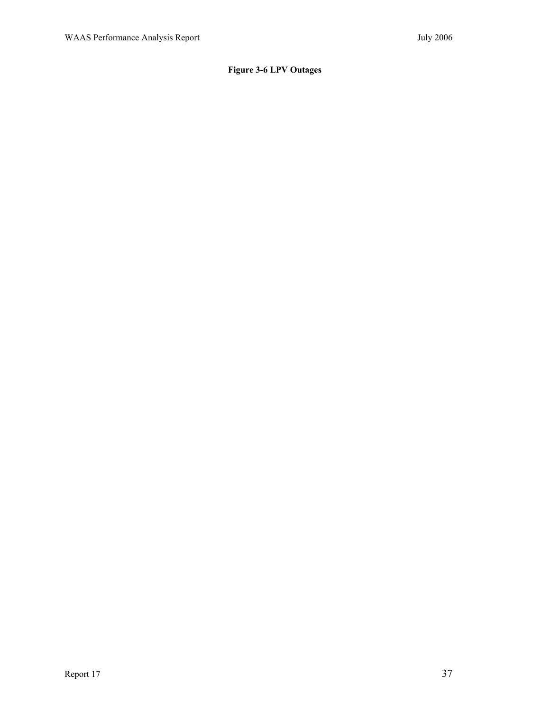## **Figure 3-6 LPV Outages**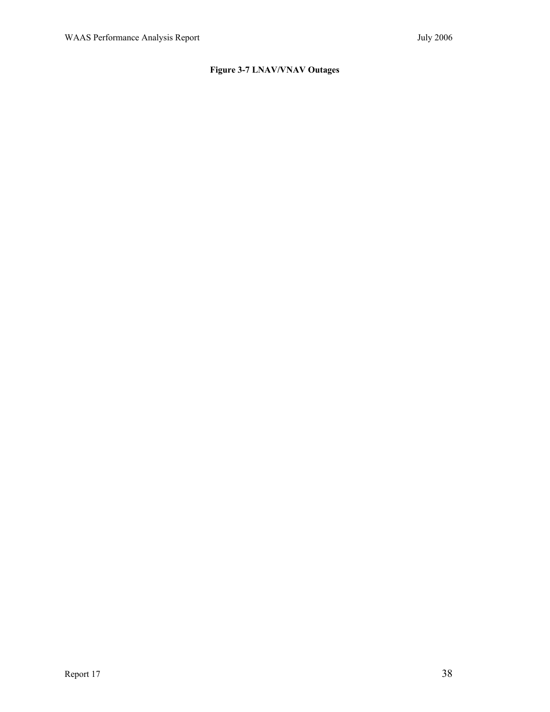# **Figure 3-7 LNAV/VNAV Outages**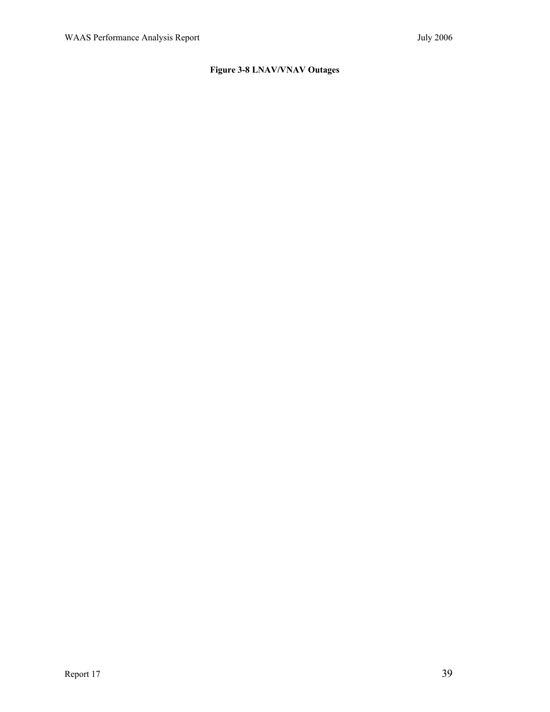## **Figure 3-8 LNAV/VNAV Outages**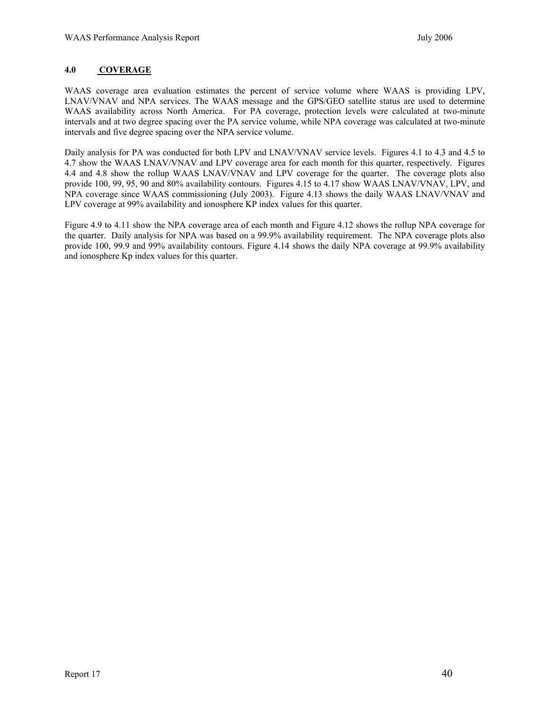#### **4.0 COVERAGE**

WAAS coverage area evaluation estimates the percent of service volume where WAAS is providing LPV, LNAV/VNAV and NPA services. The WAAS message and the GPS/GEO satellite status are used to determine WAAS availability across North America. For PA coverage, protection levels were calculated at two-minute intervals and at two degree spacing over the PA service volume, while NPA coverage was calculated at two-minute intervals and five degree spacing over the NPA service volume.

Daily analysis for PA was conducted for both LPV and LNAV/VNAV service levels. Figures 4.1 to 4.3 and 4.5 to 4.7 show the WAAS LNAV/VNAV and LPV coverage area for each month for this quarter, respectively. Figures 4.4 and 4.8 show the rollup WAAS LNAV/VNAV and LPV coverage for the quarter. The coverage plots also provide 100, 99, 95, 90 and 80% availability contours. Figures 4.15 to 4.17 show WAAS LNAV/VNAV, LPV, and NPA coverage since WAAS commissioning (July 2003). Figure 4.13 shows the daily WAAS LNAV/VNAV and LPV coverage at 99% availability and ionosphere KP index values for this quarter.

Figure 4.9 to 4.11 show the NPA coverage area of each month and Figure 4.12 shows the rollup NPA coverage for the quarter. Daily analysis for NPA was based on a 99.9% availability requirement. The NPA coverage plots also provide 100, 99.9 and 99% availability contours. Figure 4.14 shows the daily NPA coverage at 99.9% availability and ionosphere Kp index values for this quarter.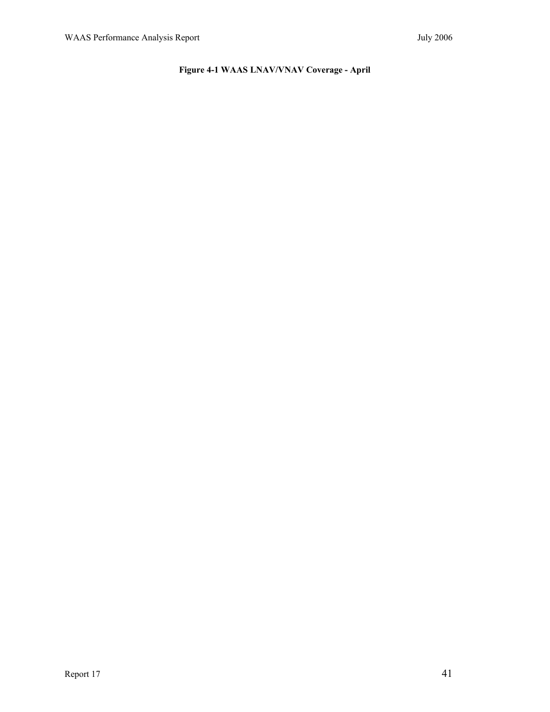# **Figure 4-1 WAAS LNAV/VNAV Coverage - April**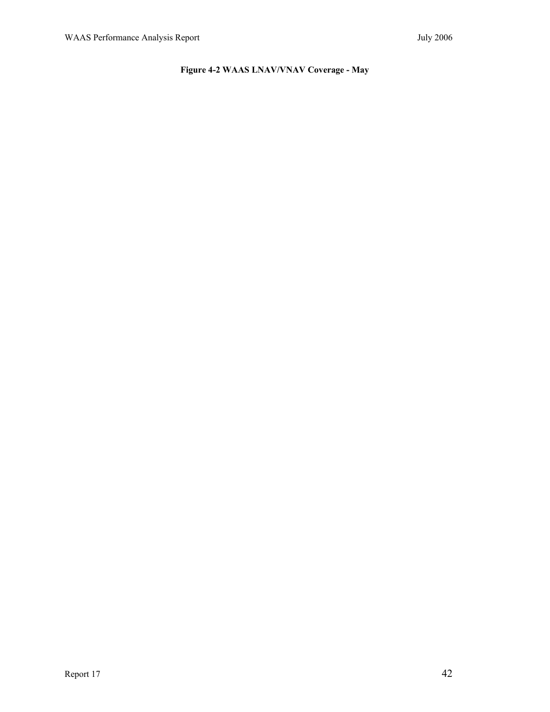# **Figure 4-2 WAAS LNAV/VNAV Coverage - May**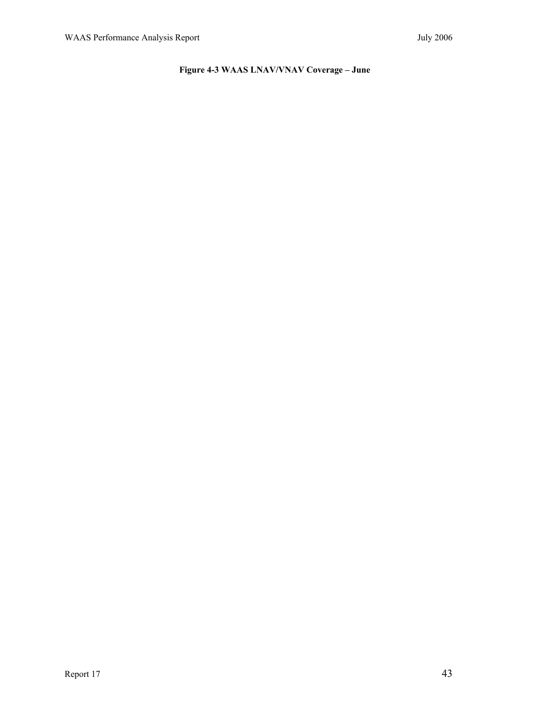# **Figure 4-3 WAAS LNAV/VNAV Coverage – June**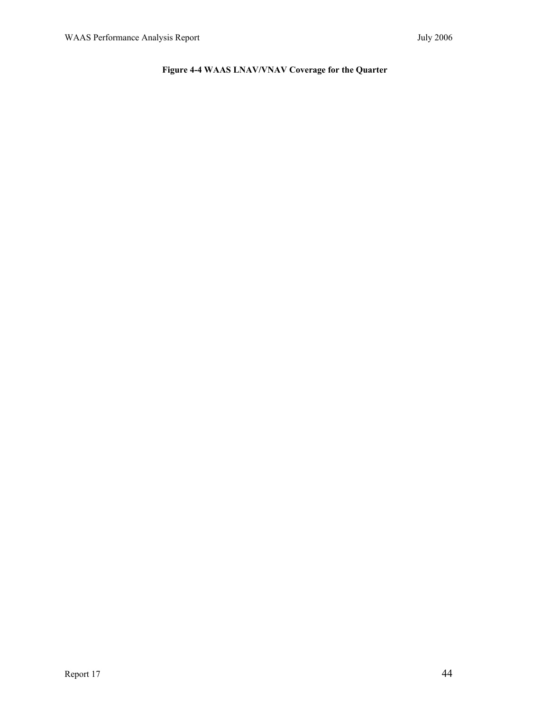# **Figure 4-4 WAAS LNAV/VNAV Coverage for the Quarter**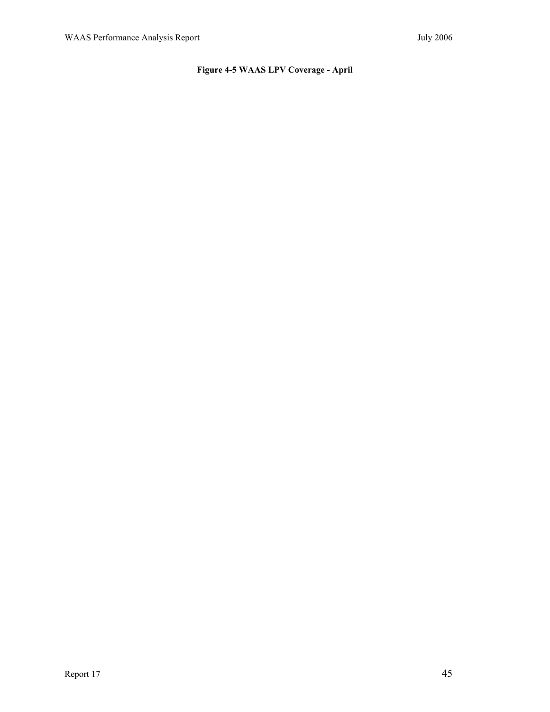# **Figure 4-5 WAAS LPV Coverage - April**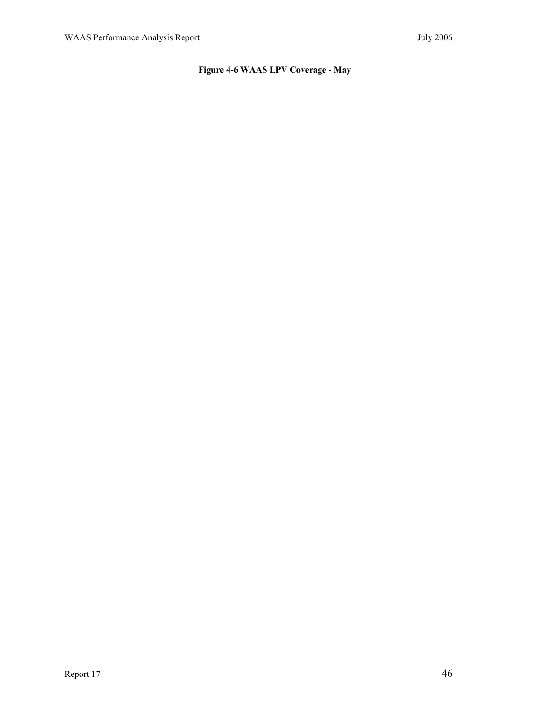## **Figure 4-6 WAAS LPV Coverage - May**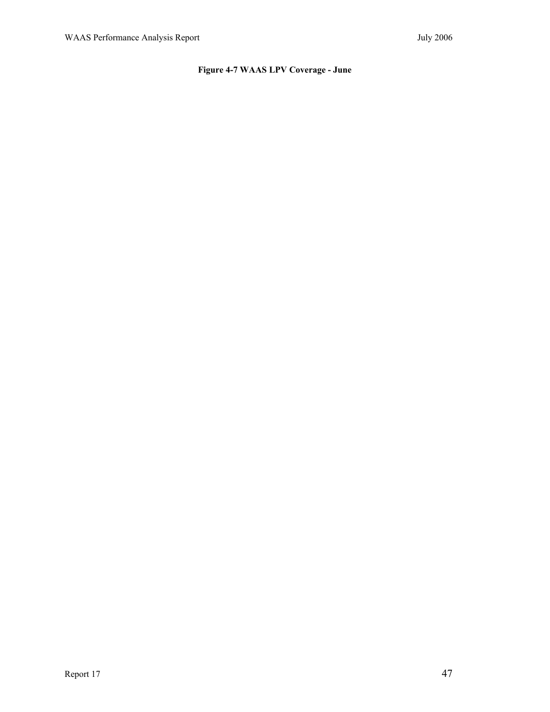# **Figure 4-7 WAAS LPV Coverage - June**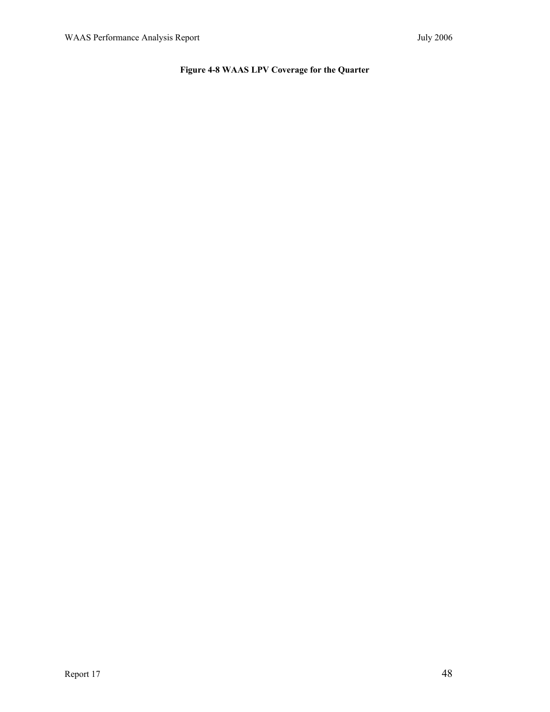# **Figure 4-8 WAAS LPV Coverage for the Quarter**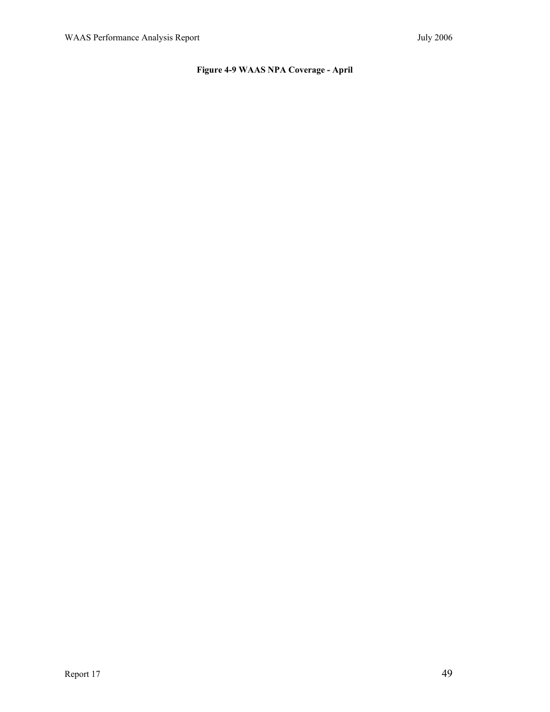## **Figure 4-9 WAAS NPA Coverage - April**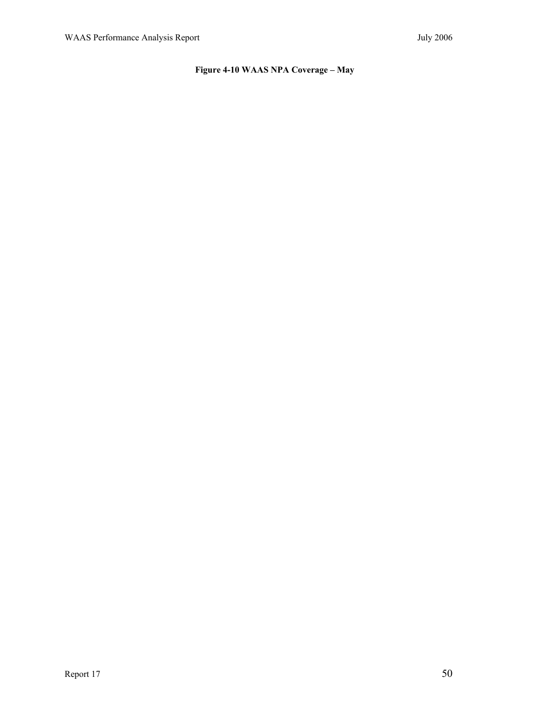## **Figure 4-10 WAAS NPA Coverage – May**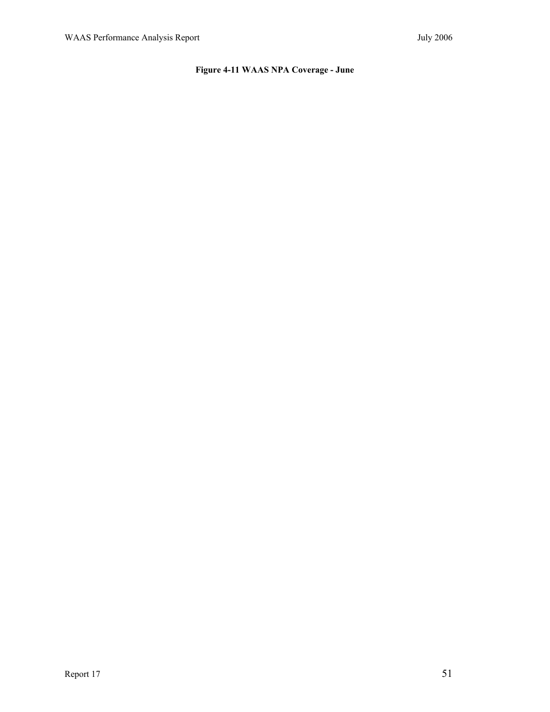## **Figure 4-11 WAAS NPA Coverage - June**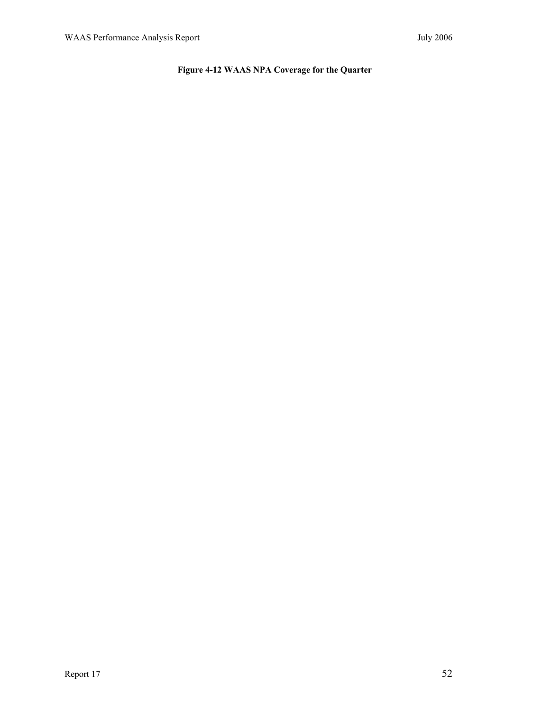## **Figure 4-12 WAAS NPA Coverage for the Quarter**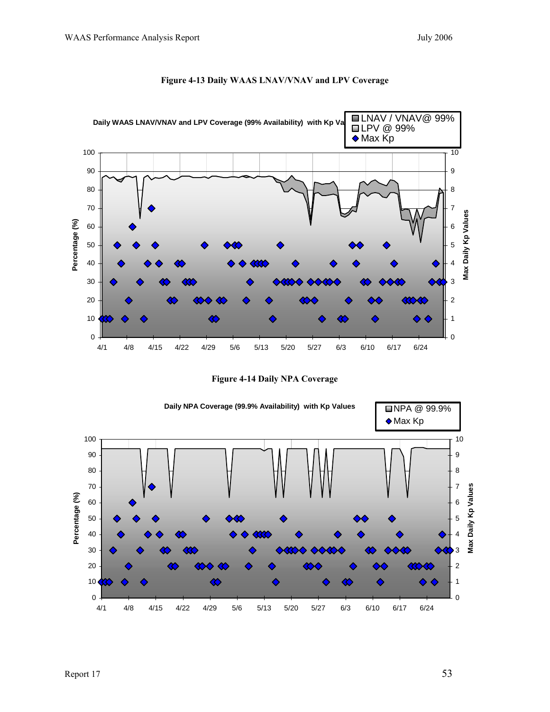

#### **Figure 4-13 Daily WAAS LNAV/VNAV and LPV Coverage**

**Figure 4-14 Daily NPA Coverage** 

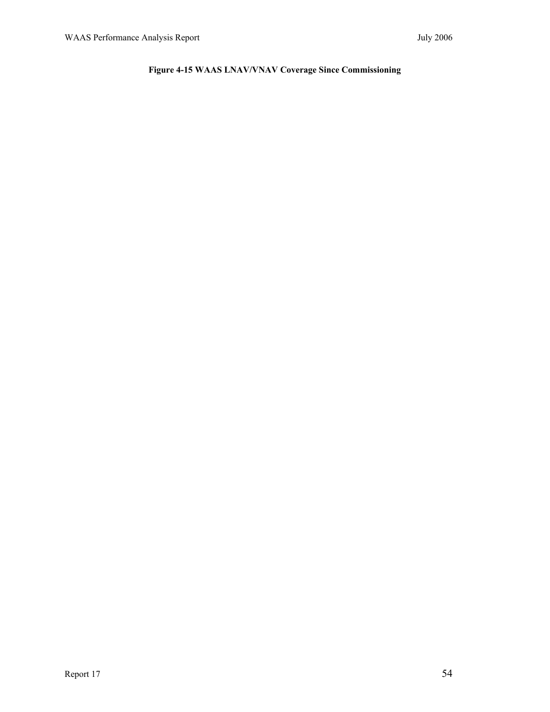# **Figure 4-15 WAAS LNAV/VNAV Coverage Since Commissioning**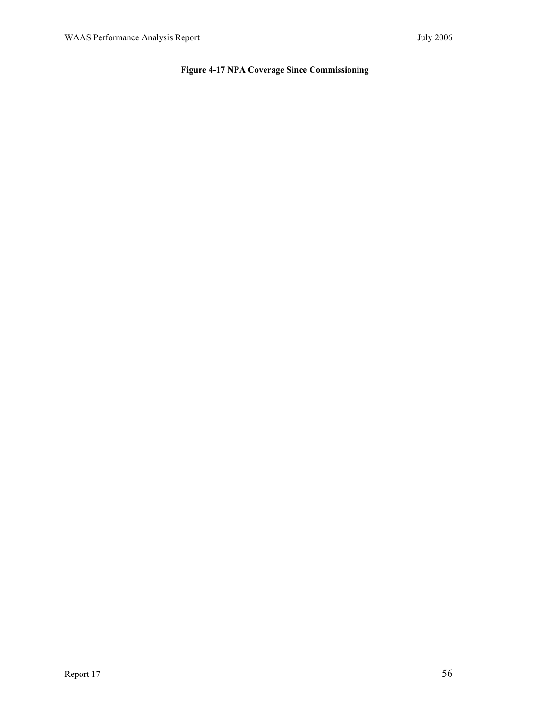## **Figure 4-17 NPA Coverage Since Commissioning**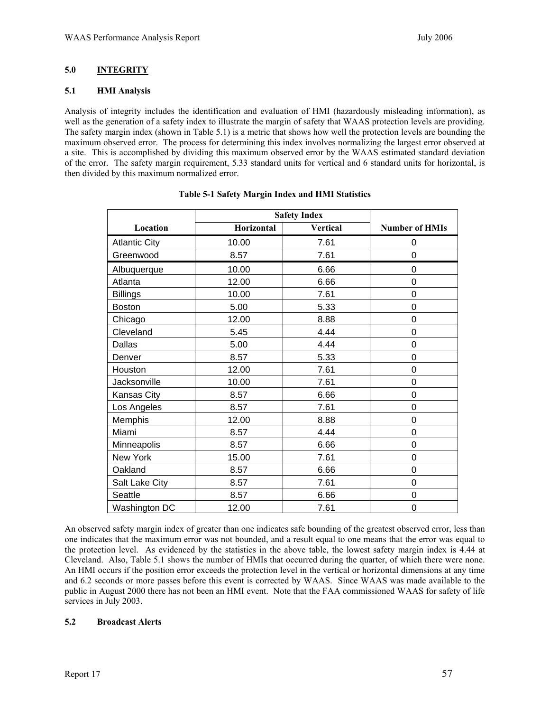#### **5.0 INTEGRITY**

#### **5.1 HMI Analysis**

Analysis of integrity includes the identification and evaluation of HMI (hazardously misleading information), as well as the generation of a safety index to illustrate the margin of safety that WAAS protection levels are providing. The safety margin index (shown in Table 5.1) is a metric that shows how well the protection levels are bounding the maximum observed error. The process for determining this index involves normalizing the largest error observed at a site. This is accomplished by dividing this maximum observed error by the WAAS estimated standard deviation of the error. The safety margin requirement, 5.33 standard units for vertical and 6 standard units for horizontal, is then divided by this maximum normalized error.

|                      | <b>Safety Index</b> |                 |                       |
|----------------------|---------------------|-----------------|-----------------------|
| Location             | Horizontal          | <b>Vertical</b> | <b>Number of HMIs</b> |
| <b>Atlantic City</b> | 10.00               | 7.61            | 0                     |
| Greenwood            | 8.57                | 7.61            | 0                     |
| Albuquerque          | 10.00               | 6.66            | 0                     |
| Atlanta              | 12.00               | 6.66            | $\mathbf 0$           |
| <b>Billings</b>      | 10.00               | 7.61            | 0                     |
| <b>Boston</b>        | 5.00                | 5.33            | $\overline{0}$        |
| Chicago              | 12.00               | 8.88            | 0                     |
| Cleveland            | 5.45                | 4.44            | 0                     |
| Dallas               | 5.00                | 4.44            | 0                     |
| Denver               | 8.57                | 5.33            | 0                     |
| Houston              | 12.00               | 7.61            | $\mathbf 0$           |
| Jacksonville         | 10.00               | 7.61            | 0                     |
| Kansas City          | 8.57                | 6.66            | 0                     |
| Los Angeles          | 8.57                | 7.61            | 0                     |
| Memphis              | 12.00               | 8.88            | 0                     |
| Miami                | 8.57                | 4.44            | $\mathbf 0$           |
| Minneapolis          | 8.57                | 6.66            | 0                     |
| New York             | 15.00               | 7.61            | $\mathbf 0$           |
| Oakland              | 8.57                | 6.66            | 0                     |
| Salt Lake City       | 8.57                | 7.61            | $\mathbf 0$           |
| Seattle              | 8.57                | 6.66            | 0                     |
| Washington DC        | 12.00               | 7.61            | 0                     |

|  |  |  | Table 5-1 Safety Margin Index and HMI Statistics |
|--|--|--|--------------------------------------------------|
|  |  |  |                                                  |

An observed safety margin index of greater than one indicates safe bounding of the greatest observed error, less than one indicates that the maximum error was not bounded, and a result equal to one means that the error was equal to the protection level. As evidenced by the statistics in the above table, the lowest safety margin index is 4.44 at Cleveland. Also, Table 5.1 shows the number of HMIs that occurred during the quarter, of which there were none. An HMI occurs if the position error exceeds the protection level in the vertical or horizontal dimensions at any time and 6.2 seconds or more passes before this event is corrected by WAAS. Since WAAS was made available to the public in August 2000 there has not been an HMI event. Note that the FAA commissioned WAAS for safety of life services in July 2003.

#### **5.2 Broadcast Alerts**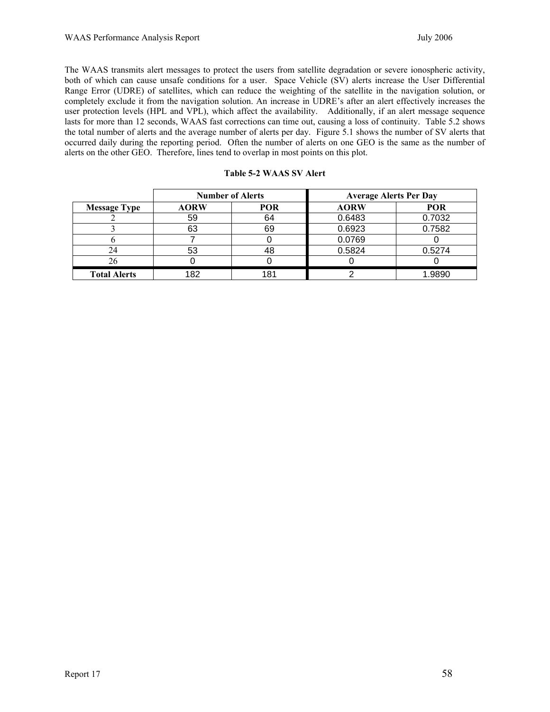The WAAS transmits alert messages to protect the users from satellite degradation or severe ionospheric activity, both of which can cause unsafe conditions for a user. Space Vehicle (SV) alerts increase the User Differential Range Error (UDRE) of satellites, which can reduce the weighting of the satellite in the navigation solution, or completely exclude it from the navigation solution. An increase in UDRE's after an alert effectively increases the user protection levels (HPL and VPL), which affect the availability. Additionally, if an alert message sequence lasts for more than 12 seconds, WAAS fast corrections can time out, causing a loss of continuity. Table 5.2 shows the total number of alerts and the average number of alerts per day. Figure 5.1 shows the number of SV alerts that occurred daily during the reporting period. Often the number of alerts on one GEO is the same as the number of alerts on the other GEO. Therefore, lines tend to overlap in most points on this plot.

|                     | <b>Number of Alerts</b> |            | <b>Average Alerts Per Day</b> |            |
|---------------------|-------------------------|------------|-------------------------------|------------|
| <b>Message Type</b> | <b>AORW</b>             | <b>POR</b> | <b>AORW</b>                   | <b>POR</b> |
|                     | 59                      | 64         | 0.6483                        | 0.7032     |
|                     | 63                      | 69         | 0.6923                        | 0.7582     |
|                     |                         |            | 0.0769                        |            |
| 24                  | 53                      | 48         | 0.5824                        | 0.5274     |
|                     |                         |            |                               |            |
| <b>Total Alerts</b> | 182                     | 181        |                               | 1.9890     |

|  | Table 5-2 WAAS SV Alert |  |  |
|--|-------------------------|--|--|
|--|-------------------------|--|--|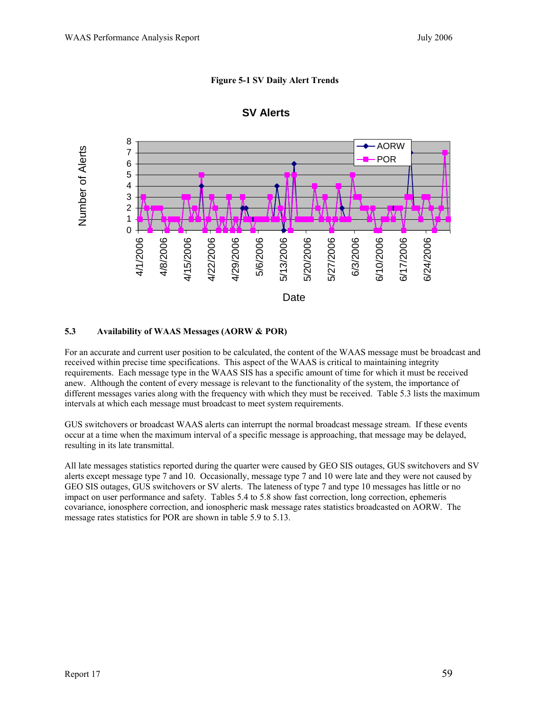#### **Figure 5-1 SV Daily Alert Trends**



#### **SV Alerts**

#### **5.3 Availability of WAAS Messages (AORW & POR)**

For an accurate and current user position to be calculated, the content of the WAAS message must be broadcast and received within precise time specifications. This aspect of the WAAS is critical to maintaining integrity requirements. Each message type in the WAAS SIS has a specific amount of time for which it must be received anew. Although the content of every message is relevant to the functionality of the system, the importance of different messages varies along with the frequency with which they must be received. Table 5.3 lists the maximum intervals at which each message must broadcast to meet system requirements.

GUS switchovers or broadcast WAAS alerts can interrupt the normal broadcast message stream. If these events occur at a time when the maximum interval of a specific message is approaching, that message may be delayed, resulting in its late transmittal.

All late messages statistics reported during the quarter were caused by GEO SIS outages, GUS switchovers and SV alerts except message type 7 and 10. Occasionally, message type 7 and 10 were late and they were not caused by GEO SIS outages, GUS switchovers or SV alerts. The lateness of type 7 and type 10 messages has little or no impact on user performance and safety. Tables 5.4 to 5.8 show fast correction, long correction, ephemeris covariance, ionosphere correction, and ionospheric mask message rates statistics broadcasted on AORW. The message rates statistics for POR are shown in table 5.9 to 5.13.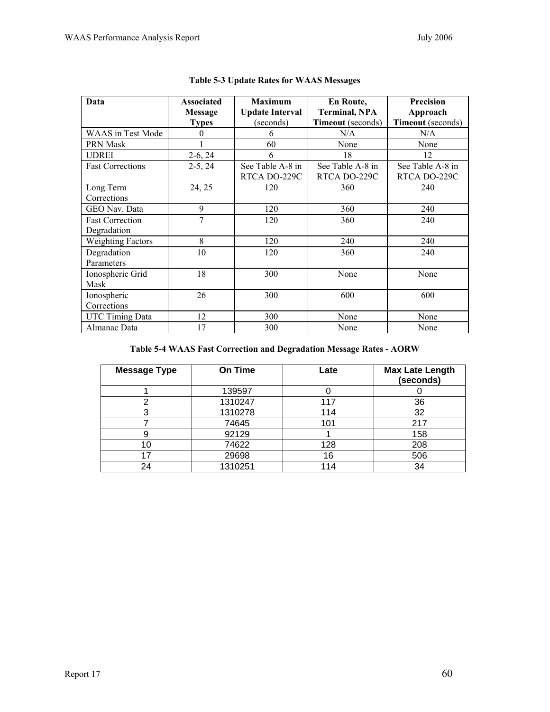| Data                                  | <b>Associated</b> | <b>Maximum</b>                   | <b>En Route,</b>                 | <b>Precision</b>                 |
|---------------------------------------|-------------------|----------------------------------|----------------------------------|----------------------------------|
|                                       | <b>Message</b>    | <b>Update Interval</b>           | <b>Terminal, NPA</b>             | Approach                         |
|                                       | <b>Types</b>      | (seconds)                        | <b>Timeout</b> (seconds)         | Timeout (seconds)                |
| <b>WAAS</b> in Test Mode              | $\theta$          | 6                                | N/A                              | N/A                              |
| <b>PRN Mask</b>                       |                   | 60                               | None                             | None                             |
| UDREI                                 | $2-6, 24$         | 6                                | 18                               | 12                               |
| <b>Fast Corrections</b>               | $2-5, 24$         | See Table A-8 in<br>RTCA DO-229C | See Table A-8 in<br>RTCA DO-229C | See Table A-8 in<br>RTCA DO-229C |
| Long Term<br>Corrections              | 24, 25            | 120                              | 360                              | 240                              |
| GEO Nav. Data                         | 9                 | 120                              | 360                              | 240                              |
| <b>Fast Correction</b><br>Degradation | 7                 | 120                              | 360                              | 240                              |
| <b>Weighting Factors</b>              | 8                 | 120                              | 240                              | 240                              |
| Degradation<br>Parameters             | 10                | 120                              | 360                              | 240                              |
| Ionospheric Grid<br>Mask              | 18                | 300                              | None                             | None                             |
| Ionospheric<br>Corrections            | 26                | 300                              | 600                              | 600                              |
| <b>UTC Timing Data</b>                | 12                | 300                              | None                             | None                             |
| Almanac Data                          | 17                | 300                              | None                             | None                             |

|  |  | Table 5-3 Update Rates for WAAS Messages |
|--|--|------------------------------------------|
|  |  |                                          |

# **Table 5-4 WAAS Fast Correction and Degradation Message Rates - AORW**

| <b>Message Type</b> | <b>On Time</b> | Late | <b>Max Late Length</b><br>(seconds) |
|---------------------|----------------|------|-------------------------------------|
|                     | 139597         |      |                                     |
| ⌒                   | 1310247        | 117  | 36                                  |
| ິ                   | 1310278        | 114  | 32                                  |
|                     | 74645          | 101  | 217                                 |
|                     | 92129          |      | 158                                 |
| 10                  | 74622          | 128  | 208                                 |
| 17                  | 29698          | 16   | 506                                 |
| 24                  | 1310251        | 114  | 34                                  |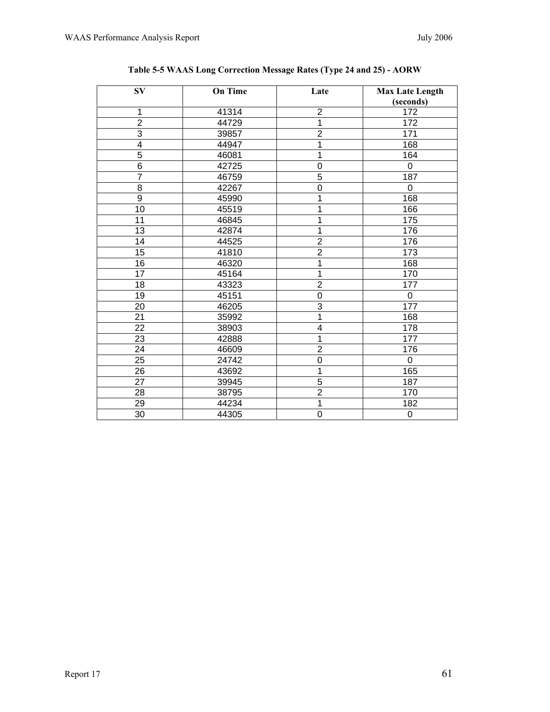| $S_{V}$         | <b>On Time</b> | Late                    | <b>Max Late Length</b><br>(seconds) |
|-----------------|----------------|-------------------------|-------------------------------------|
| $\mathbf 1$     | 41314          | $\boldsymbol{2}$        | 172                                 |
| $\overline{2}$  | 44729          | $\overline{1}$          | 172                                 |
| $\overline{3}$  | 39857          | $\overline{2}$          | 171                                 |
| 4               | 44947          | 1                       | 168                                 |
| $\overline{5}$  | 46081          | 1                       | 164                                 |
| $\overline{6}$  | 42725          | $\overline{0}$          | 0                                   |
| $\overline{7}$  | 46759          | $\overline{5}$          | 187                                 |
| $\overline{8}$  | 42267          | $\overline{0}$          | 0                                   |
| 9               | 45990          | 1                       | 168                                 |
| 10              | 45519          | $\overline{1}$          | 166                                 |
| 11              | 46845          | 1                       | 175                                 |
| 13              | 42874          | 1                       | 176                                 |
| 14              | 44525          | $\frac{2}{2}$           | 176                                 |
| 15              | 41810          |                         | 173                                 |
| 16              | 46320          | $\overline{\mathbf{1}}$ | 168                                 |
| 17              | 45164          | $\overline{1}$          | 170                                 |
| 18              | 43323          | $\overline{2}$          | 177                                 |
| 19              | 45151          | $\overline{0}$          | 0                                   |
| 20              | 46205          | $\overline{3}$          | 177                                 |
| 21              | 35992          | 1                       | 168                                 |
| 22              | 38903          | $\overline{4}$          | 178                                 |
| 23              | 42888          | 1                       | 177                                 |
| 24              | 46609          | $\overline{2}$          | 176                                 |
| 25              | 24742          | $\boldsymbol{0}$        | 0                                   |
| 26              | 43692          | $\overline{1}$          | 165                                 |
| 27              | 39945          | $\overline{5}$          | 187                                 |
| 28              | 38795          | $\overline{2}$          | 170                                 |
| 29              | 44234          | 1                       | 182                                 |
| $\overline{30}$ | 44305          | $\overline{0}$          | $\mathbf 0$                         |

| Table 5-5 WAAS Long Correction Message Rates (Type 24 and 25) - AORW |  |  |  |  |  |
|----------------------------------------------------------------------|--|--|--|--|--|
|                                                                      |  |  |  |  |  |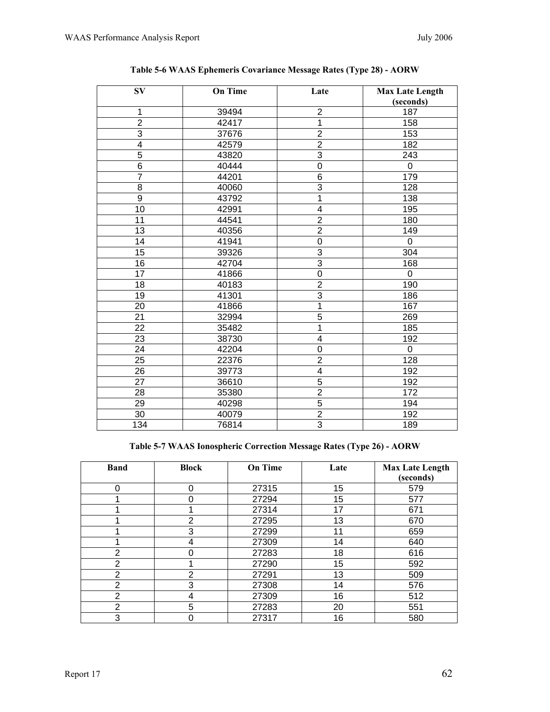| <b>SV</b>       | <b>On Time</b> | Late             | <b>Max Late Length</b><br>(seconds) |
|-----------------|----------------|------------------|-------------------------------------|
| 1               | 39494          |                  | 187                                 |
| $\overline{2}$  | 42417          | $\frac{2}{1}$    | 158                                 |
| $\overline{3}$  | 37676          | $\overline{2}$   | 153                                 |
| $\overline{4}$  | 42579          |                  | 182                                 |
| $\overline{5}$  | 43820          | $\frac{2}{3}$    | 243                                 |
| $\overline{6}$  | 40444          | $\boldsymbol{0}$ | $\mathbf 0$                         |
| $\overline{7}$  | 44201          | $\overline{6}$   | 179                                 |
| 8               | 40060          | $\overline{3}$   | 128                                 |
| $\overline{9}$  | 43792          | $\overline{1}$   | 138                                 |
| $\overline{10}$ | 42991          | $\overline{4}$   | 195                                 |
| 11              | 44541          | $\overline{2}$   | 180                                 |
| 13              | 40356          | $\overline{2}$   | 149                                 |
| 14              | 41941          | $\overline{0}$   | $\mathbf 0$                         |
| 15              | 39326          | $\overline{3}$   | 304                                 |
| 16              | 42704          | $\overline{3}$   | 168                                 |
| $\overline{17}$ | 41866          | $\overline{0}$   | $\pmb{0}$                           |
| 18              | 40183          | $\overline{2}$   | 190                                 |
| $\overline{19}$ | 41301          | $\overline{3}$   | 186                                 |
| 20              | 41866          | $\overline{1}$   | 167                                 |
| $\overline{21}$ | 32994          | $\overline{5}$   | 269                                 |
| 22              | 35482          | $\overline{1}$   | 185                                 |
| 23              | 38730          | $\overline{4}$   | 192                                 |
| 24              | 42204          | 0                | 0                                   |
| $\overline{25}$ | 22376          | $\overline{2}$   | 128                                 |
| 26              | 39773          | $\overline{4}$   | 192                                 |
| 27              | 36610          | $\overline{5}$   | 192                                 |
| 28              | 35380          | $\overline{2}$   | 172                                 |
| 29              | 40298          | $\overline{5}$   | 194                                 |
| 30              | 40079          | $\frac{2}{3}$    | 192                                 |
| 134             | 76814          |                  | 189                                 |

| Table 5-6 WAAS Ephemeris Covariance Message Rates (Type 28) - AORW |  |
|--------------------------------------------------------------------|--|
|                                                                    |  |

**Table 5-7 WAAS Ionospheric Correction Message Rates (Type 26) - AORW** 

| <b>Band</b>    | <b>Block</b>   | <b>On Time</b> | Late | <b>Max Late Length</b><br>(seconds) |
|----------------|----------------|----------------|------|-------------------------------------|
| 0              | 0              | 27315          | 15   | 579                                 |
|                | 0              | 27294          | 15   | 577                                 |
|                |                | 27314          | 17   | 671                                 |
|                | $\overline{2}$ | 27295          | 13   | 670                                 |
|                | 3              | 27299          | 11   | 659                                 |
|                | 4              | 27309          | 14   | 640                                 |
| $\overline{2}$ | ი              | 27283          | 18   | 616                                 |
| 2              |                | 27290          | 15   | 592                                 |
| 2              | 2              | 27291          | 13   | 509                                 |
| $\overline{2}$ | 3              | 27308          | 14   | 576                                 |
| $\overline{2}$ | 4              | 27309          | 16   | 512                                 |
| 2              | 5              | 27283          | 20   | 551                                 |
| 3              | 0              | 27317          | 16   | 580                                 |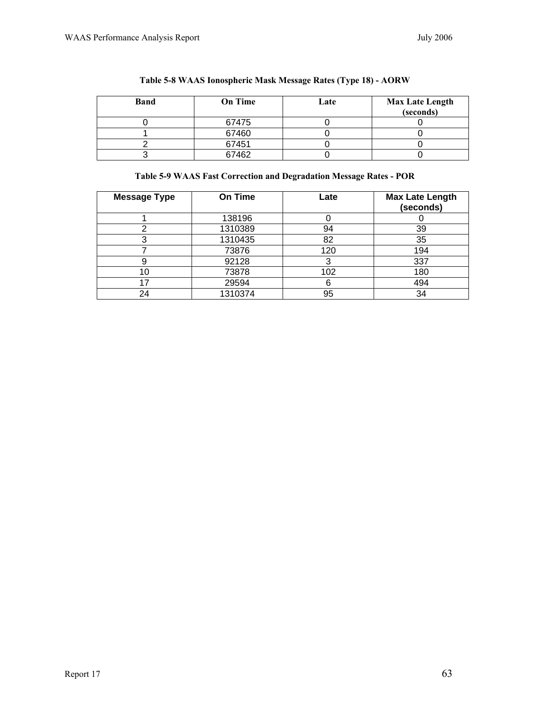| <b>Band</b> | <b>On Time</b> | Late | <b>Max Late Length</b><br>(seconds) |
|-------------|----------------|------|-------------------------------------|
|             | 67475          |      |                                     |
|             | 67460          |      |                                     |
|             | 67451          |      |                                     |
|             | 67462          |      |                                     |

|  |  | Table 5-8 WAAS Ionospheric Mask Message Rates (Type 18) - AORW |  |  |  |  |  |  |
|--|--|----------------------------------------------------------------|--|--|--|--|--|--|
|--|--|----------------------------------------------------------------|--|--|--|--|--|--|

# **Table 5-9 WAAS Fast Correction and Degradation Message Rates - POR**

| <b>Message Type</b> | <b>On Time</b> | Late | <b>Max Late Length</b><br>(seconds) |
|---------------------|----------------|------|-------------------------------------|
|                     | 138196         |      |                                     |
| ◠                   | 1310389        | 94   | 39                                  |
| ⌒                   | 1310435        | 82   | 35                                  |
|                     | 73876          | 120  | 194                                 |
|                     | 92128          | 3    | 337                                 |
| 10                  | 73878          | 102  | 180                                 |
| 17                  | 29594          | 6    | 494                                 |
| 24                  | 1310374        | 95   | 34                                  |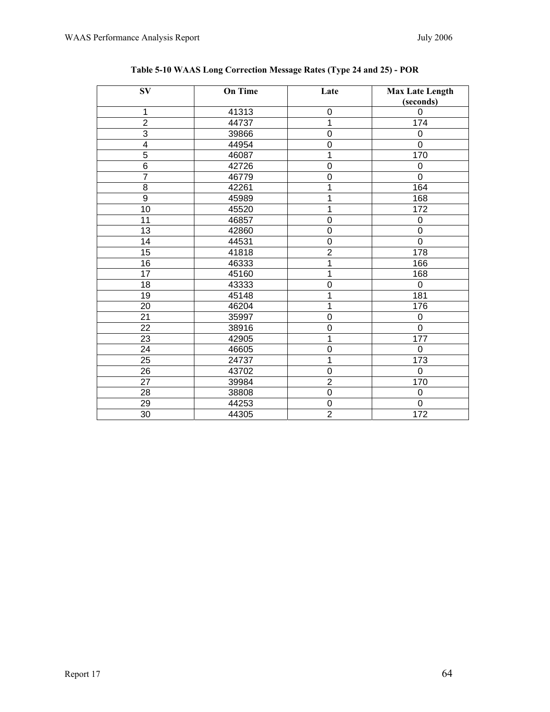| $S_{V}$         | <b>On Time</b> | Late           | <b>Max Late Length</b><br>(seconds) |
|-----------------|----------------|----------------|-------------------------------------|
| 1               | 41313          | $\mathbf 0$    | $\overline{0}$                      |
| $\overline{2}$  | 44737          | 1              | 174                                 |
| $\overline{3}$  | 39866          | $\overline{0}$ | 0                                   |
| $\overline{4}$  | 44954          | $\overline{0}$ | $\overline{0}$                      |
| $\overline{5}$  | 46087          | 1              | 170                                 |
| $\overline{6}$  | 42726          | $\mathbf 0$    | $\mathbf 0$                         |
| $\overline{7}$  | 46779          | $\overline{0}$ | $\overline{0}$                      |
| $\overline{8}$  | 42261          | 1              | 164                                 |
| $\overline{9}$  | 45989          | 1              | 168                                 |
| 10              | 45520          | 1              | 172                                 |
| 11              | 46857          | $\overline{0}$ | $\mathbf 0$                         |
| 13              | 42860          | $\overline{0}$ | $\overline{0}$                      |
| 14              | 44531          | $\mathbf 0$    | $\overline{0}$                      |
| 15              | 41818          | $\overline{2}$ | 178                                 |
| 16              | 46333          | 1              | 166                                 |
| 17              | 45160          | 1              | 168                                 |
| 18              | 43333          | $\overline{0}$ | $\mathbf 0$                         |
| 19              | 45148          | 1              | 181                                 |
| 20              | 46204          | 1              | 176                                 |
| 21              | 35997          | $\mathbf 0$    | $\boldsymbol{0}$                    |
| $\overline{22}$ | 38916          | $\mathbf 0$    | $\mathbf 0$                         |
| 23              | 42905          | 1              | $\overline{177}$                    |
| 24              | 46605          | $\overline{0}$ | $\overline{0}$                      |
| 25              | 24737          | 1              | 173                                 |
| 26              | 43702          | $\mathbf 0$    | $\mathbf 0$                         |
| 27              | 39984          | $\overline{2}$ | 170                                 |
| 28              | 38808          | $\overline{0}$ | $\overline{0}$                      |
| 29              | 44253          | $\mathbf 0$    | $\mathbf 0$                         |
| 30              | 44305          | $\overline{2}$ | 172                                 |

# **Table 5-10 WAAS Long Correction Message Rates (Type 24 and 25) - POR**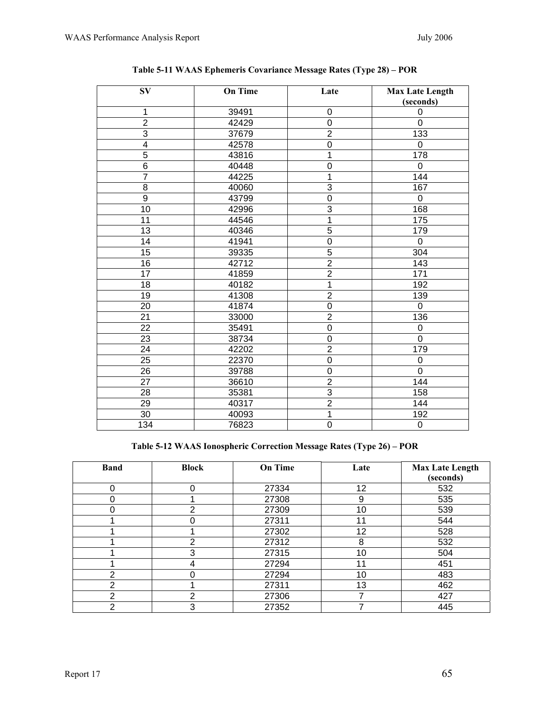| $S_{V}$         | <b>On Time</b> | Late             | <b>Max Late Length</b> |
|-----------------|----------------|------------------|------------------------|
|                 |                |                  | (seconds)              |
| 1               | 39491          | $\boldsymbol{0}$ | $\mathbf 0$            |
| $\overline{2}$  | 42429          | $\overline{0}$   | $\overline{0}$         |
| 3               | 37679          | $\overline{2}$   | 133                    |
| $\overline{4}$  | 42578          | $\mathbf 0$      | 0                      |
| $\overline{5}$  | 43816          | $\mathbf{1}$     | 178                    |
| $\overline{6}$  | 40448          | $\mathbf 0$      | $\mathbf 0$            |
| $\overline{7}$  | 44225          | $\mathbf{1}$     | 144                    |
| 8               | 40060          | $\overline{3}$   | 167                    |
| $\overline{9}$  | 43799          | $\overline{0}$   | $\mathbf 0$            |
| 10              | 42996          | 3                | 168                    |
| 11              | 44546          | $\mathbf{1}$     | 175                    |
| 13              | 40346          | $\overline{5}$   | 179                    |
| $\overline{14}$ | 41941          | $\overline{0}$   | $\mathbf 0$            |
| 15              | 39335          | $\overline{5}$   | 304                    |
| 16              | 42712          | $\overline{2}$   | 143                    |
| 17              | 41859          | $\overline{2}$   | 171                    |
| 18              | 40182          | 1                | 192                    |
| 19              | 41308          | $\overline{2}$   | 139                    |
| 20              | 41874          | $\mathbf 0$      | $\mathbf 0$            |
| 21              | 33000          | $\overline{2}$   | 136                    |
| 22              | 35491          | $\mathbf 0$      | $\overline{0}$         |
| 23              | 38734          | $\mathbf 0$      | $\mathbf 0$            |
| 24              | 42202          | $\overline{2}$   | 179                    |
| 25              | 22370          | $\mathbf 0$      | $\pmb{0}$              |
| 26              | 39788          | $\mathbf 0$      | $\overline{0}$         |
| 27              | 36610          | $\overline{2}$   | 144                    |
| 28              | 35381          | 3                | 158                    |
| 29              | 40317          | $\overline{2}$   | 144                    |
| 30              | 40093          | $\mathbf{1}$     | 192                    |
| 134             | 76823          | $\mathbf 0$      | $\boldsymbol{0}$       |

| Table 5-11 WAAS Ephemeris Covariance Message Rates (Type 28) – POR |  |  |  |
|--------------------------------------------------------------------|--|--|--|
|                                                                    |  |  |  |

**Table 5-12 WAAS Ionospheric Correction Message Rates (Type 26) – POR** 

| <b>Band</b>    | <b>Block</b> | <b>On Time</b> | Late | <b>Max Late Length</b><br>(seconds) |
|----------------|--------------|----------------|------|-------------------------------------|
| 0              | 0            | 27334          | 12   | 532                                 |
|                |              | 27308          | 9    | 535                                 |
|                | っ            | 27309          | 10   | 539                                 |
|                |              | 27311          | 11   | 544                                 |
|                |              | 27302          | 12   | 528                                 |
|                | 2            | 27312          | 8    | 532                                 |
|                | 3            | 27315          | 10   | 504                                 |
|                | 4            | 27294          | 11   | 451                                 |
| $\overline{2}$ |              | 27294          | 10   | 483                                 |
| ⌒              |              | 27311          | 13   | 462                                 |
| っ              | っ            | 27306          |      | 427                                 |
| っ              | 3            | 27352          |      | 445                                 |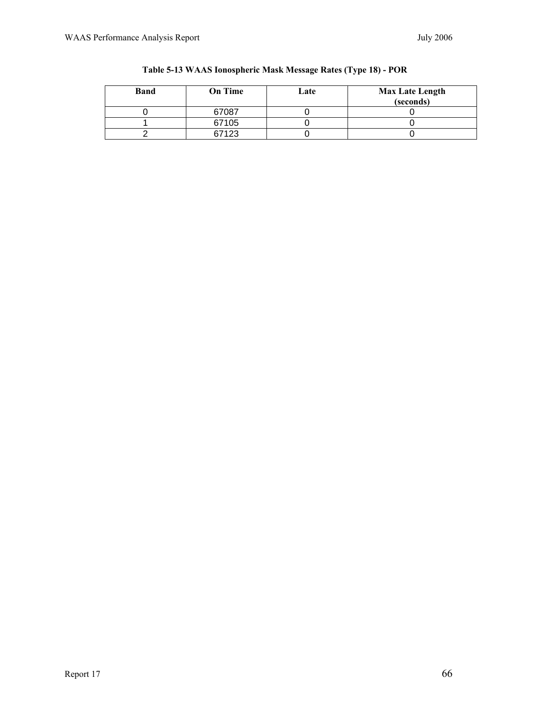| <b>Band</b> | <b>On Time</b> | Late | <b>Max Late Length</b><br>(seconds) |
|-------------|----------------|------|-------------------------------------|
|             | 67087          |      |                                     |
|             | 67105          |      |                                     |
|             | 67123          |      |                                     |

|  | Table 5-13 WAAS Ionospheric Mask Message Rates (Type 18) - POR |  |  |
|--|----------------------------------------------------------------|--|--|
|  |                                                                |  |  |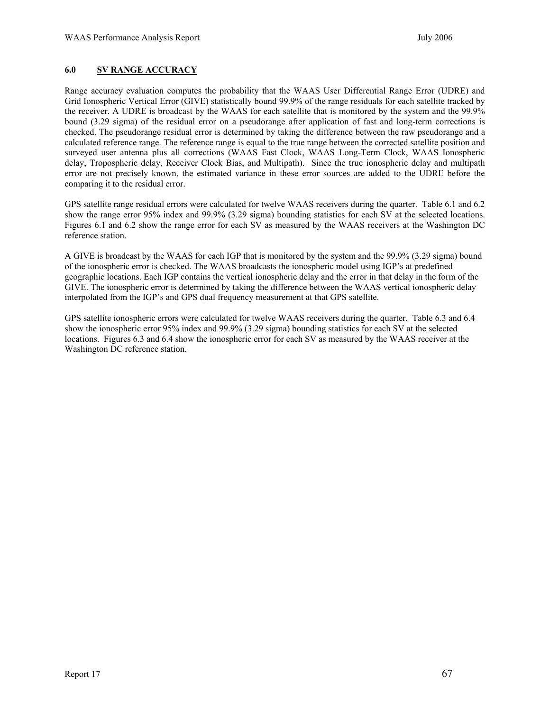### **6.0 SV RANGE ACCURACY**

Range accuracy evaluation computes the probability that the WAAS User Differential Range Error (UDRE) and Grid Ionospheric Vertical Error (GIVE) statistically bound 99.9% of the range residuals for each satellite tracked by the receiver. A UDRE is broadcast by the WAAS for each satellite that is monitored by the system and the 99.9% bound (3.29 sigma) of the residual error on a pseudorange after application of fast and long-term corrections is checked. The pseudorange residual error is determined by taking the difference between the raw pseudorange and a calculated reference range. The reference range is equal to the true range between the corrected satellite position and surveyed user antenna plus all corrections (WAAS Fast Clock, WAAS Long-Term Clock, WAAS Ionospheric delay, Tropospheric delay, Receiver Clock Bias, and Multipath). Since the true ionospheric delay and multipath error are not precisely known, the estimated variance in these error sources are added to the UDRE before the comparing it to the residual error.

GPS satellite range residual errors were calculated for twelve WAAS receivers during the quarter. Table 6.1 and 6.2 show the range error 95% index and 99.9% (3.29 sigma) bounding statistics for each SV at the selected locations. Figures 6.1 and 6.2 show the range error for each SV as measured by the WAAS receivers at the Washington DC reference station.

A GIVE is broadcast by the WAAS for each IGP that is monitored by the system and the 99.9% (3.29 sigma) bound of the ionospheric error is checked. The WAAS broadcasts the ionospheric model using IGP's at predefined geographic locations. Each IGP contains the vertical ionospheric delay and the error in that delay in the form of the GIVE. The ionospheric error is determined by taking the difference between the WAAS vertical ionospheric delay interpolated from the IGP's and GPS dual frequency measurement at that GPS satellite.

GPS satellite ionospheric errors were calculated for twelve WAAS receivers during the quarter. Table 6.3 and 6.4 show the ionospheric error 95% index and 99.9% (3.29 sigma) bounding statistics for each SV at the selected locations. Figures 6.3 and 6.4 show the ionospheric error for each SV as measured by the WAAS receiver at the Washington DC reference station.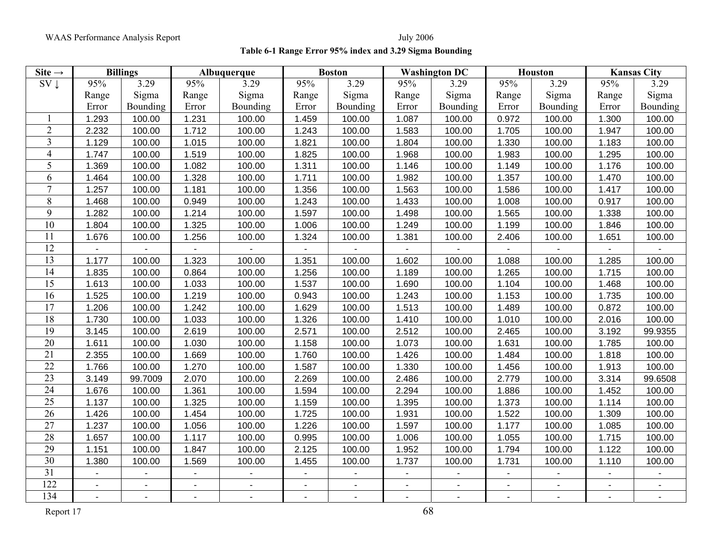WAAS Performance Analysis Report July 2006

## **Table 6-1 Range Error 95% index and 3.29 Sigma Bounding**

| Site $\rightarrow$ |                | <b>Billings</b> |                          | Albuquerque    |                | <b>Boston</b>            |                | <b>Washington DC</b>     |                | <b>Houston</b> |                | <b>Kansas City</b> |
|--------------------|----------------|-----------------|--------------------------|----------------|----------------|--------------------------|----------------|--------------------------|----------------|----------------|----------------|--------------------|
| $SV \downarrow$    | 95%            | 3.29            | 95%                      | 3.29           | 95%            | 3.29                     | 95%            | 3.29                     | 95%            | 3.29           | 95%            | 3.29               |
|                    | Range          | Sigma           | Range                    | Sigma          | Range          | Sigma                    | Range          | Sigma                    | Range          | Sigma          | Range          | Sigma              |
|                    | Error          | Bounding        | Error                    | Bounding       | Error          | Bounding                 | Error          | Bounding                 | Error          | Bounding       | Error          | Bounding           |
|                    | 1.293          | 100.00          | 1.231                    | 100.00         | 1.459          | 100.00                   | 1.087          | 100.00                   | 0.972          | 100.00         | 1.300          | 100.00             |
| $\overline{2}$     | 2.232          | 100.00          | 1.712                    | 100.00         | 1.243          | 100.00                   | 1.583          | 100.00                   | 1.705          | 100.00         | 1.947          | 100.00             |
| $\overline{3}$     | 1.129          | 100.00          | 1.015                    | 100.00         | 1.821          | 100.00                   | 1.804          | 100.00                   | 1.330          | 100.00         | 1.183          | 100.00             |
| $\overline{4}$     | 1.747          | 100.00          | 1.519                    | 100.00         | 1.825          | 100.00                   | 1.968          | 100.00                   | 1.983          | 100.00         | 1.295          | 100.00             |
| 5                  | 1.369          | 100.00          | 1.082                    | 100.00         | 1.311          | 100.00                   | 1.146          | 100.00                   | 1.149          | 100.00         | 1.176          | 100.00             |
| 6                  | 1.464          | 100.00          | 1.328                    | 100.00         | 1.711          | 100.00                   | 1.982          | 100.00                   | 1.357          | 100.00         | 1.470          | 100.00             |
| $\tau$             | 1.257          | 100.00          | 1.181                    | 100.00         | 1.356          | 100.00                   | 1.563          | 100.00                   | 1.586          | 100.00         | 1.417          | 100.00             |
| 8                  | 1.468          | 100.00          | 0.949                    | 100.00         | 1.243          | 100.00                   | 1.433          | 100.00                   | 1.008          | 100.00         | 0.917          | 100.00             |
| 9                  | 1.282          | 100.00          | 1.214                    | 100.00         | 1.597          | 100.00                   | 1.498          | 100.00                   | 1.565          | 100.00         | 1.338          | 100.00             |
| 10                 | 1.804          | 100.00          | 1.325                    | 100.00         | 1.006          | 100.00                   | 1.249          | 100.00                   | 1.199          | 100.00         | 1.846          | 100.00             |
| 11                 | 1.676          | 100.00          | 1.256                    | 100.00         | 1.324          | 100.00                   | 1.381          | 100.00                   | 2.406          | 100.00         | 1.651          | 100.00             |
| 12                 | $\blacksquare$ |                 | $\blacksquare$           |                |                |                          | $\blacksquare$ |                          | $\blacksquare$ |                |                |                    |
| 13                 | 1.177          | 100.00          | 1.323                    | 100.00         | 1.351          | 100.00                   | 1.602          | 100.00                   | 1.088          | 100.00         | 1.285          | 100.00             |
| 14                 | 1.835          | 100.00          | 0.864                    | 100.00         | 1.256          | 100.00                   | 1.189          | 100.00                   | 1.265          | 100.00         | 1.715          | 100.00             |
| 15                 | 1.613          | 100.00          | 1.033                    | 100.00         | 1.537          | 100.00                   | 1.690          | 100.00                   | 1.104          | 100.00         | 1.468          | 100.00             |
| 16                 | 1.525          | 100.00          | 1.219                    | 100.00         | 0.943          | 100.00                   | 1.243          | 100.00                   | 1.153          | 100.00         | 1.735          | 100.00             |
| 17                 | 1.206          | 100.00          | 1.242                    | 100.00         | 1.629          | 100.00                   | 1.513          | 100.00                   | 1.489          | 100.00         | 0.872          | 100.00             |
| 18                 | 1.730          | 100.00          | 1.033                    | 100.00         | 1.326          | 100.00                   | 1.410          | 100.00                   | 1.010          | 100.00         | 2.016          | 100.00             |
| 19                 | 3.145          | 100.00          | 2.619                    | 100.00         | 2.571          | 100.00                   | 2.512          | 100.00                   | 2.465          | 100.00         | 3.192          | 99.9355            |
| 20                 | 1.611          | 100.00          | 1.030                    | 100.00         | 1.158          | 100.00                   | 1.073          | 100.00                   | 1.631          | 100.00         | 1.785          | 100.00             |
| 21                 | 2.355          | 100.00          | 1.669                    | 100.00         | 1.760          | 100.00                   | 1.426          | 100.00                   | 1.484          | 100.00         | 1.818          | 100.00             |
| 22                 | 1.766          | 100.00          | 1.270                    | 100.00         | 1.587          | 100.00                   | 1.330          | 100.00                   | 1.456          | 100.00         | 1.913          | 100.00             |
| 23                 | 3.149          | 99.7009         | 2.070                    | 100.00         | 2.269          | 100.00                   | 2.486          | 100.00                   | 2.779          | 100.00         | 3.314          | 99.6508            |
| 24                 | 1.676          | 100.00          | 1.361                    | 100.00         | 1.594          | 100.00                   | 2.294          | 100.00                   | 1.886          | 100.00         | 1.452          | 100.00             |
| 25                 | 1.137          | 100.00          | 1.325                    | 100.00         | 1.159          | 100.00                   | 1.395          | 100.00                   | 1.373          | 100.00         | 1.114          | 100.00             |
| 26                 | 1.426          | 100.00          | 1.454                    | 100.00         | 1.725          | 100.00                   | 1.931          | 100.00                   | 1.522          | 100.00         | 1.309          | 100.00             |
| 27                 | 1.237          | 100.00          | 1.056                    | 100.00         | 1.226          | 100.00                   | 1.597          | 100.00                   | 1.177          | 100.00         | 1.085          | 100.00             |
| 28                 | 1.657          | 100.00          | 1.117                    | 100.00         | 0.995          | 100.00                   | 1.006          | 100.00                   | 1.055          | 100.00         | 1.715          | 100.00             |
| 29                 | 1.151          | 100.00          | 1.847                    | 100.00         | 2.125          | 100.00                   | 1.952          | 100.00                   | 1.794          | 100.00         | 1.122          | 100.00             |
| 30                 | 1.380          | 100.00          | 1.569                    | 100.00         | 1.455          | 100.00                   | 1.737          | 100.00                   | 1.731          | 100.00         | 1.110          | 100.00             |
| 31                 | $\blacksquare$ |                 | $\blacksquare$           |                | $\blacksquare$ |                          | $\blacksquare$ | $\blacksquare$           | $\blacksquare$ | $\blacksquare$ | $\blacksquare$ |                    |
| 122                | $\blacksquare$ |                 | $\overline{\phantom{a}}$ | $\blacksquare$ |                | $\overline{\phantom{a}}$ | $\blacksquare$ | $\overline{\phantom{0}}$ |                | $\blacksquare$ |                |                    |
| 134                |                |                 |                          | $\mathbf{r}$   |                | L,                       |                |                          |                | $\blacksquare$ |                |                    |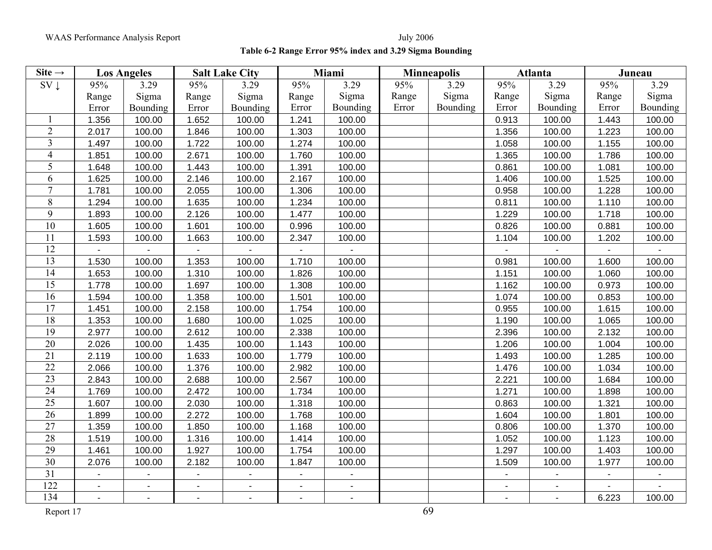## **Table 6-2 Range Error 95% index and 3.29 Sigma Bounding**

| Site $\rightarrow$ |                | <b>Los Angeles</b> |                | <b>Salt Lake City</b> |                          | Miami                    |       | <b>Minneapolis</b> |                | <b>Atlanta</b> |                          | Juneau          |
|--------------------|----------------|--------------------|----------------|-----------------------|--------------------------|--------------------------|-------|--------------------|----------------|----------------|--------------------------|-----------------|
| $SV \downarrow$    | 95%            | 3.29               | 95%            | 3.29                  | 95%                      | 3.29                     | 95%   | 3.29               | 95%            | 3.29           | 95%                      | 3.29            |
|                    | Range          | Sigma              | Range          | Sigma                 | Range                    | Sigma                    | Range | Sigma              | Range          | Sigma          | Range                    | Sigma           |
|                    | Error          | Bounding           | Error          | Bounding              | Error                    | Bounding                 | Error | Bounding           | Error          | Bounding       | Error                    | <b>Bounding</b> |
|                    | 1.356          | 100.00             | 1.652          | 100.00                | 1.241                    | 100.00                   |       |                    | 0.913          | 100.00         | 1.443                    | 100.00          |
| $\overline{2}$     | 2.017          | 100.00             | 1.846          | 100.00                | 1.303                    | 100.00                   |       |                    | 1.356          | 100.00         | 1.223                    | 100.00          |
| 3                  | 1.497          | 100.00             | 1.722          | 100.00                | 1.274                    | 100.00                   |       |                    | 1.058          | 100.00         | 1.155                    | 100.00          |
| $\overline{4}$     | 1.851          | 100.00             | 2.671          | 100.00                | 1.760                    | 100.00                   |       |                    | 1.365          | 100.00         | 1.786                    | 100.00          |
| 5                  | 1.648          | 100.00             | 1.443          | 100.00                | 1.391                    | 100.00                   |       |                    | 0.861          | 100.00         | 1.081                    | 100.00          |
| 6                  | 1.625          | 100.00             | 2.146          | 100.00                | 2.167                    | 100.00                   |       |                    | 1.406          | 100.00         | 1.525                    | 100.00          |
| $\overline{7}$     | 1.781          | 100.00             | 2.055          | 100.00                | 1.306                    | 100.00                   |       |                    | 0.958          | 100.00         | 1.228                    | 100.00          |
| 8                  | 1.294          | 100.00             | 1.635          | 100.00                | 1.234                    | 100.00                   |       |                    | 0.811          | 100.00         | 1.110                    | 100.00          |
| 9                  | 1.893          | 100.00             | 2.126          | 100.00                | 1.477                    | 100.00                   |       |                    | 1.229          | 100.00         | 1.718                    | 100.00          |
| 10                 | 1.605          | 100.00             | 1.601          | 100.00                | 0.996                    | 100.00                   |       |                    | 0.826          | 100.00         | 0.881                    | 100.00          |
| 11                 | 1.593          | 100.00             | 1.663          | 100.00                | 2.347                    | 100.00                   |       |                    | 1.104          | 100.00         | 1.202                    | 100.00          |
| 12                 | $\sim$         |                    |                |                       | $\overline{\phantom{0}}$ |                          |       |                    | $\blacksquare$ |                | $\blacksquare$           |                 |
| 13                 | 1.530          | 100.00             | 1.353          | 100.00                | 1.710                    | 100.00                   |       |                    | 0.981          | 100.00         | 1.600                    | 100.00          |
| 14                 | 1.653          | 100.00             | 1.310          | 100.00                | 1.826                    | 100.00                   |       |                    | 1.151          | 100.00         | 1.060                    | 100.00          |
| 15                 | 1.778          | 100.00             | 1.697          | 100.00                | 1.308                    | 100.00                   |       |                    | 1.162          | 100.00         | 0.973                    | 100.00          |
| 16                 | 1.594          | 100.00             | 1.358          | 100.00                | 1.501                    | 100.00                   |       |                    | 1.074          | 100.00         | 0.853                    | 100.00          |
| 17                 | 1.451          | 100.00             | 2.158          | 100.00                | 1.754                    | 100.00                   |       |                    | 0.955          | 100.00         | 1.615                    | 100.00          |
| 18                 | 1.353          | 100.00             | 1.680          | 100.00                | 1.025                    | 100.00                   |       |                    | 1.190          | 100.00         | 1.065                    | 100.00          |
| 19                 | 2.977          | 100.00             | 2.612          | 100.00                | 2.338                    | 100.00                   |       |                    | 2.396          | 100.00         | 2.132                    | 100.00          |
| 20                 | 2.026          | 100.00             | 1.435          | 100.00                | 1.143                    | 100.00                   |       |                    | 1.206          | 100.00         | 1.004                    | 100.00          |
| 21                 | 2.119          | 100.00             | 1.633          | 100.00                | 1.779                    | 100.00                   |       |                    | 1.493          | 100.00         | 1.285                    | 100.00          |
| 22                 | 2.066          | 100.00             | 1.376          | 100.00                | 2.982                    | 100.00                   |       |                    | 1.476          | 100.00         | 1.034                    | 100.00          |
| 23                 | 2.843          | 100.00             | 2.688          | 100.00                | 2.567                    | 100.00                   |       |                    | 2.221          | 100.00         | 1.684                    | 100.00          |
| 24                 | 1.769          | 100.00             | 2.472          | 100.00                | 1.734                    | 100.00                   |       |                    | 1.271          | 100.00         | 1.898                    | 100.00          |
| 25                 | 1.607          | 100.00             | 2.030          | 100.00                | 1.318                    | 100.00                   |       |                    | 0.863          | 100.00         | 1.321                    | 100.00          |
| 26                 | 1.899          | 100.00             | 2.272          | 100.00                | 1.768                    | 100.00                   |       |                    | 1.604          | 100.00         | 1.801                    | 100.00          |
| 27                 | 1.359          | 100.00             | 1.850          | 100.00                | 1.168                    | 100.00                   |       |                    | 0.806          | 100.00         | 1.370                    | 100.00          |
| 28                 | 1.519          | 100.00             | 1.316          | 100.00                | 1.414                    | 100.00                   |       |                    | 1.052          | 100.00         | 1.123                    | 100.00          |
| 29                 | 1.461          | 100.00             | 1.927          | 100.00                | 1.754                    | 100.00                   |       |                    | 1.297          | 100.00         | 1.403                    | 100.00          |
| 30                 | 2.076          | 100.00             | 2.182          | 100.00                | 1.847                    | 100.00                   |       |                    | 1.509          | 100.00         | 1.977                    | 100.00          |
| 31                 | $\mathbf{u}$   | $\blacksquare$     | $\overline{a}$ | ä,                    | $\blacksquare$           | $\overline{\phantom{0}}$ |       |                    | $\mathbf{u}$   | $\blacksquare$ | $\overline{\phantom{a}}$ |                 |
| 122                | $\blacksquare$ | $\mathbf{r}$       | $\blacksquare$ | $\blacksquare$        | $\blacksquare$           | $\overline{\phantom{a}}$ |       |                    | $\blacksquare$ | $\blacksquare$ |                          |                 |
| 134                | $\blacksquare$ | $\blacksquare$     | $\sim$         | $\blacksquare$        | $\blacksquare$           | ÷,                       |       |                    | $\blacksquare$ | $\blacksquare$ | 6.223                    | 100.00          |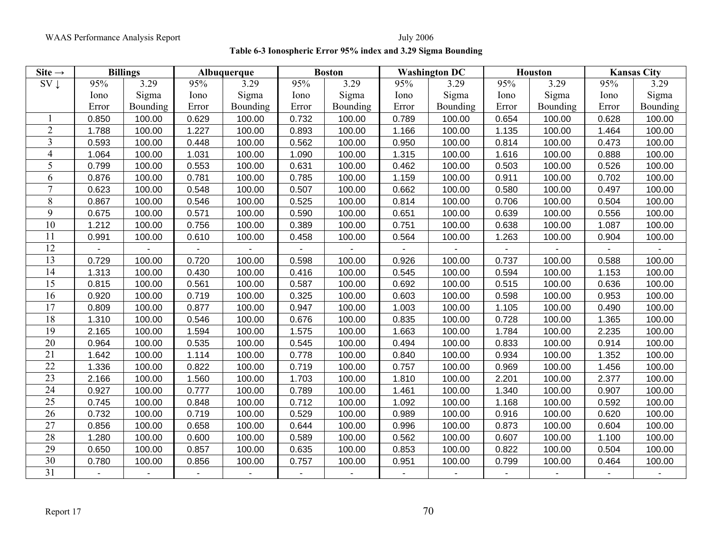WAAS Performance Analysis Report July 2006

**Table 6-3 Ionospheric Error 95% index and 3.29 Sigma Bounding**

| Site $\rightarrow$ |       | <b>Billings</b> |       | Albuquerque |       | <b>Boston</b> |       | <b>Washington DC</b> |       | <b>Houston</b> |       | <b>Kansas City</b> |
|--------------------|-------|-----------------|-------|-------------|-------|---------------|-------|----------------------|-------|----------------|-------|--------------------|
| $SV \downarrow$    | 95%   | 3.29            | 95%   | 3.29        | 95%   | 3.29          | 95%   | 3.29                 | 95%   | 3.29           | 95%   | 3.29               |
|                    | Iono  | Sigma           | Iono  | Sigma       | Iono  | Sigma         | Iono  | Sigma                | Iono  | Sigma          | Iono  | Sigma              |
|                    | Error | Bounding        | Error | Bounding    | Error | Bounding      | Error | Bounding             | Error | Bounding       | Error | Bounding           |
|                    | 0.850 | 100.00          | 0.629 | 100.00      | 0.732 | 100.00        | 0.789 | 100.00               | 0.654 | 100.00         | 0.628 | 100.00             |
| $\overline{2}$     | 1.788 | 100.00          | 1.227 | 100.00      | 0.893 | 100.00        | 1.166 | 100.00               | 1.135 | 100.00         | 1.464 | 100.00             |
| $\overline{3}$     | 0.593 | 100.00          | 0.448 | 100.00      | 0.562 | 100.00        | 0.950 | 100.00               | 0.814 | 100.00         | 0.473 | 100.00             |
| $\overline{4}$     | 1.064 | 100.00          | 1.031 | 100.00      | 1.090 | 100.00        | 1.315 | 100.00               | 1.616 | 100.00         | 0.888 | 100.00             |
| 5                  | 0.799 | 100.00          | 0.553 | 100.00      | 0.631 | 100.00        | 0.462 | 100.00               | 0.503 | 100.00         | 0.526 | 100.00             |
| 6                  | 0.876 | 100.00          | 0.781 | 100.00      | 0.785 | 100.00        | 1.159 | 100.00               | 0.911 | 100.00         | 0.702 | 100.00             |
| 7                  | 0.623 | 100.00          | 0.548 | 100.00      | 0.507 | 100.00        | 0.662 | 100.00               | 0.580 | 100.00         | 0.497 | 100.00             |
| 8                  | 0.867 | 100.00          | 0.546 | 100.00      | 0.525 | 100.00        | 0.814 | 100.00               | 0.706 | 100.00         | 0.504 | 100.00             |
| 9                  | 0.675 | 100.00          | 0.571 | 100.00      | 0.590 | 100.00        | 0.651 | 100.00               | 0.639 | 100.00         | 0.556 | 100.00             |
| 10                 | 1.212 | 100.00          | 0.756 | 100.00      | 0.389 | 100.00        | 0.751 | 100.00               | 0.638 | 100.00         | 1.087 | 100.00             |
| 11                 | 0.991 | 100.00          | 0.610 | 100.00      | 0.458 | 100.00        | 0.564 | 100.00               | 1.263 | 100.00         | 0.904 | 100.00             |
| 12                 |       |                 |       |             |       |               |       |                      |       |                |       |                    |
| 13                 | 0.729 | 100.00          | 0.720 | 100.00      | 0.598 | 100.00        | 0.926 | 100.00               | 0.737 | 100.00         | 0.588 | 100.00             |
| 14                 | 1.313 | 100.00          | 0.430 | 100.00      | 0.416 | 100.00        | 0.545 | 100.00               | 0.594 | 100.00         | 1.153 | 100.00             |
| 15                 | 0.815 | 100.00          | 0.561 | 100.00      | 0.587 | 100.00        | 0.692 | 100.00               | 0.515 | 100.00         | 0.636 | 100.00             |
| 16                 | 0.920 | 100.00          | 0.719 | 100.00      | 0.325 | 100.00        | 0.603 | 100.00               | 0.598 | 100.00         | 0.953 | 100.00             |
| 17                 | 0.809 | 100.00          | 0.877 | 100.00      | 0.947 | 100.00        | 1.003 | 100.00               | 1.105 | 100.00         | 0.490 | 100.00             |
| 18                 | 1.310 | 100.00          | 0.546 | 100.00      | 0.676 | 100.00        | 0.835 | 100.00               | 0.728 | 100.00         | 1.365 | 100.00             |
| 19                 | 2.165 | 100.00          | 1.594 | 100.00      | 1.575 | 100.00        | 1.663 | 100.00               | 1.784 | 100.00         | 2.235 | 100.00             |
| 20                 | 0.964 | 100.00          | 0.535 | 100.00      | 0.545 | 100.00        | 0.494 | 100.00               | 0.833 | 100.00         | 0.914 | 100.00             |
| 21                 | 1.642 | 100.00          | 1.114 | 100.00      | 0.778 | 100.00        | 0.840 | 100.00               | 0.934 | 100.00         | 1.352 | 100.00             |
| 22                 | 1.336 | 100.00          | 0.822 | 100.00      | 0.719 | 100.00        | 0.757 | 100.00               | 0.969 | 100.00         | 1.456 | 100.00             |
| 23                 | 2.166 | 100.00          | 1.560 | 100.00      | 1.703 | 100.00        | 1.810 | 100.00               | 2.201 | 100.00         | 2.377 | 100.00             |
| 24                 | 0.927 | 100.00          | 0.777 | 100.00      | 0.789 | 100.00        | 1.461 | 100.00               | 1.340 | 100.00         | 0.907 | 100.00             |
| $\overline{25}$    | 0.745 | 100.00          | 0.848 | 100.00      | 0.712 | 100.00        | 1.092 | 100.00               | 1.168 | 100.00         | 0.592 | 100.00             |
| $\overline{26}$    | 0.732 | 100.00          | 0.719 | 100.00      | 0.529 | 100.00        | 0.989 | 100.00               | 0.916 | 100.00         | 0.620 | 100.00             |
| 27                 | 0.856 | 100.00          | 0.658 | 100.00      | 0.644 | 100.00        | 0.996 | 100.00               | 0.873 | 100.00         | 0.604 | 100.00             |
| $\overline{28}$    | 1.280 | 100.00          | 0.600 | 100.00      | 0.589 | 100.00        | 0.562 | 100.00               | 0.607 | 100.00         | 1.100 | 100.00             |
| 29                 | 0.650 | 100.00          | 0.857 | 100.00      | 0.635 | 100.00        | 0.853 | 100.00               | 0.822 | 100.00         | 0.504 | 100.00             |
| $\overline{30}$    | 0.780 | 100.00          | 0.856 | 100.00      | 0.757 | 100.00        | 0.951 | 100.00               | 0.799 | 100.00         | 0.464 | 100.00             |
| 31                 |       |                 |       |             |       |               |       |                      |       |                |       |                    |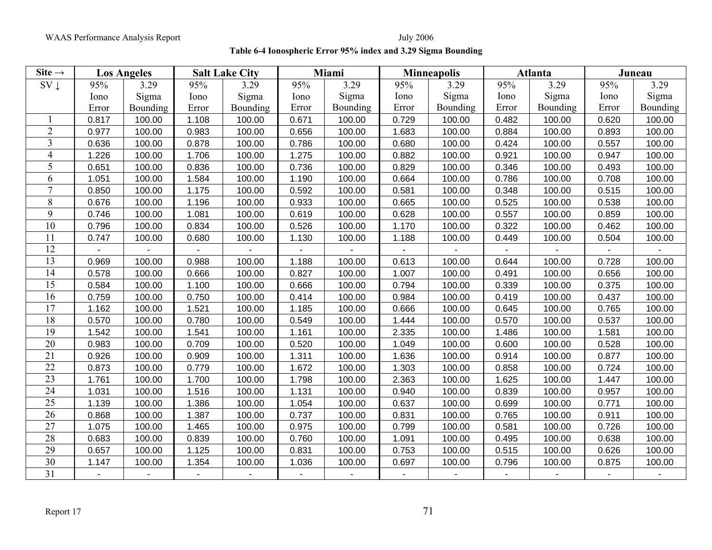**Table 6-4 Ionospheric Error 95% index and 3.29 Sigma Bounding**

| Site $\rightarrow$ |                | <b>Los Angeles</b> |       | <b>Salt Lake City</b> |       | Miami    |       | <b>Minneapolis</b> |       | Atlanta  |       | Juneau   |
|--------------------|----------------|--------------------|-------|-----------------------|-------|----------|-------|--------------------|-------|----------|-------|----------|
| $SV \downarrow$    | 95%            | 3.29               | 95%   | 3.29                  | 95%   | 3.29     | 95%   | 3.29               | 95%   | 3.29     | 95%   | 3.29     |
|                    | Iono           | Sigma              | Iono  | Sigma                 | Iono  | Sigma    | Iono  | Sigma              | Iono  | Sigma    | Iono  | Sigma    |
|                    | Error          | Bounding           | Error | Bounding              | Error | Bounding | Error | Bounding           | Error | Bounding | Error | Bounding |
|                    | 0.817          | 100.00             | 1.108 | 100.00                | 0.671 | 100.00   | 0.729 | 100.00             | 0.482 | 100.00   | 0.620 | 100.00   |
| $\overline{2}$     | 0.977          | 100.00             | 0.983 | 100.00                | 0.656 | 100.00   | 1.683 | 100.00             | 0.884 | 100.00   | 0.893 | 100.00   |
| 3                  | 0.636          | 100.00             | 0.878 | 100.00                | 0.786 | 100.00   | 0.680 | 100.00             | 0.424 | 100.00   | 0.557 | 100.00   |
| 4                  | 1.226          | 100.00             | 1.706 | 100.00                | 1.275 | 100.00   | 0.882 | 100.00             | 0.921 | 100.00   | 0.947 | 100.00   |
| 5                  | 0.651          | 100.00             | 0.836 | 100.00                | 0.736 | 100.00   | 0.829 | 100.00             | 0.346 | 100.00   | 0.493 | 100.00   |
| 6                  | 1.051          | 100.00             | 1.584 | 100.00                | 1.190 | 100.00   | 0.664 | 100.00             | 0.786 | 100.00   | 0.708 | 100.00   |
| $\overline{7}$     | 0.850          | 100.00             | 1.175 | 100.00                | 0.592 | 100.00   | 0.581 | 100.00             | 0.348 | 100.00   | 0.515 | 100.00   |
| 8                  | 0.676          | 100.00             | 1.196 | 100.00                | 0.933 | 100.00   | 0.665 | 100.00             | 0.525 | 100.00   | 0.538 | 100.00   |
| 9                  | 0.746          | 100.00             | 1.081 | 100.00                | 0.619 | 100.00   | 0.628 | 100.00             | 0.557 | 100.00   | 0.859 | 100.00   |
| 10                 | 0.796          | 100.00             | 0.834 | 100.00                | 0.526 | 100.00   | 1.170 | 100.00             | 0.322 | 100.00   | 0.462 | 100.00   |
| 11                 | 0.747          | 100.00             | 0.680 | 100.00                | 1.130 | 100.00   | 1.188 | 100.00             | 0.449 | 100.00   | 0.504 | 100.00   |
| 12                 |                |                    |       |                       |       |          |       |                    |       |          |       |          |
| 13                 | 0.969          | 100.00             | 0.988 | 100.00                | 1.188 | 100.00   | 0.613 | 100.00             | 0.644 | 100.00   | 0.728 | 100.00   |
| 14                 | 0.578          | 100.00             | 0.666 | 100.00                | 0.827 | 100.00   | 1.007 | 100.00             | 0.491 | 100.00   | 0.656 | 100.00   |
| 15                 | 0.584          | 100.00             | 1.100 | 100.00                | 0.666 | 100.00   | 0.794 | 100.00             | 0.339 | 100.00   | 0.375 | 100.00   |
| 16                 | 0.759          | 100.00             | 0.750 | 100.00                | 0.414 | 100.00   | 0.984 | 100.00             | 0.419 | 100.00   | 0.437 | 100.00   |
| 17                 | 1.162          | 100.00             | 1.521 | 100.00                | 1.185 | 100.00   | 0.666 | 100.00             | 0.645 | 100.00   | 0.765 | 100.00   |
| 18                 | 0.570          | 100.00             | 0.780 | 100.00                | 0.549 | 100.00   | 1.444 | 100.00             | 0.570 | 100.00   | 0.537 | 100.00   |
| 19                 | 1.542          | 100.00             | 1.541 | 100.00                | 1.161 | 100.00   | 2.335 | 100.00             | 1.486 | 100.00   | 1.581 | 100.00   |
| 20                 | 0.983          | 100.00             | 0.709 | 100.00                | 0.520 | 100.00   | 1.049 | 100.00             | 0.600 | 100.00   | 0.528 | 100.00   |
| 21                 | 0.926          | 100.00             | 0.909 | 100.00                | 1.311 | 100.00   | 1.636 | 100.00             | 0.914 | 100.00   | 0.877 | 100.00   |
| 22                 | 0.873          | 100.00             | 0.779 | 100.00                | 1.672 | 100.00   | 1.303 | 100.00             | 0.858 | 100.00   | 0.724 | 100.00   |
| 23                 | 1.761          | 100.00             | 1.700 | 100.00                | 1.798 | 100.00   | 2.363 | 100.00             | 1.625 | 100.00   | 1.447 | 100.00   |
| 24                 | 1.031          | 100.00             | 1.516 | 100.00                | 1.131 | 100.00   | 0.940 | 100.00             | 0.839 | 100.00   | 0.957 | 100.00   |
| $\overline{25}$    | 1.139          | 100.00             | 1.386 | 100.00                | 1.054 | 100.00   | 0.637 | 100.00             | 0.699 | 100.00   | 0.771 | 100.00   |
| $\overline{26}$    | 0.868          | 100.00             | 1.387 | 100.00                | 0.737 | 100.00   | 0.831 | 100.00             | 0.765 | 100.00   | 0.911 | 100.00   |
| 27                 | 1.075          | 100.00             | 1.465 | 100.00                | 0.975 | 100.00   | 0.799 | 100.00             | 0.581 | 100.00   | 0.726 | 100.00   |
| 28                 | 0.683          | 100.00             | 0.839 | 100.00                | 0.760 | 100.00   | 1.091 | 100.00             | 0.495 | 100.00   | 0.638 | 100.00   |
| $\overline{29}$    | 0.657          | 100.00             | 1.125 | 100.00                | 0.831 | 100.00   | 0.753 | 100.00             | 0.515 | 100.00   | 0.626 | 100.00   |
| 30                 | 1.147          | 100.00             | 1.354 | 100.00                | 1.036 | 100.00   | 0.697 | 100.00             | 0.796 | 100.00   | 0.875 | 100.00   |
| $\overline{31}$    | $\blacksquare$ |                    |       | $\blacksquare$        |       |          |       |                    |       |          |       |          |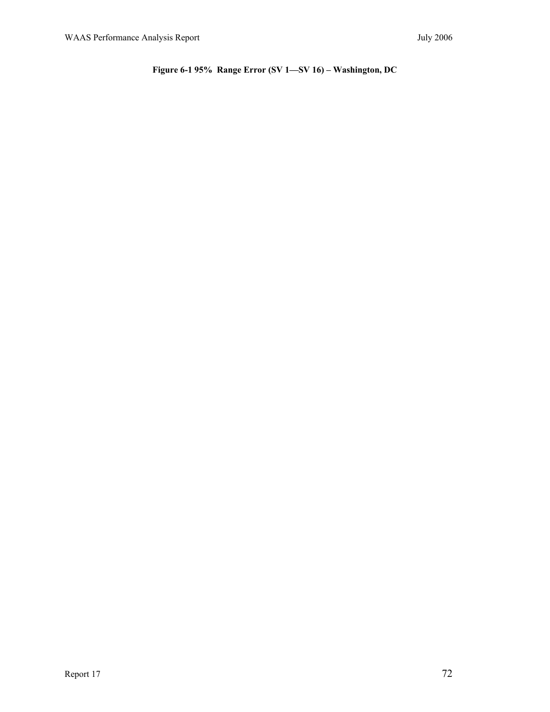**Figure 6-1 95% Range Error (SV 1—SV 16) – Washington, DC**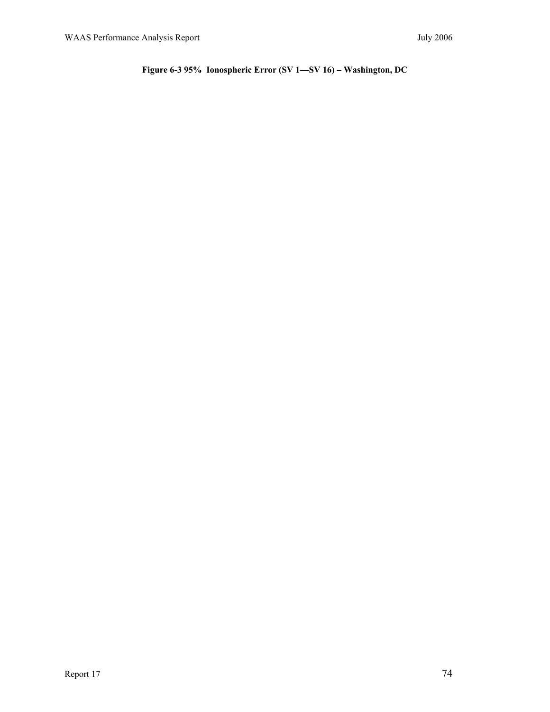# **Figure 6-3 95% Ionospheric Error (SV 1—SV 16) – Washington, DC**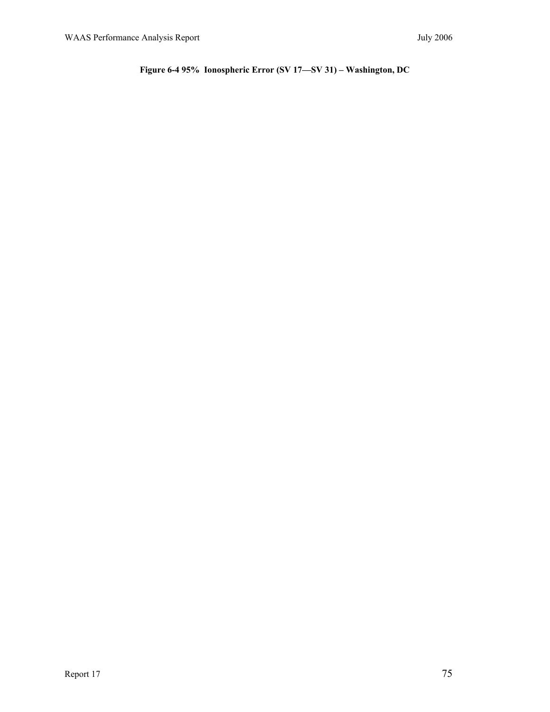# **Figure 6-4 95% Ionospheric Error (SV 17—SV 31) – Washington, DC**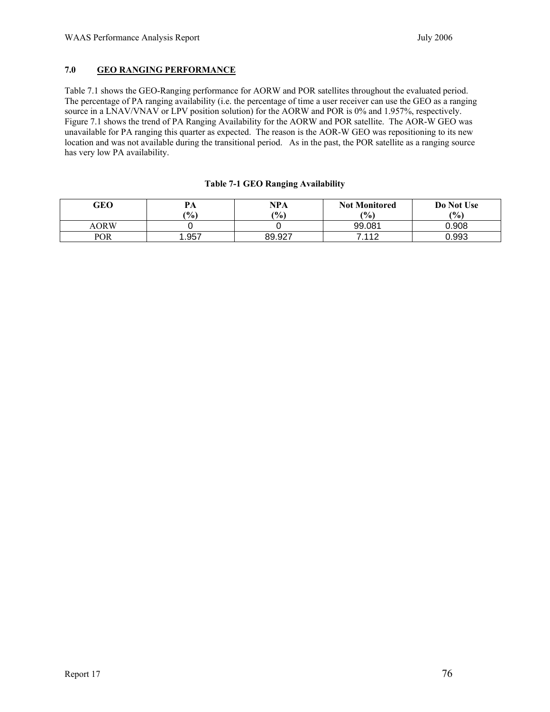## **7.0 GEO RANGING PERFORMANCE**

Table 7.1 shows the GEO-Ranging performance for AORW and POR satellites throughout the evaluated period. The percentage of PA ranging availability (i.e. the percentage of time a user receiver can use the GEO as a ranging source in a LNAV/VNAV or LPV position solution) for the AORW and POR is 0% and 1.957%, respectively. Figure 7.1 shows the trend of PA Ranging Availability for the AORW and POR satellite. The AOR-W GEO was unavailable for PA ranging this quarter as expected. The reason is the AOR-W GEO was repositioning to its new location and was not available during the transitional period. As in the past, the POR satellite as a ranging source has very low PA availability.

| GEO         | PА            | <b>NPA</b>          | <b>Not Monitored</b> | Do Not Use |
|-------------|---------------|---------------------|----------------------|------------|
|             | $\frac{9}{0}$ | $(%^{(0)}_{0})^{1}$ | (9/0)                | (%)        |
| <b>AORW</b> |               |                     | 99.081               | 0.908      |
| <b>POR</b>  | . 957         | 89.927              | 7.112                | 0.993      |

### **Table 7-1 GEO Ranging Availability**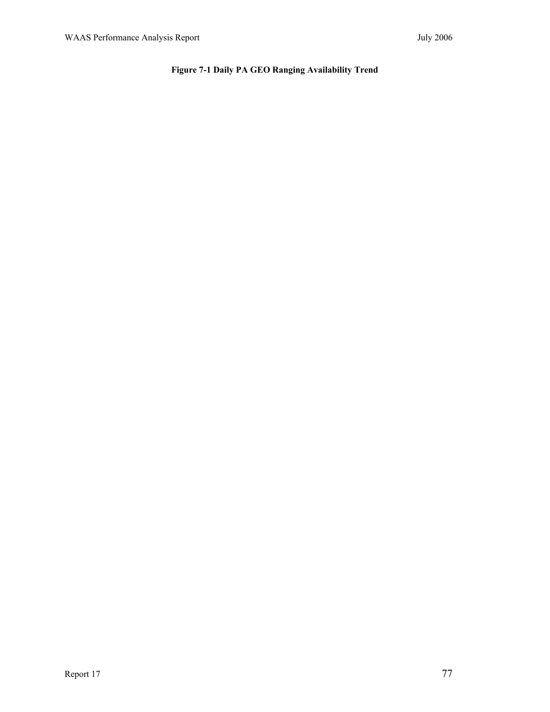# **Figure 7-1 Daily PA GEO Ranging Availability Trend**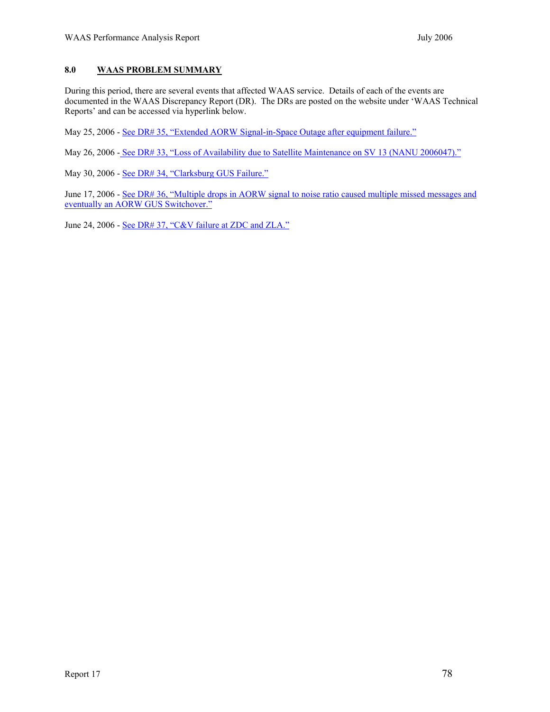## **8.0 WAAS PROBLEM SUMMARY**

During this period, there are several events that affected WAAS service. Details of each of the events are documented in the WAAS Discrepancy Report (DR). The DRs are posted on the website under 'WAAS Technical Reports' and can be accessed via hyperlink below.

May 25, 2006 - See DR# 35, "Extended AORW Signal-in-Space Outage after equipment failure."

May 26, 2006 - See DR# 33, "Loss of Availability due to Satellite Maintenance on SV 13 (NANU 2006047)."

May 30, 2006 - See DR# 34, "Clarksburg GUS Failure."

June 17, 2006 - See DR# 36, "Multiple drops in AORW signal to noise ratio caused multiple missed messages and eventually an AORW GUS Switchover."

June 24, 2006 - See DR# 37, "C&V failure at ZDC and ZLA."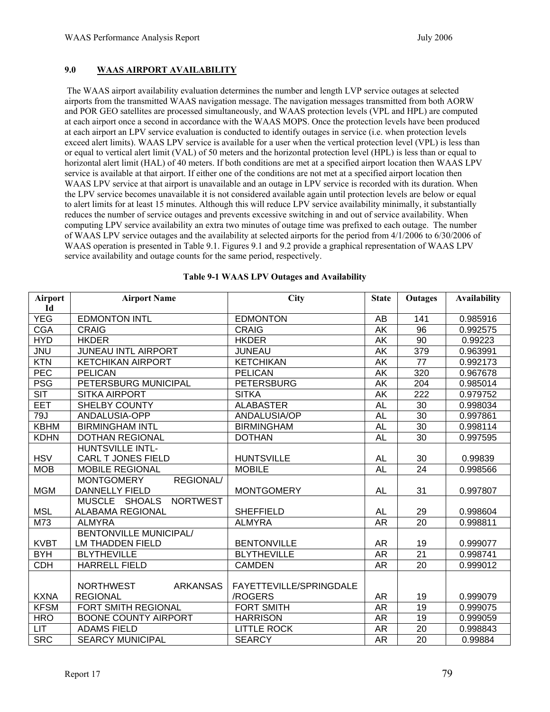## **9.0 WAAS AIRPORT AVAILABILITY**

 The WAAS airport availability evaluation determines the number and length LVP service outages at selected airports from the transmitted WAAS navigation message. The navigation messages transmitted from both AORW and POR GEO satellites are processed simultaneously, and WAAS protection levels (VPL and HPL) are computed at each airport once a second in accordance with the WAAS MOPS. Once the protection levels have been produced at each airport an LPV service evaluation is conducted to identify outages in service (i.e. when protection levels exceed alert limits). WAAS LPV service is available for a user when the vertical protection level (VPL) is less than or equal to vertical alert limit (VAL) of 50 meters and the horizontal protection level (HPL) is less than or equal to horizontal alert limit (HAL) of 40 meters. If both conditions are met at a specified airport location then WAAS LPV service is available at that airport. If either one of the conditions are not met at a specified airport location then WAAS LPV service at that airport is unavailable and an outage in LPV service is recorded with its duration. When the LPV service becomes unavailable it is not considered available again until protection levels are below or equal to alert limits for at least 15 minutes. Although this will reduce LPV service availability minimally, it substantially reduces the number of service outages and prevents excessive switching in and out of service availability. When computing LPV service availability an extra two minutes of outage time was prefixed to each outage. The number of WAAS LPV service outages and the availability at selected airports for the period from 4/1/2006 to 6/30/2006 of WAAS operation is presented in Table 9.1. Figures 9.1 and 9.2 provide a graphical representation of WAAS LPV service availability and outage counts for the same period, respectively.

| Airport                 | <b>Airport Name</b>                               | <b>City</b>             | <b>State</b> | Outages         | <b>Availability</b> |
|-------------------------|---------------------------------------------------|-------------------------|--------------|-----------------|---------------------|
| Id                      |                                                   |                         |              |                 |                     |
| <b>YEG</b>              | <b>EDMONTON INTL</b>                              | <b>EDMONTON</b>         | AB           | 141             | 0.985916            |
| <b>CGA</b>              | <b>CRAIG</b>                                      | <b>CRAIG</b>            | AK           | 96              | 0.992575            |
| <b>HYD</b>              | <b>HKDER</b>                                      | <b>HKDER</b>            | AK           | 90              | 0.99223             |
| <b>JNU</b>              | <b>JUNEAU INTL AIRPORT</b>                        | <b>JUNEAU</b>           | AK           | 379             | 0.963991            |
| <b>KTN</b>              | <b>KETCHIKAN AIRPORT</b>                          | <b>KETCHIKAN</b>        | AK           | 77              | 0.992173            |
| <b>PEC</b>              | <b>PELICAN</b>                                    | <b>PELICAN</b>          | AK           | 320             | 0.967678            |
| <b>PSG</b>              | PETERSBURG MUNICIPAL                              | <b>PETERSBURG</b>       | AK           | 204             | 0.985014            |
| $\overline{\text{SIT}}$ | <b>SITKA AIRPORT</b>                              | <b>SITKA</b>            | AK           | 222             | 0.979752            |
| <b>EET</b>              | <b>SHELBY COUNTY</b>                              | <b>ALABASTER</b>        | <b>AL</b>    | 30              | 0.998034            |
| 79J                     | ANDALUSIA-OPP                                     | ANDALUSIA/OP            | <b>AL</b>    | 30              | 0.997861            |
| <b>KBHM</b>             | <b>BIRMINGHAM INTL</b>                            | <b>BIRMINGHAM</b>       | <b>AL</b>    | $\overline{30}$ | 0.998114            |
| <b>KDHN</b>             | <b>DOTHAN REGIONAL</b>                            | <b>DOTHAN</b>           | <b>AL</b>    | $\overline{30}$ | 0.997595            |
|                         | <b>HUNTSVILLE INTL-</b>                           |                         |              |                 |                     |
| <b>HSV</b>              | CARL T JONES FIELD                                | <b>HUNTSVILLE</b>       | <b>AL</b>    | 30              | 0.99839             |
| <b>MOB</b>              | <b>MOBILE REGIONAL</b>                            | <b>MOBILE</b>           | <b>AL</b>    | 24              | 0.998566            |
|                         | REGIONAL/<br><b>MONTGOMERY</b>                    |                         |              |                 |                     |
| <b>MGM</b>              | <b>DANNELLY FIELD</b>                             | <b>MONTGOMERY</b>       | <b>AL</b>    | 31              | 0.997807            |
|                         | <b>NORTWEST</b><br><b>MUSCLE</b><br><b>SHOALS</b> |                         |              |                 |                     |
| <b>MSL</b>              | <b>ALABAMA REGIONAL</b>                           | <b>SHEFFIELD</b>        | <b>AL</b>    | 29              | 0.998604            |
| M73                     | <b>ALMYRA</b>                                     | <b>ALMYRA</b>           | <b>AR</b>    | 20              | 0.998811            |
|                         | <b>BENTONVILLE MUNICIPAL/</b>                     |                         |              |                 |                     |
| <b>KVBT</b>             | <b>LM THADDEN FIELD</b>                           | <b>BENTONVILLE</b>      | <b>AR</b>    | 19              | 0.999077            |
| <b>BYH</b>              | <b>BLYTHEVILLE</b>                                | <b>BLYTHEVILLE</b>      | <b>AR</b>    | 21              | 0.998741            |
| <b>CDH</b>              | <b>HARRELL FIELD</b>                              | <b>CAMDEN</b>           | <b>AR</b>    | 20              | 0.999012            |
|                         |                                                   |                         |              |                 |                     |
|                         | <b>NORTHWEST</b><br><b>ARKANSAS</b>               | FAYETTEVILLE/SPRINGDALE |              |                 |                     |
| <b>KXNA</b>             | <b>REGIONAL</b>                                   | /ROGERS                 | <b>AR</b>    | 19              | 0.999079            |
| <b>KFSM</b>             | <b>FORT SMITH REGIONAL</b>                        | <b>FORT SMITH</b>       | <b>AR</b>    | $\overline{19}$ | 0.999075            |
| <b>HRO</b>              | <b>BOONE COUNTY AIRPORT</b>                       | <b>HARRISON</b>         | <b>AR</b>    | $\overline{19}$ | 0.999059            |
| LIT                     | <b>ADAMS FIELD</b>                                | <b>LITTLE ROCK</b>      | <b>AR</b>    | 20              | 0.998843            |
| <b>SRC</b>              | <b>SEARCY MUNICIPAL</b>                           | <b>SEARCY</b>           | <b>AR</b>    | 20              | 0.99884             |

#### **Table 9-1 WAAS LPV Outages and Availability**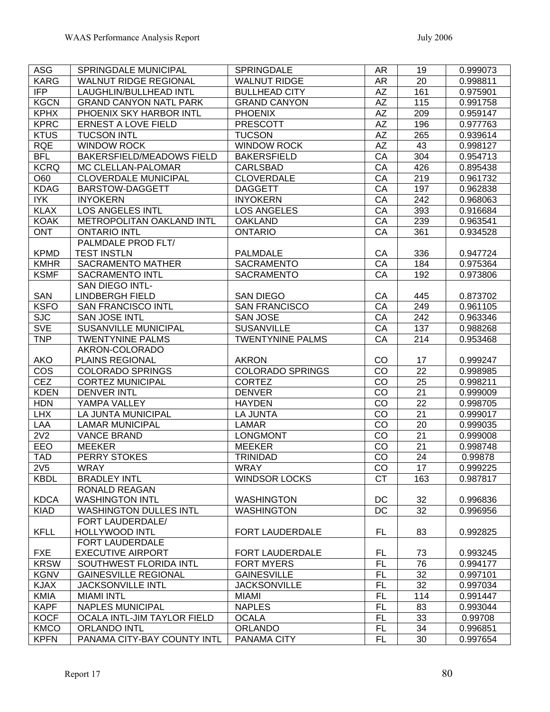| <b>ASG</b>                     | SPRINGDALE MUNICIPAL          | <b>SPRINGDALE</b>                       | <b>AR</b>       | 19       | 0.999073             |
|--------------------------------|-------------------------------|-----------------------------------------|-----------------|----------|----------------------|
| <b>KARG</b>                    | <b>WALNUT RIDGE REGIONAL</b>  | <b>WALNUT RIDGE</b>                     | AR              | 20       | 0.998811             |
| <b>IFP</b>                     | <b>LAUGHLIN/BULLHEAD INTL</b> | <b>BULLHEAD CITY</b>                    | <b>AZ</b>       | 161      | 0.975901             |
| <b>KGCN</b>                    | <b>GRAND CANYON NATL PARK</b> | <b>GRAND CANYON</b>                     | <b>AZ</b>       | 115      | 0.991758             |
| <b>KPHX</b>                    | PHOENIX SKY HARBOR INTL       | <b>PHOENIX</b>                          | AZ              | 209      | 0.959147             |
| <b>KPRC</b>                    | <b>ERNEST A LOVE FIELD</b>    | <b>PRESCOTT</b>                         | $\overline{AZ}$ | 196      | 0.977763             |
| <b>KTUS</b>                    | <b>TUCSON INTL</b>            | <b>TUCSON</b>                           | <b>AZ</b>       | 265      | 0.939614             |
| <b>RQE</b>                     | <b>WINDOW ROCK</b>            | <b>WINDOW ROCK</b>                      | AΖ              | 43       | 0.998127             |
| <b>BFL</b>                     | BAKERSFIELD/MEADOWS FIELD     | <b>BAKERSFIELD</b>                      | CA              | 304      | 0.954713             |
| <b>KCRQ</b>                    | MC CLELLAN-PALOMAR            | <b>CARLSBAD</b>                         | CA              | 426      | 0.895438             |
| O60                            | <b>CLOVERDALE MUNICIPAL</b>   | <b>CLOVERDALE</b>                       | CA              | 219      | 0.961732             |
| <b>KDAG</b>                    | <b>BARSTOW-DAGGETT</b>        | <b>DAGGETT</b>                          | CA              | 197      | 0.962838             |
| <b>IYK</b>                     | <b>INYOKERN</b>               | <b>INYOKERN</b>                         | CA              | 242      | 0.968063             |
| <b>KLAX</b>                    | <b>LOS ANGELES INTL</b>       | <b>LOS ANGELES</b>                      | CA              | 393      | 0.916684             |
| <b>KOAK</b>                    | METROPOLITAN OAKLAND INTL     | <b>OAKLAND</b>                          | CA              | 239      | 0.963541             |
| <b>ONT</b>                     | <b>ONTARIO INTL</b>           | <b>ONTARIO</b>                          | CA              | 361      | 0.934528             |
|                                | PALMDALE PROD FLT/            |                                         |                 |          |                      |
| <b>KPMD</b>                    | <b>TEST INSTLN</b>            | <b>PALMDALE</b>                         | CA              | 336      | 0.947724             |
| <b>KMHR</b>                    | <b>SACRAMENTO MATHER</b>      | <b>SACRAMENTO</b>                       | CA              | 184      | 0.975364             |
| <b>KSMF</b>                    | <b>SACRAMENTO INTL</b>        | <b>SACRAMENTO</b>                       | CA              | 192      | 0.973806             |
|                                | <b>SAN DIEGO INTL-</b>        |                                         |                 |          |                      |
| <b>SAN</b>                     | <b>LINDBERGH FIELD</b>        | <b>SAN DIEGO</b>                        | CA              | 445      | 0.873702             |
| <b>KSFO</b>                    | <b>SAN FRANCISCO INTL</b>     | <b>SAN FRANCISCO</b>                    | $\overline{CA}$ | 249      | 0.961105             |
| <b>SJC</b>                     | <b>SAN JOSE INTL</b>          | <b>SAN JOSE</b>                         | CA              | 242      | 0.963346             |
| <b>SVE</b>                     | <b>SUSANVILLE MUNICIPAL</b>   | <b>SUSANVILLE</b>                       | CA              | 137      | 0.988268             |
| <b>TNP</b>                     | <b>TWENTYNINE PALMS</b>       | <b>TWENTYNINE PALMS</b>                 | CA              | 214      | 0.953468             |
|                                | AKRON-COLORADO                |                                         |                 |          |                      |
| <b>AKO</b>                     | <b>PLAINS REGIONAL</b>        | <b>AKRON</b>                            | CO              | 17       | 0.999247             |
| <b>COS</b>                     | <b>COLORADO SPRINGS</b>       | <b>COLORADO SPRINGS</b>                 | CO              | 22       | 0.998985             |
| <b>CEZ</b>                     | <b>CORTEZ MUNICIPAL</b>       | <b>CORTEZ</b>                           | CO              | 25       | 0.998211             |
| <b>KDEN</b>                    | <b>DENVER INTL</b>            | <b>DENVER</b>                           | CO              | 21       | 0.999009             |
| <b>HDN</b>                     | YAMPA VALLEY                  | <b>HAYDEN</b>                           | CO              | 22       | 0.998705             |
| <b>LHX</b>                     | LA JUNTA MUNICIPAL            | <b>LA JUNTA</b>                         | CO              | 21       | 0.999017             |
| LAA                            | <b>LAMAR MUNICIPAL</b>        | <b>LAMAR</b>                            | CO              | 20       | 0.999035             |
| 2V <sub>2</sub>                | <b>VANCE BRAND</b>            | <b>LONGMONT</b>                         | CO              | 21       | 0.999008             |
| EEO                            | <b>MEEKER</b>                 | <b>MEEKER</b>                           | CO              | 21       | 0.998748             |
| <b>TAD</b>                     | PERRY STOKES                  | <b>TRINIDAD</b>                         | CO              | 24       | 0.99878              |
|                                |                               | <b>WRAY</b>                             |                 | 17       |                      |
| 2V <sub>5</sub><br><b>KBDL</b> | WRAY<br><b>BRADLEY INTL</b>   | <b>WINDSOR LOCKS</b>                    | CO<br><b>CT</b> | 163      | 0.999225<br>0.987817 |
|                                | <b>RONALD REAGAN</b>          |                                         |                 |          |                      |
| <b>KDCA</b>                    | <b>WASHINGTON INTL</b>        | <b>WASHINGTON</b>                       | DC              | 32       | 0.996836             |
| <b>KIAD</b>                    | <b>WASHINGTON DULLES INTL</b> | <b>WASHINGTON</b>                       | <b>DC</b>       | 32       | 0.996956             |
|                                | FORT LAUDERDALE/              |                                         |                 |          |                      |
| <b>KFLL</b>                    | <b>HOLLYWOOD INTL</b>         | FORT LAUDERDALE                         | <b>FL</b>       | 83       | 0.992825             |
|                                | FORT LAUDERDALE               |                                         |                 |          |                      |
| <b>FXE</b>                     | <b>EXECUTIVE AIRPORT</b>      | FORT LAUDERDALE                         | FL              | 73       | 0.993245             |
| <b>KRSW</b>                    | SOUTHWEST FLORIDA INTL        |                                         |                 |          |                      |
| <b>KGNV</b>                    | <b>GAINESVILLE REGIONAL</b>   | <b>FORT MYERS</b><br><b>GAINESVILLE</b> | FL<br><b>FL</b> | 76<br>32 | 0.994177             |
|                                |                               |                                         |                 |          | 0.997101             |
| <b>KJAX</b>                    | <b>JACKSONVILLE INTL</b>      | <b>JACKSONVILLE</b>                     | <b>FL</b>       | 32       | 0.997034             |
| <b>KMIA</b>                    | <b>MIAMI INTL</b>             | <b>MIAMI</b>                            | <b>FL</b>       | 114      | 0.991447             |
| <b>KAPF</b>                    | <b>NAPLES MUNICIPAL</b>       | <b>NAPLES</b>                           | <b>FL</b>       | 83       | 0.993044             |
| <b>KOCF</b>                    | OCALA INTL-JIM TAYLOR FIELD   | <b>OCALA</b>                            | FL              | 33       | 0.99708              |
| <b>KMCO</b>                    | <b>ORLANDO INTL</b>           | <b>ORLANDO</b>                          | FL              | 34       | 0.996851             |
| <b>KPFN</b>                    | PANAMA CITY-BAY COUNTY INTL   | PANAMA CITY                             | FL              | 30       | 0.997654             |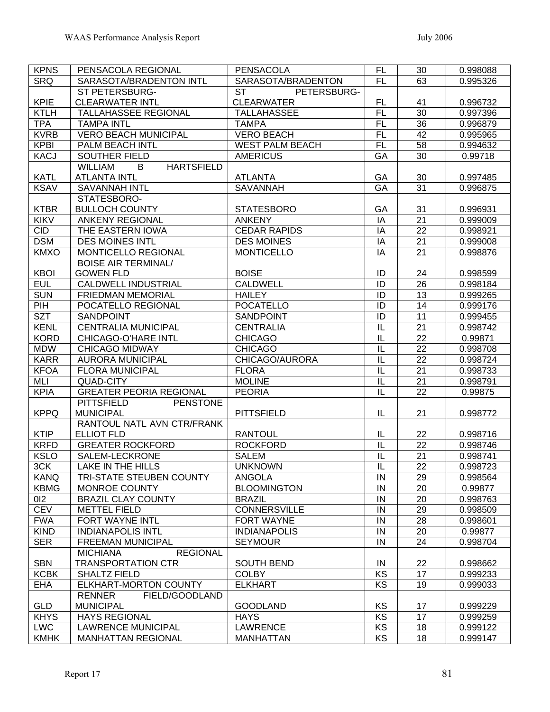| <b>KPNS</b> | PENSACOLA REGIONAL                       | <b>PENSACOLA</b>         | FL                      | 30              | 0.998088 |
|-------------|------------------------------------------|--------------------------|-------------------------|-----------------|----------|
| <b>SRQ</b>  | SARASOTA/BRADENTON INTL                  | SARASOTA/BRADENTON       | <b>FL</b>               | 63              | 0.995326 |
|             | ST PETERSBURG-                           | <b>ST</b><br>PETERSBURG- |                         |                 |          |
| KPIE        | <b>CLEARWATER INTL</b>                   | <b>CLEARWATER</b>        | FL                      | 41              | 0.996732 |
| <b>KTLH</b> | TALLAHASSEE REGIONAL                     | <b>TALLAHASSEE</b>       | <b>FL</b>               | 30              | 0.997396 |
| <b>TPA</b>  | <b>TAMPA INTL</b>                        | <b>TAMPA</b>             | <b>FL</b>               | 36              | 0.996879 |
| <b>KVRB</b> | <b>VERO BEACH MUNICIPAL</b>              | <b>VERO BEACH</b>        | <b>FL</b>               | 42              | 0.995965 |
| <b>KPBI</b> | PALM BEACH INTL                          | <b>WEST PALM BEACH</b>   | <b>FL</b>               | 58              | 0.994632 |
| <b>KACJ</b> | SOUTHER FIELD                            | <b>AMERICUS</b>          | GA                      | 30              | 0.99718  |
|             | <b>WILLIAM</b><br><b>HARTSFIELD</b><br>B |                          |                         |                 |          |
| <b>KATL</b> | <b>ATLANTA INTL</b>                      | <b>ATLANTA</b>           | GA                      | 30              | 0.997485 |
| <b>KSAV</b> | <b>SAVANNAH INTL</b>                     | <b>SAVANNAH</b>          | <b>GA</b>               | $\overline{31}$ | 0.996875 |
|             | STATESBORO-                              |                          |                         |                 |          |
| <b>KTBR</b> | <b>BULLOCH COUNTY</b>                    | <b>STATESBORO</b>        | GA                      | 31              | 0.996931 |
| <b>KIKV</b> | <b>ANKENY REGIONAL</b>                   | <b>ANKENY</b>            | IA                      | 21              | 0.999009 |
| <b>CID</b>  | THE EASTERN IOWA                         | <b>CEDAR RAPIDS</b>      | IA                      | $\overline{22}$ | 0.998921 |
| <b>DSM</b>  | <b>DES MOINES INTL</b>                   | <b>DES MOINES</b>        | IA                      | 21              | 0.999008 |
| <b>KMXO</b> | MONTICELLO REGIONAL                      | <b>MONTICELLO</b>        | IA                      | 21              | 0.998876 |
|             | <b>BOISE AIR TERMINAL/</b>               |                          |                         |                 |          |
| <b>KBOI</b> | <b>GOWEN FLD</b>                         | <b>BOISE</b>             | ID                      | 24              | 0.998599 |
| <b>EUL</b>  | <b>CALDWELL INDUSTRIAL</b>               | <b>CALDWELL</b>          | ID                      | $\overline{26}$ | 0.998184 |
| <b>SUN</b>  | <b>FRIEDMAN MEMORIAL</b>                 | <b>HAILEY</b>            | ID                      | 13              | 0.999265 |
| PIH         | POCATELLO REGIONAL                       | <b>POCATELLO</b>         | ID                      | 14              | 0.999176 |
| <b>SZT</b>  | SANDPOINT                                | <b>SANDPOINT</b>         | $\overline{ID}$         | 11              | 0.999455 |
| <b>KENL</b> | <b>CENTRALIA MUNICIPAL</b>               | <b>CENTRALIA</b>         | $\overline{\mathsf{L}}$ | 21              | 0.998742 |
| <b>KORD</b> | <b>CHICAGO-O'HARE INTL</b>               | <b>CHICAGO</b>           | $\overline{\mathsf{L}}$ | 22              | 0.99871  |
| <b>MDW</b>  | <b>CHICAGO MIDWAY</b>                    | <b>CHICAGO</b>           | $\overline{\mathsf{L}}$ | $\overline{22}$ | 0.998708 |
| <b>KARR</b> | <b>AURORA MUNICIPAL</b>                  | CHICAGO/AURORA           | $\overline{\mathsf{L}}$ | $\overline{22}$ | 0.998724 |
| <b>KFOA</b> | <b>FLORA MUNICIPAL</b>                   | <b>FLORA</b>             | $\overline{\mathsf{L}}$ | $\overline{21}$ | 0.998733 |
| MLI         | <b>QUAD-CITY</b>                         | <b>MOLINE</b>            | $\overline{\mathsf{L}}$ | 21              | 0.998791 |
| <b>KPIA</b> | <b>GREATER PEORIA REGIONAL</b>           | <b>PEORIA</b>            | $\overline{\mathsf{I}}$ | 22              |          |
|             | <b>PITTSFIELD</b><br><b>PENSTONE</b>     |                          |                         |                 | 0.99875  |
|             | <b>MUNICIPAL</b>                         |                          | IL                      | 21              |          |
| <b>KPPQ</b> | RANTOUL NATL AVN CTR/FRANK               | <b>PITTSFIELD</b>        |                         |                 | 0.998772 |
|             | <b>ELLIOT FLD</b>                        |                          |                         |                 |          |
| <b>KTIP</b> |                                          | <b>RANTOUL</b>           | IL                      | 22              | 0.998716 |
| <b>KRFD</b> | <b>GREATER ROCKFORD</b>                  | <b>ROCKFORD</b>          | IL                      | 22              | 0.998746 |
| <b>KSLO</b> | SALEM-LECKRONE                           | <b>SALEM</b>             | IL                      | 21              | 0.998741 |
| 3CK         | LAKE IN THE HILLS                        | <b>UNKNOWN</b>           | $\overline{\mathsf{L}}$ | 22              | 0.998723 |
| <b>KANQ</b> | TRI-STATE STEUBEN COUNTY                 | ANGOLA                   | IN                      | 29              | 0.998564 |
| <b>KBMG</b> | MONROE COUNTY                            | <b>BLOOMINGTON</b>       | ${\sf IN}$              | 20              | 0.99877  |
| 012         | <b>BRAZIL CLAY COUNTY</b>                | <b>BRAZIL</b>            | IN                      | 20              | 0.998763 |
| <b>CEV</b>  | <b>METTEL FIELD</b>                      | <b>CONNERSVILLE</b>      | $\sf IN$                | 29              | 0.998509 |
| <b>FWA</b>  | FORT WAYNE INTL                          | <b>FORT WAYNE</b>        | IN                      | 28              | 0.998601 |
| <b>KIND</b> | <b>INDIANAPOLIS INTL</b>                 | <b>INDIANAPOLIS</b>      | IN                      | 20              | 0.99877  |
| <b>SER</b>  | <b>FREEMAN MUNICIPAL</b>                 | <b>SEYMOUR</b>           | IN                      | 24              | 0.998704 |
|             | <b>REGIONAL</b><br><b>MICHIANA</b>       |                          |                         |                 |          |
| <b>SBN</b>  | <b>TRANSPORTATION CTR</b>                | <b>SOUTH BEND</b>        | IN                      | 22              | 0.998662 |
| <b>KCBK</b> | <b>SHALTZ FIELD</b>                      | <b>COLBY</b>             | KS                      | 17              | 0.999233 |
| <b>EHA</b>  | <b>ELKHART-MORTON COUNTY</b>             | <b>ELKHART</b>           | KS                      | 19              | 0.999033 |
|             | <b>RENNER</b><br>FIELD/GOODLAND          |                          |                         |                 |          |
| <b>GLD</b>  | <b>MUNICIPAL</b>                         | <b>GOODLAND</b>          | KS                      | 17              | 0.999229 |
| <b>KHYS</b> | <b>HAYS REGIONAL</b>                     | <b>HAYS</b>              | KS                      | 17              | 0.999259 |
| <b>LWC</b>  | <b>LAWRENCE MUNICIPAL</b>                | <b>LAWRENCE</b>          | KS                      | 18              | 0.999122 |
| <b>KMHK</b> | <b>MANHATTAN REGIONAL</b>                | <b>MANHATTAN</b>         | KS                      | 18              | 0.999147 |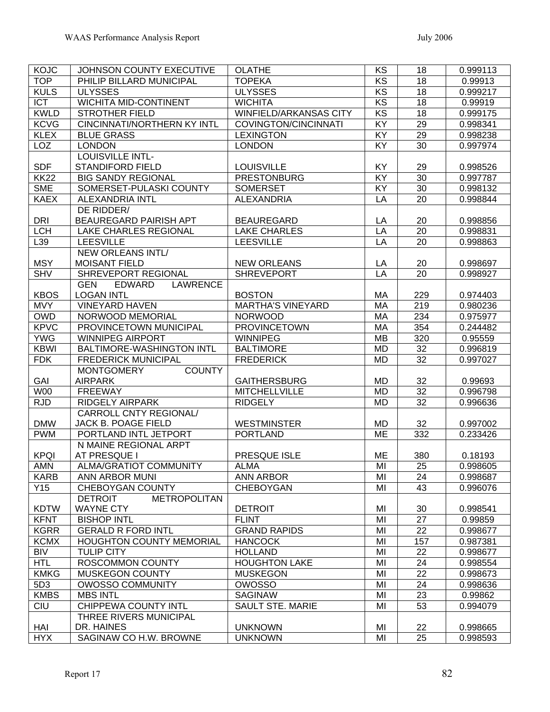| <b>KOJC</b> | <b>JOHNSON COUNTY EXECUTIVE</b>                | <b>OLATHE</b>                 | KS              | 18              | 0.999113 |
|-------------|------------------------------------------------|-------------------------------|-----------------|-----------------|----------|
| <b>TOP</b>  | PHILIP BILLARD MUNICIPAL                       | <b>TOPEKA</b>                 | $\overline{KS}$ | 18              | 0.99913  |
| <b>KULS</b> | <b>ULYSSES</b>                                 | <b>ULYSSES</b>                | $\overline{KS}$ | 18              | 0.999217 |
| <b>ICT</b>  | WICHITA MID-CONTINENT                          | <b>WICHITA</b>                | $\overline{KS}$ | 18              | 0.99919  |
| <b>KWLD</b> | <b>STROTHER FIELD</b>                          | <b>WINFIELD/ARKANSAS CITY</b> | $\overline{KS}$ | $\overline{18}$ | 0.999175 |
| <b>KCVG</b> | <b>CINCINNATI/NORTHERN KY INTL</b>             | COVINGTON/CINCINNATI          | KY              | $\overline{29}$ | 0.998341 |
| <b>KLEX</b> | <b>BLUE GRASS</b>                              | <b>LEXINGTON</b>              | KY              | 29              | 0.998238 |
| <b>LOZ</b>  | <b>LONDON</b>                                  | <b>LONDON</b>                 | KY              | 30              | 0.997974 |
|             | <b>LOUISVILLE INTL-</b>                        |                               |                 |                 |          |
| <b>SDF</b>  | <b>STANDIFORD FIELD</b>                        | <b>LOUISVILLE</b>             | KY              | 29              | 0.998526 |
| <b>KK22</b> | <b>BIG SANDY REGIONAL</b>                      | <b>PRESTONBURG</b>            | KY              | 30              | 0.997787 |
| <b>SME</b>  | SOMERSET-PULASKI COUNTY                        | <b>SOMERSET</b>               | KY              | 30              | 0.998132 |
| <b>KAEX</b> | <b>ALEXANDRIA INTL</b>                         | <b>ALEXANDRIA</b>             | LA              | 20              | 0.998844 |
|             | DE RIDDER/                                     |                               |                 |                 |          |
| <b>DRI</b>  | BEAUREGARD PAIRISH APT                         | <b>BEAUREGARD</b>             | LA              | 20              | 0.998856 |
| <b>LCH</b>  | <b>LAKE CHARLES REGIONAL</b>                   | <b>LAKE CHARLES</b>           | LA              | 20              | 0.998831 |
| L39         | <b>LEESVILLE</b>                               | <b>LEESVILLE</b>              | LA              | 20              | 0.998863 |
|             | <b>NEW ORLEANS INTL/</b>                       |                               |                 |                 |          |
| <b>MSY</b>  | <b>MOISANT FIELD</b>                           | <b>NEW ORLEANS</b>            | LA              | 20              | 0.998697 |
| <b>SHV</b>  | SHREVEPORT REGIONAL                            | <b>SHREVEPORT</b>             | LA              | 20              | 0.998927 |
|             | <b>LAWRENCE</b><br><b>GEN</b><br><b>EDWARD</b> |                               |                 |                 |          |
| <b>KBOS</b> | <b>LOGAN INTL</b>                              | <b>BOSTON</b>                 | MA              | 229             | 0.974403 |
| <b>MVY</b>  | <b>VINEYARD HAVEN</b>                          | <b>MARTHA'S VINEYARD</b>      | MA              | 219             | 0.980236 |
| <b>OWD</b>  | NORWOOD MEMORIAL                               | <b>NORWOOD</b>                | <b>MA</b>       | 234             | 0.975977 |
| <b>KPVC</b> | PROVINCETOWN MUNICIPAL                         | <b>PROVINCETOWN</b>           | <b>MA</b>       | 354             | 0.244482 |
| <b>YWG</b>  | <b>WINNIPEG AIRPORT</b>                        | <b>WINNIPEG</b>               | <b>MB</b>       | 320             | 0.95559  |
| <b>KBWI</b> | BALTIMORE-WASHINGTON INTL                      | <b>BALTIMORE</b>              | <b>MD</b>       | 32              | 0.996819 |
| <b>FDK</b>  | <b>FREDERICK MUNICIPAL</b>                     | <b>FREDERICK</b>              | <b>MD</b>       | 32              | 0.997027 |
|             | <b>MONTGOMERY</b><br><b>COUNTY</b>             |                               |                 |                 |          |
| GAI         | <b>AIRPARK</b>                                 | <b>GAITHERSBURG</b>           | <b>MD</b>       | 32              | 0.99693  |
| <b>W00</b>  | <b>FREEWAY</b>                                 | <b>MITCHELLVILLE</b>          | <b>MD</b>       | 32              | 0.996798 |
| <b>RJD</b>  | <b>RIDGELY AIRPARK</b>                         | <b>RIDGELY</b>                | <b>MD</b>       | 32              | 0.996636 |
|             | CARROLL CNTY REGIONAL/                         |                               |                 |                 |          |
| <b>DMW</b>  | JACK B. POAGE FIELD                            | <b>WESTMINSTER</b>            | MD              | 32              | 0.997002 |
| <b>PWM</b>  | PORTLAND INTL JETPORT                          | <b>PORTLAND</b>               | ME              | 332             | 0.233426 |
|             | N MAINE REGIONAL ARPT                          |                               |                 |                 |          |
| <b>KPQI</b> | AT PRESQUE I                                   | PRESQUE ISLE                  | ME              | 380             | 0.18193  |
| <b>AMN</b>  | <b>ALMA/GRATIOT COMMUNITY</b>                  | <b>ALMA</b>                   | MI              | 25              | 0.998605 |
| <b>KARB</b> | ANN ARBOR MUNI                                 | <b>ANN ARBOR</b>              | MI              | 24              | 0.998687 |
| Y15         | <b>CHEBOYGAN COUNTY</b>                        | <b>CHEBOYGAN</b>              | MI              | 43              | 0.996076 |
|             | <b>METROPOLITAN</b><br><b>DETROIT</b>          |                               |                 |                 |          |
| <b>KDTW</b> | <b>WAYNE CTY</b>                               | <b>DETROIT</b>                | MI              | 30              | 0.998541 |
| <b>KFNT</b> | <b>BISHOP INTL</b>                             | <b>FLINT</b>                  | MI              | 27              | 0.99859  |
| <b>KGRR</b> | <b>GERALD R FORD INTL</b>                      | <b>GRAND RAPIDS</b>           | MI              | 22              | 0.998677 |
| <b>KCMX</b> | <b>HOUGHTON COUNTY MEMORIAL</b>                | <b>HANCOCK</b>                | MI              | 157             | 0.987381 |
| <b>BIV</b>  | <b>TULIP CITY</b>                              | <b>HOLLAND</b>                | MI              | 22              | 0.998677 |
| <b>HTL</b>  | ROSCOMMON COUNTY                               | <b>HOUGHTON LAKE</b>          | MI              | 24              | 0.998554 |
| <b>KMKG</b> | <b>MUSKEGON COUNTY</b>                         | <b>MUSKEGON</b>               | MI              | 22              | 0.998673 |
| 5D3         | <b>OWOSSO COMMUNITY</b>                        | <b>OWOSSO</b>                 | MI              | 24              | 0.998636 |
| <b>KMBS</b> | <b>MBS INTL</b>                                | <b>SAGINAW</b>                | MI              | 23              | 0.99862  |
| CIU         | CHIPPEWA COUNTY INTL                           | <b>SAULT STE. MARIE</b>       | MI              | 53              | 0.994079 |
|             | THREE RIVERS MUNICIPAL                         |                               |                 |                 |          |
| HAI         | DR. HAINES                                     | <b>UNKNOWN</b>                | MI              | 22              | 0.998665 |
| <b>HYX</b>  | SAGINAW CO H.W. BROWNE                         | <b>UNKNOWN</b>                | MI              | 25              | 0.998593 |
|             |                                                |                               |                 |                 |          |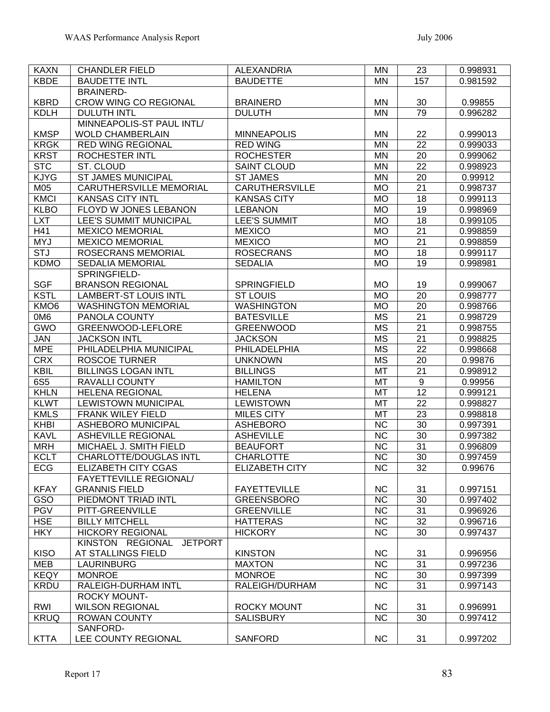| <b>KAXN</b>       | <b>CHANDLER FIELD</b>                         | <b>ALEXANDRIA</b>              | <b>MN</b>                           | 23                                 | 0.998931            |
|-------------------|-----------------------------------------------|--------------------------------|-------------------------------------|------------------------------------|---------------------|
| <b>KBDE</b>       | <b>BAUDETTE INTL</b>                          | <b>BAUDETTE</b>                | <b>MN</b>                           | 157                                | 0.981592            |
|                   | <b>BRAINERD-</b>                              |                                |                                     |                                    |                     |
| <b>KBRD</b>       | <b>CROW WING CO REGIONAL</b>                  | <b>BRAINERD</b>                | MN                                  | 30                                 | 0.99855             |
| <b>KDLH</b>       | <b>DULUTH INTL</b>                            | <b>DULUTH</b>                  | <b>MN</b>                           | 79                                 | 0.996282            |
|                   | MINNEAPOLIS-ST PAUL INTL/                     |                                |                                     |                                    |                     |
| <b>KMSP</b>       | <b>WOLD CHAMBERLAIN</b>                       | <b>MINNEAPOLIS</b>             | MN                                  | 22                                 | 0.999013            |
| <b>KRGK</b>       | <b>RED WING REGIONAL</b>                      | <b>RED WING</b>                | <b>MN</b>                           | $\overline{22}$                    | 0.999033            |
| <b>KRST</b>       | <b>ROCHESTER INTL</b>                         | <b>ROCHESTER</b>               | MN                                  | $\overline{20}$                    | 0.999062            |
| <b>STC</b>        | ST. CLOUD                                     | <b>SAINT CLOUD</b>             | <b>MN</b>                           | $\overline{22}$                    | 0.998923            |
| <b>KJYG</b>       | <b>ST JAMES MUNICIPAL</b>                     | <b>ST JAMES</b>                | <b>MN</b>                           | $\overline{20}$                    | 0.99912             |
| M05               | <b>CARUTHERSVILLE MEMORIAL</b>                | <b>CARUTHERSVILLE</b>          | <b>MO</b>                           | $\overline{21}$                    | 0.998737            |
| <b>KMCI</b>       | <b>KANSAS CITY INTL</b>                       | <b>KANSAS CITY</b>             | <b>MO</b>                           | 18                                 | 0.999113            |
| <b>KLBO</b>       | FLOYD W JONES LEBANON                         | <b>LEBANON</b>                 | <b>MO</b>                           | 19                                 | 0.998969            |
| <b>LXT</b>        | LEE'S SUMMIT MUNICIPAL                        | <b>LEE'S SUMMIT</b>            | <b>MO</b>                           | $\overline{18}$                    | 0.999105            |
| H41               | <b>MEXICO MEMORIAL</b>                        | <b>MEXICO</b>                  | <b>MO</b>                           | $\overline{21}$                    | 0.998859            |
| <b>MYJ</b>        | <b>MEXICO MEMORIAL</b>                        | <b>MEXICO</b>                  | <b>MO</b>                           | $\overline{21}$                    | 0.998859            |
| <b>STJ</b>        | <b>ROSECRANS MEMORIAL</b>                     | <b>ROSECRANS</b>               | <b>MO</b>                           | $\overline{18}$                    | 0.999117            |
| <b>KDMO</b>       | <b>SEDALIA MEMORIAL</b>                       | <b>SEDALIA</b>                 | <b>MO</b>                           | $\overline{19}$                    | 0.998981            |
|                   | SPRINGFIELD-                                  |                                |                                     |                                    |                     |
| <b>SGF</b>        | <b>BRANSON REGIONAL</b>                       | <b>SPRINGFIELD</b>             | <b>MO</b>                           | 19                                 | 0.999067            |
| <b>KSTL</b>       | <b>LAMBERT-ST LOUIS INTL</b>                  | ST LOUIS                       | <b>MO</b>                           | $\overline{20}$                    | 0.998777            |
| KMO <sub>6</sub>  | <b>WASHINGTON MEMORIAL</b>                    | <b>WASHINGTON</b>              | <b>MO</b>                           | $\overline{20}$                    | 0.998766            |
| 0M <sub>6</sub>   | PANOLA COUNTY                                 | <b>BATESVILLE</b>              | <b>MS</b>                           | $\overline{21}$<br>$\overline{21}$ | 0.998729            |
| <b>GWO</b>        | GREENWOOD-LEFLORE                             | <b>GREENWOOD</b>               | $\overline{\text{MS}}$              |                                    | 0.998755            |
| JAN<br><b>MPE</b> | <b>JACKSON INTL</b><br>PHILADELPHIA MUNICIPAL | <b>JACKSON</b><br>PHILADELPHIA | <b>MS</b><br>$\overline{\text{MS}}$ | $\overline{21}$<br>$\overline{22}$ | 0.998825            |
| <b>CRX</b>        | <b>ROSCOE TURNER</b>                          | <b>UNKNOWN</b>                 | $\overline{\text{MS}}$              | $\overline{20}$                    | 0.998668            |
| <b>KBIL</b>       | <b>BILLINGS LOGAN INTL</b>                    | <b>BILLINGS</b>                | <b>MT</b>                           | $\overline{21}$                    | 0.99876<br>0.998912 |
| 6S5               | <b>RAVALLI COUNTY</b>                         | <b>HAMILTON</b>                | <b>MT</b>                           | $\overline{9}$                     | 0.99956             |
| <b>KHLN</b>       | <b>HELENA REGIONAL</b>                        | <b>HELENA</b>                  | <b>MT</b>                           | $\overline{12}$                    | 0.999121            |
| <b>KLWT</b>       | <b>LEWISTOWN MUNICIPAL</b>                    | <b>LEWISTOWN</b>               | MT                                  | 22                                 | 0.998827            |
| <b>KMLS</b>       | <b>FRANK WILEY FIELD</b>                      | <b>MILES CITY</b>              | <b>MT</b>                           | 23                                 | 0.998818            |
| <b>KHBI</b>       | ASHEBORO MUNICIPAL                            | <b>ASHEBORO</b>                | <b>NC</b>                           | 30                                 | 0.997391            |
| <b>KAVL</b>       | <b>ASHEVILLE REGIONAL</b>                     | <b>ASHEVILLE</b>               | <b>NC</b>                           | 30                                 | 0.997382            |
| <b>MRH</b>        | MICHAEL J. SMITH FIELD                        | <b>BEAUFORT</b>                | <b>NC</b>                           | 31                                 | 0.996809            |
| <b>KCLT</b>       | <b>CHARLOTTE/DOUGLAS INTL</b>                 | <b>CHARLOTTE</b>               | <b>NC</b>                           | 30                                 | 0.997459            |
| ECG               | ELIZABETH CITY CGAS                           | <b>ELIZABETH CITY</b>          | $\overline{NC}$                     | 32                                 | 0.99676             |
|                   | <b>FAYETTEVILLE REGIONAL/</b>                 |                                |                                     |                                    |                     |
| <b>KFAY</b>       | <b>GRANNIS FIELD</b>                          | <b>FAYETTEVILLE</b>            | <b>NC</b>                           | 31                                 | 0.997151            |
| GSO               | PIEDMONT TRIAD INTL                           | <b>GREENSBORO</b>              | $\overline{\text{NC}}$              | $\overline{30}$                    | 0.997402            |
| <b>PGV</b>        | PITT-GREENVILLE                               | <b>GREENVILLE</b>              | $\overline{NC}$                     | 31                                 | 0.996926            |
| <b>HSE</b>        | <b>BILLY MITCHELL</b>                         | <b>HATTERAS</b>                | $\overline{NC}$                     | $\overline{32}$                    | 0.996716            |
| <b>HKY</b>        | <b>HICKORY REGIONAL</b>                       | <b>HICKORY</b>                 | $\overline{\text{NC}}$              | 30                                 | 0.997437            |
|                   | KINSTON REGIONAL<br><b>JETPORT</b>            |                                |                                     |                                    |                     |
| <b>KISO</b>       | AT STALLINGS FIELD                            | <b>KINSTON</b>                 | <b>NC</b>                           | 31                                 | 0.996956            |
| <b>MEB</b>        | <b>LAURINBURG</b>                             | <b>MAXTON</b>                  | $\overline{NC}$                     | 31                                 | 0.997236            |
| <b>KEQY</b>       | <b>MONROE</b>                                 | <b>MONROE</b>                  | NC                                  | 30                                 | 0.997399            |
| <b>KRDU</b>       | RALEIGH-DURHAM INTL                           | RALEIGH/DURHAM                 | $\overline{\text{NC}}$              | 31                                 | 0.997143            |
|                   | <b>ROCKY MOUNT-</b>                           |                                |                                     |                                    |                     |
| RWI               | <b>WILSON REGIONAL</b>                        | <b>ROCKY MOUNT</b>             | <b>NC</b>                           | 31                                 | 0.996991            |
| <b>KRUQ</b>       | <b>ROWAN COUNTY</b>                           | <b>SALISBURY</b>               | <b>NC</b>                           | 30                                 | 0.997412            |
|                   | SANFORD-                                      |                                |                                     |                                    |                     |
| <b>KTTA</b>       | LEE COUNTY REGIONAL                           | <b>SANFORD</b>                 | <b>NC</b>                           | 31                                 | 0.997202            |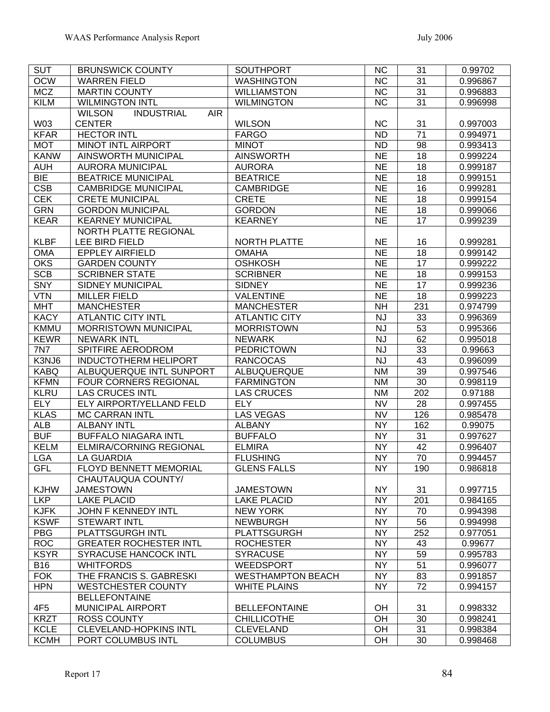| <b>SUT</b>      | <b>BRUNSWICK COUNTY</b>                          | <b>SOUTHPORT</b>                | <b>NC</b> | 31  | 0.99702              |
|-----------------|--------------------------------------------------|---------------------------------|-----------|-----|----------------------|
| <b>OCW</b>      | <b>WARREN FIELD</b>                              | <b>WASHINGTON</b>               | <b>NC</b> | 31  | 0.996867             |
| <b>MCZ</b>      | <b>MARTIN COUNTY</b>                             | <b>WILLIAMSTON</b>              | <b>NC</b> | 31  | 0.996883             |
| <b>KILM</b>     | <b>WILMINGTON INTL</b>                           | <b>WILMINGTON</b>               | <b>NC</b> | 31  | 0.996998             |
|                 | <b>INDUSTRIAL</b><br><b>WILSON</b><br><b>AIR</b> |                                 |           |     |                      |
| W03             | <b>CENTER</b>                                    | <b>WILSON</b>                   | <b>NC</b> | 31  | 0.997003             |
| <b>KFAR</b>     | <b>HECTOR INTL</b>                               | <b>FARGO</b>                    | <b>ND</b> | 71  | 0.994971             |
| <b>MOT</b>      | <b>MINOT INTL AIRPORT</b>                        | <b>MINOT</b>                    | <b>ND</b> | 98  | 0.993413             |
| <b>KANW</b>     | AINSWORTH MUNICIPAL                              | <b>AINSWORTH</b>                | <b>NE</b> | 18  | 0.999224             |
| <b>AUH</b>      | <b>AURORA MUNICIPAL</b>                          | <b>AURORA</b>                   | <b>NE</b> | 18  | 0.999187             |
| <b>BIE</b>      | <b>BEATRICE MUNICIPAL</b>                        | <b>BEATRICE</b>                 | <b>NE</b> | 18  | 0.999151             |
| <b>CSB</b>      | <b>CAMBRIDGE MUNICIPAL</b>                       | <b>CAMBRIDGE</b>                | <b>NE</b> | 16  | 0.999281             |
| <b>CEK</b>      | <b>CRETE MUNICIPAL</b>                           | <b>CRETE</b>                    | <b>NE</b> | 18  | 0.999154             |
| <b>GRN</b>      | <b>GORDON MUNICIPAL</b>                          | <b>GORDON</b>                   | <b>NE</b> | 18  | 0.999066             |
| <b>KEAR</b>     | <b>KEARNEY MUNICIPAL</b>                         | <b>KEARNEY</b>                  | <b>NE</b> | 17  | 0.999239             |
|                 | NORTH PLATTE REGIONAL                            |                                 |           |     |                      |
| <b>KLBF</b>     | LEE BIRD FIELD                                   | <b>NORTH PLATTE</b>             | <b>NE</b> | 16  | 0.999281             |
| <b>OMA</b>      | <b>EPPLEY AIRFIELD</b>                           | <b>OMAHA</b>                    | <b>NE</b> | 18  | 0.999142             |
| <b>OKS</b>      | <b>GARDEN COUNTY</b>                             | <b>OSHKOSH</b>                  | <b>NE</b> | 17  | 0.999222             |
| <b>SCB</b>      | <b>SCRIBNER STATE</b>                            | <b>SCRIBNER</b>                 | <b>NE</b> | 18  | 0.999153             |
| <b>SNY</b>      | <b>SIDNEY MUNICIPAL</b>                          | <b>SIDNEY</b>                   | <b>NE</b> | 17  | 0.999236             |
| <b>VTN</b>      | <b>MILLER FIELD</b>                              | VALENTINE                       | <b>NE</b> | 18  | 0.999223             |
| <b>MHT</b>      | <b>MANCHESTER</b>                                | <b>MANCHESTER</b>               | <b>NH</b> | 231 | 0.974799             |
| <b>KACY</b>     | <b>ATLANTIC CITY INTL</b>                        | <b>ATLANTIC CITY</b>            | <b>NJ</b> | 33  | 0.996369             |
| <b>KMMU</b>     | <b>MORRISTOWN MUNICIPAL</b>                      | <b>MORRISTOWN</b>               | <b>NJ</b> | 53  | 0.995366             |
| <b>KEWR</b>     | <b>NEWARK INTL</b>                               | <b>NEWARK</b>                   | <b>NJ</b> | 62  | 0.995018             |
| <b>7N7</b>      | <b>SPITFIRE AERODROM</b>                         | <b>PEDRICTOWN</b>               | <b>NJ</b> | 33  | 0.99663              |
| K3NJ6           | <b>INDUCTOTHERM HELIPORT</b>                     | <b>RANCOCAS</b>                 | <b>NJ</b> | 43  | 0.996099             |
| <b>KABQ</b>     | ALBUQUERQUE INTL SUNPORT                         | ALBUQUERQUE                     | <b>NM</b> | 39  |                      |
| <b>KFMN</b>     | <b>FOUR CORNERS REGIONAL</b>                     | <b>FARMINGTON</b>               | <b>NM</b> | 30  | 0.997546<br>0.998119 |
|                 |                                                  |                                 |           |     |                      |
| <b>KLRU</b>     | <b>LAS CRUCES INTL</b>                           | <b>LAS CRUCES</b><br><b>ELY</b> | <b>NM</b> | 202 | 0.97188              |
| <b>ELY</b>      | ELY AIRPORT/YELLAND FELD                         |                                 | <b>NV</b> | 28  | 0.997455             |
| <b>KLAS</b>     | <b>MC CARRAN INTL</b>                            | LAS VEGAS                       | <b>NV</b> | 126 | 0.985478             |
| <b>ALB</b>      | <b>ALBANY INTL</b>                               | <b>ALBANY</b>                   | <b>NY</b> | 162 | 0.99075              |
| <b>BUF</b>      | <b>BUFFALO NIAGARA INTL</b>                      | <b>BUFFALO</b>                  | <b>NY</b> | 31  | 0.997627             |
| <b>KELM</b>     | <b>ELMIRA/CORNING REGIONAL</b>                   | <b>ELMIRA</b>                   | <b>NY</b> | 42  | 0.996407             |
| <b>LGA</b>      | <b>LA GUARDIA</b>                                | <b>FLUSHING</b>                 | <b>NY</b> | 70  | 0.994457             |
| GFL             | FLOYD BENNETT MEMORIAL                           | <b>GLENS FALLS</b>              | <b>NY</b> | 190 | 0.986818             |
|                 | CHAUTAUQUA COUNTY/                               |                                 |           |     |                      |
| <b>KJHW</b>     | <b>JAMESTOWN</b>                                 | <b>JAMESTOWN</b>                | <b>NY</b> | 31  | 0.997715             |
| <b>LKP</b>      | <b>LAKE PLACID</b>                               | <b>LAKE PLACID</b>              | <b>NY</b> | 201 | 0.984165             |
| <b>KJFK</b>     | JOHN F KENNEDY INTL                              | <b>NEW YORK</b>                 | <b>NY</b> | 70  | 0.994398             |
| <b>KSWF</b>     | <b>STEWART INTL</b>                              | <b>NEWBURGH</b>                 | <b>NY</b> | 56  | 0.994998             |
| <b>PBG</b>      | PLATTSGURGH INTL                                 | <b>PLATTSGURGH</b>              | <b>NY</b> | 252 | 0.977051             |
| <b>ROC</b>      | <b>GREATER ROCHESTER INTL</b>                    | <b>ROCHESTER</b>                | <b>NY</b> | 43  | 0.99677              |
| <b>KSYR</b>     | <b>SYRACUSE HANCOCK INTL</b>                     | <b>SYRACUSE</b>                 | <b>NY</b> | 59  | 0.995783             |
| <b>B16</b>      | <b>WHITFORDS</b>                                 | <b>WEEDSPORT</b>                | <b>NY</b> | 51  | 0.996077             |
| <b>FOK</b>      | THE FRANCIS S. GABRESKI                          | <b>WESTHAMPTON BEACH</b>        | <b>NY</b> | 83  | 0.991857             |
| <b>HPN</b>      | <b>WESTCHESTER COUNTY</b>                        | <b>WHITE PLAINS</b>             | <b>NY</b> | 72  | 0.994157             |
|                 | <b>BELLEFONTAINE</b>                             |                                 |           |     |                      |
| 4F <sub>5</sub> | MUNICIPAL AIRPORT                                | <b>BELLEFONTAINE</b>            | OH        | 31  | 0.998332             |
| <b>KRZT</b>     | <b>ROSS COUNTY</b>                               | <b>CHILLICOTHE</b>              | OH        | 30  | 0.998241             |
| <b>KCLE</b>     | <b>CLEVELAND-HOPKINS INTL</b>                    | <b>CLEVELAND</b>                | OH        | 31  | 0.998384             |
| <b>KCMH</b>     | PORT COLUMBUS INTL                               | <b>COLUMBUS</b>                 | OH        | 30  | 0.998468             |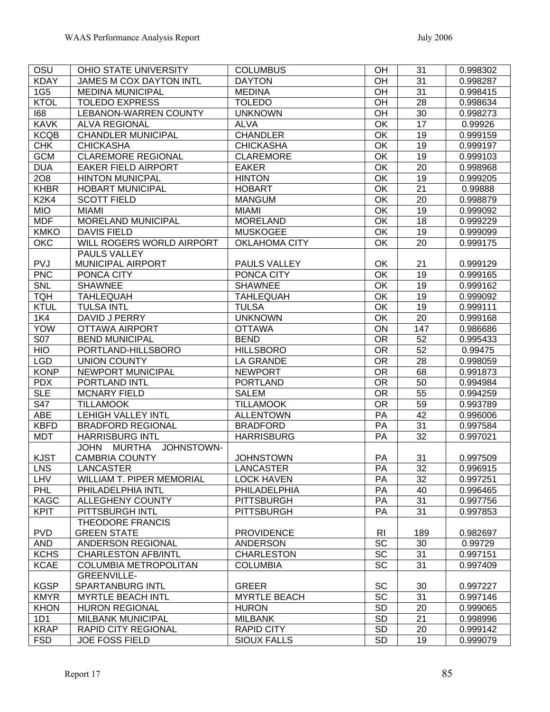| OSU                           | OHIO STATE UNIVERSITY            | <b>COLUMBUS</b>      | OH              | 31              | 0.998302 |
|-------------------------------|----------------------------------|----------------------|-----------------|-----------------|----------|
| <b>KDAY</b>                   | <b>JAMES M COX DAYTON INTL</b>   | <b>DAYTON</b>        | OH              | 31              | 0.998287 |
| 1G <sub>5</sub>               | <b>MEDINA MUNICIPAL</b>          | <b>MEDINA</b>        | OH              | 31              | 0.998415 |
| <b>KTOL</b>                   | <b>TOLEDO EXPRESS</b>            | <b>TOLEDO</b>        | OH              | 28              | 0.998634 |
| 168                           | <b>LEBANON-WARREN COUNTY</b>     | <b>UNKNOWN</b>       | OH              | 30              | 0.998273 |
| <b>KAVK</b>                   | <b>ALVA REGIONAL</b>             | <b>ALVA</b>          | OK              | $\overline{17}$ | 0.99926  |
| <b>KCQB</b>                   | <b>CHANDLER MUNICIPAL</b>        | <b>CHANDLER</b>      | OK              | 19              | 0.999159 |
| <b>CHK</b>                    | <b>CHICKASHA</b>                 | <b>CHICKASHA</b>     | OK              | $\overline{19}$ | 0.999197 |
| <b>GCM</b>                    | <b>CLAREMORE REGIONAL</b>        | <b>CLAREMORE</b>     | OK              | 19              | 0.999103 |
| <b>DUA</b>                    | <b>EAKER FIELD AIRPORT</b>       | <b>EAKER</b>         | OK              | 20              | 0.998968 |
| 208                           | <b>HINTON MUNICPAL</b>           | <b>HINTON</b>        | OK              | $\overline{19}$ | 0.999205 |
| <b>KHBR</b>                   | <b>HOBART MUNICIPAL</b>          | <b>HOBART</b>        | OK              | 21              | 0.99888  |
| K <sub>2</sub> K <sub>4</sub> | <b>SCOTT FIELD</b>               | <b>MANGUM</b>        | OK              | 20              | 0.998879 |
| <b>MIO</b>                    | <b>MIAMI</b>                     | <b>MIAMI</b>         | OK              | $\overline{19}$ | 0.999092 |
| <b>MDF</b>                    | <b>MORELAND MUNICIPAL</b>        | <b>MORELAND</b>      | OK              | 18              | 0.999229 |
| <b>KMKO</b>                   | <b>DAVIS FIELD</b>               | <b>MUSKOGEE</b>      | OK              | 19              | 0.999099 |
| <b>OKC</b>                    | WILL ROGERS WORLD AIRPORT        | <b>OKLAHOMA CITY</b> | OK              | 20              | 0.999175 |
|                               | <b>PAULS VALLEY</b>              |                      |                 |                 |          |
| PVJ                           | MUNICIPAL AIRPORT                | PAULS VALLEY         | OK              | 21              | 0.999129 |
| <b>PNC</b>                    | PONCA CITY                       | PONCA CITY           | OK              | 19              | 0.999165 |
| <b>SNL</b>                    | <b>SHAWNEE</b>                   | <b>SHAWNEE</b>       | OK              | $\overline{19}$ | 0.999162 |
| <b>TQH</b>                    | <b>TAHLEQUAH</b>                 | <b>TAHLEQUAH</b>     | OK              | $\overline{19}$ | 0.999092 |
| <b>KTUL</b>                   | <b>TULSA INTL</b>                | <b>TULSA</b>         | OK              | $\overline{19}$ | 0.999111 |
| <b>1K4</b>                    | DAVID J PERRY                    | <b>UNKNOWN</b>       | OK              | 20              | 0.999168 |
| <b>YOW</b>                    | <b>OTTAWA AIRPORT</b>            | <b>OTTAWA</b>        | ON              | 147             | 0.986686 |
| <b>S07</b>                    | <b>BEND MUNICIPAL</b>            | <b>BEND</b>          | <b>OR</b>       | 52              | 0.995433 |
| <b>HIO</b>                    | PORTLAND-HILLSBORO               | <b>HILLSBORO</b>     | $\overline{OR}$ | $\overline{52}$ | 0.99475  |
| <b>LGD</b>                    | <b>UNION COUNTY</b>              | <b>LA GRANDE</b>     | <b>OR</b>       | $\overline{28}$ | 0.998059 |
| <b>KONP</b>                   | NEWPORT MUNICIPAL                | <b>NEWPORT</b>       | <b>OR</b>       | 68              | 0.991873 |
| <b>PDX</b>                    | PORTLAND INTL                    | <b>PORTLAND</b>      | $\overline{OR}$ | 50              | 0.994984 |
| <b>SLE</b>                    | <b>MCNARY FIELD</b>              | <b>SALEM</b>         | <b>OR</b>       | 55              | 0.994259 |
| S47                           | <b>TILLAMOOK</b>                 | <b>TILLAMOOK</b>     | <b>OR</b>       | 59              | 0.993789 |
| <b>ABE</b>                    | <b>LEHIGH VALLEY INTL</b>        | <b>ALLENTOWN</b>     | PA              | 42              | 0.996006 |
| <b>KBFD</b>                   | <b>BRADFORD REGIONAL</b>         | <b>BRADFORD</b>      | PA              | 31              | 0.997584 |
| <b>MDT</b>                    | <b>HARRISBURG INTL</b>           | <b>HARRISBURG</b>    | PA              | 32              | 0.997021 |
|                               | JOHN MURTHA<br>JOHNSTOWN-        |                      |                 |                 |          |
| <b>KJST</b>                   | <b>CAMBRIA COUNTY</b>            | <b>JOHNSTOWN</b>     | PA              | 31              | 0.997509 |
| LNS                           | LANCASTER                        | <b>LANCASTER</b>     | PA              | $\overline{32}$ | 0.996915 |
| <b>LHV</b>                    | <b>WILLIAM T. PIPER MEMORIAL</b> | <b>LOCK HAVEN</b>    | PA              | 32              | 0.997251 |
| <b>PHL</b>                    | PHILADELPHIA INTL                | PHILADELPHIA         | PA              | 40              | 0.996465 |
| <b>KAGC</b>                   | <b>ALLEGHENY COUNTY</b>          | <b>PITTSBURGH</b>    | PA              | 31              | 0.997756 |
| <b>KPIT</b>                   | PITTSBURGH INTL                  | <b>PITTSBURGH</b>    | PA              | 31              | 0.997853 |
|                               | <b>THEODORE FRANCIS</b>          |                      |                 |                 |          |
| <b>PVD</b>                    | <b>GREEN STATE</b>               | <b>PROVIDENCE</b>    | R <sub>l</sub>  | 189             | 0.982697 |
| <b>AND</b>                    | ANDERSON REGIONAL                | <b>ANDERSON</b>      | <b>SC</b>       | 30              | 0.99729  |
| <b>KCHS</b>                   | <b>CHARLESTON AFB/INTL</b>       | <b>CHARLESTON</b>    | <b>SC</b>       | 31              | 0.997151 |
| <b>KCAE</b>                   | COLUMBIA METROPOLITAN            | <b>COLUMBIA</b>      | SC              | 31              | 0.997409 |
|                               | <b>GREENVILLE-</b>               |                      |                 |                 |          |
| <b>KGSP</b>                   | <b>SPARTANBURG INTL</b>          | <b>GREER</b>         | SC              | 30              | 0.997227 |
| <b>KMYR</b>                   | <b>MYRTLE BEACH INTL</b>         | <b>MYRTLE BEACH</b>  | SC              | 31              | 0.997146 |
| <b>KHON</b>                   | <b>HURON REGIONAL</b>            | <b>HURON</b>         | <b>SD</b>       | 20              | 0.999065 |
| 1D1                           | <b>MILBANK MUNICIPAL</b>         | <b>MILBANK</b>       | <b>SD</b>       | 21              | 0.998996 |
| <b>KRAP</b>                   | <b>RAPID CITY REGIONAL</b>       | <b>RAPID CITY</b>    | <b>SD</b>       | 20              | 0.999142 |
| <b>FSD</b>                    | JOE FOSS FIELD                   | <b>SIOUX FALLS</b>   | SD              | 19              | 0.999079 |
|                               |                                  |                      |                 |                 |          |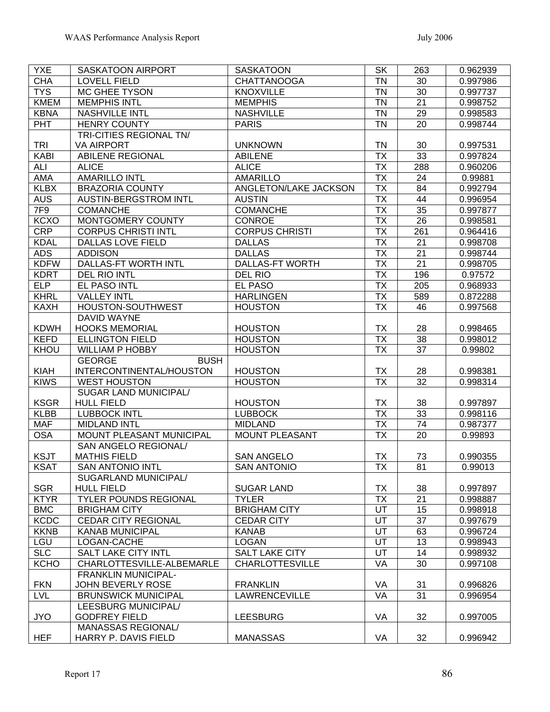| <b>YXE</b>  | SASKATOON AIRPORT            | <b>SASKATOON</b>       | <b>SK</b>                | 263             | 0.962939 |
|-------------|------------------------------|------------------------|--------------------------|-----------------|----------|
| <b>CHA</b>  | <b>LOVELL FIELD</b>          | <b>CHATTANOOGA</b>     | <b>TN</b>                | 30              | 0.997986 |
| <b>TYS</b>  | MC GHEE TYSON                | <b>KNOXVILLE</b>       | <b>TN</b>                | 30              | 0.997737 |
| <b>KMEM</b> | <b>MEMPHIS INTL</b>          | <b>MEMPHIS</b>         | <b>TN</b>                | 21              | 0.998752 |
| <b>KBNA</b> | NASHVILLE INTL               | <b>NASHVILLE</b>       | <b>TN</b>                | 29              | 0.998583 |
| <b>PHT</b>  | <b>HENRY COUNTY</b>          | <b>PARIS</b>           | <b>TN</b>                | 20              | 0.998744 |
|             | TRI-CITIES REGIONAL TN/      |                        |                          |                 |          |
| <b>TRI</b>  | <b>VA AIRPORT</b>            | <b>UNKNOWN</b>         | <b>TN</b>                | 30              | 0.997531 |
| <b>KABI</b> | <b>ABILENE REGIONAL</b>      | <b>ABILENE</b>         | <b>TX</b>                | 33              | 0.997824 |
| ALI         | <b>ALICE</b>                 | <b>ALICE</b>           | <b>TX</b>                | 288             | 0.960206 |
| <b>AMA</b>  | <b>AMARILLO INTL</b>         | <b>AMARILLO</b>        | <b>TX</b>                | 24              | 0.99881  |
| <b>KLBX</b> | <b>BRAZORIA COUNTY</b>       | ANGLETON/LAKE JACKSON  | $\overline{\mathsf{TX}}$ | 84              | 0.992794 |
| <b>AUS</b>  | AUSTIN-BERGSTROM INTL        | <b>AUSTIN</b>          | <b>TX</b>                | 44              | 0.996954 |
| 7F9         | <b>COMANCHE</b>              | <b>COMANCHE</b>        | $\overline{\mathsf{TX}}$ | $\overline{35}$ | 0.997877 |
| <b>KCXO</b> | MONTGOMERY COUNTY            | <b>CONROE</b>          | $\overline{\mathsf{TX}}$ | 26              | 0.998581 |
| <b>CRP</b>  | <b>CORPUS CHRISTI INTL</b>   | <b>CORPUS CHRISTI</b>  | <b>TX</b>                | 261             | 0.964416 |
| <b>KDAL</b> | <b>DALLAS LOVE FIELD</b>     | <b>DALLAS</b>          | <b>TX</b>                | 21              | 0.998708 |
| <b>ADS</b>  | <b>ADDISON</b>               | <b>DALLAS</b>          | $\overline{\mathsf{TX}}$ | 21              | 0.998744 |
| <b>KDFW</b> | DALLAS-FT WORTH INTL         | <b>DALLAS-FT WORTH</b> | <b>TX</b>                | $\overline{21}$ | 0.998705 |
| <b>KDRT</b> | <b>DEL RIO INTL</b>          | <b>DEL RIO</b>         | <b>TX</b>                | 196             | 0.97572  |
| <b>ELP</b>  | EL PASO INTL                 | <b>EL PASO</b>         | $\overline{\mathsf{TX}}$ | 205             | 0.968933 |
| KHRL        | <b>VALLEY INTL</b>           | <b>HARLINGEN</b>       | <b>TX</b>                | 589             | 0.872288 |
| <b>KAXH</b> | <b>HOUSTON-SOUTHWEST</b>     | <b>HOUSTON</b>         | <b>TX</b>                | 46              | 0.997568 |
|             | DAVID WAYNE                  |                        |                          |                 |          |
| <b>KDWH</b> | <b>HOOKS MEMORIAL</b>        | <b>HOUSTON</b>         | <b>TX</b>                | 28              | 0.998465 |
| <b>KEFD</b> | <b>ELLINGTON FIELD</b>       | <b>HOUSTON</b>         | $\overline{\mathsf{TX}}$ | $\overline{38}$ | 0.998012 |
| KHOU        | <b>WILLIAM P HOBBY</b>       | <b>HOUSTON</b>         | $\overline{\mathsf{TX}}$ | 37              | 0.99802  |
|             | <b>GEORGE</b><br><b>BUSH</b> |                        |                          |                 |          |
| <b>KIAH</b> | INTERCONTINENTAL/HOUSTON     | <b>HOUSTON</b>         | <b>TX</b>                | 28              | 0.998381 |
| <b>KIWS</b> | <b>WEST HOUSTON</b>          | <b>HOUSTON</b>         | $\overline{\mathsf{TX}}$ | 32              | 0.998314 |
|             | SUGAR LAND MUNICIPAL/        |                        |                          |                 |          |
| <b>KSGR</b> | <b>HULL FIELD</b>            | <b>HOUSTON</b>         | TX                       | 38              | 0.997897 |
| <b>KLBB</b> | <b>LUBBOCK INTL</b>          | <b>LUBBOCK</b>         | <b>TX</b>                | 33              | 0.998116 |
| <b>MAF</b>  | <b>MIDLAND INTL</b>          | <b>MIDLAND</b>         | <b>TX</b>                | 74              | 0.987377 |
| <b>OSA</b>  | MOUNT PLEASANT MUNICIPAL     | <b>MOUNT PLEASANT</b>  | <b>TX</b>                | 20              | 0.99893  |
|             | <b>SAN ANGELO REGIONAL/</b>  |                        |                          |                 |          |
| <b>KSJT</b> | <b>MATHIS FIELD</b>          | <b>SAN ANGELO</b>      | TX                       | 73              | 0.990355 |
| <b>KSAT</b> | <b>SAN ANTONIO INTL</b>      | <b>SAN ANTONIO</b>     | $\overline{\mathsf{TX}}$ | 81              | 0.99013  |
|             | SUGARLAND MUNICIPAL/         |                        |                          |                 |          |
| SGR         | <b>HULL FIELD</b>            | <b>SUGAR LAND</b>      | <b>TX</b>                | 38              | 0.997897 |
| <b>KTYR</b> | <b>TYLER POUNDS REGIONAL</b> | <b>TYLER</b>           | <b>TX</b>                | 21              | 0.998887 |
| <b>BMC</b>  | <b>BRIGHAM CITY</b>          | <b>BRIGHAM CITY</b>    | UT                       | 15              | 0.998918 |
| <b>KCDC</b> | <b>CEDAR CITY REGIONAL</b>   | <b>CEDAR CITY</b>      | UT                       | 37              | 0.997679 |
| <b>KKNB</b> | <b>KANAB MUNICIPAL</b>       | <b>KANAB</b>           | UT                       | 63              | 0.996724 |
| LGU         | LOGAN-CACHE                  | <b>LOGAN</b>           | UT                       | 13              | 0.998943 |
| <b>SLC</b>  | <b>SALT LAKE CITY INTL</b>   | SALT LAKE CITY         | UT                       | 14              | 0.998932 |
| <b>KCHO</b> | CHARLOTTESVILLE-ALBEMARLE    | <b>CHARLOTTESVILLE</b> | VA                       | 30              | 0.997108 |
|             | <b>FRANKLIN MUNICIPAL-</b>   |                        |                          |                 |          |
| <b>FKN</b>  | JOHN BEVERLY ROSE            | <b>FRANKLIN</b>        | VA                       | 31              | 0.996826 |
| <b>LVL</b>  | <b>BRUNSWICK MUNICIPAL</b>   | <b>LAWRENCEVILLE</b>   | VA                       | 31              | 0.996954 |
|             | LEESBURG MUNICIPAL/          |                        |                          |                 |          |
| <b>JYO</b>  | <b>GODFREY FIELD</b>         | <b>LEESBURG</b>        | VA                       | 32              | 0.997005 |
|             | MANASSAS REGIONAL/           |                        |                          |                 |          |
| HEF         | HARRY P. DAVIS FIELD         | <b>MANASSAS</b>        | VA                       | 32              | 0.996942 |
|             |                              |                        |                          |                 |          |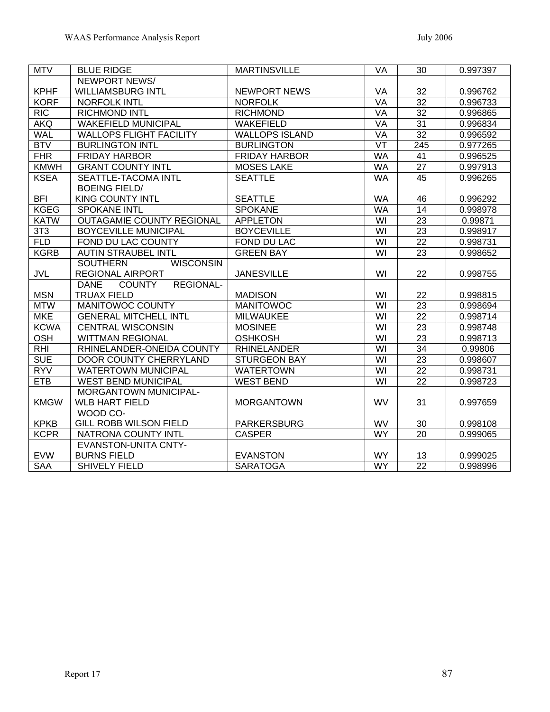| <b>MTV</b>  | <b>BLUE RIDGE</b>                                | <b>MARTINSVILLE</b>   | VA                      | 30              | 0.997397 |
|-------------|--------------------------------------------------|-----------------------|-------------------------|-----------------|----------|
|             | <b>NEWPORT NEWS/</b>                             |                       |                         |                 |          |
| <b>KPHF</b> | <b>WILLIAMSBURG INTL</b>                         | <b>NEWPORT NEWS</b>   | VA                      | 32              | 0.996762 |
| <b>KORF</b> | <b>NORFOLK INTL</b>                              | <b>NORFOLK</b>        | <b>VA</b>               | $\overline{32}$ | 0.996733 |
| <b>RIC</b>  | <b>RICHMOND INTL</b>                             | <b>RICHMOND</b>       | VA                      | $\overline{32}$ | 0.996865 |
| <b>AKQ</b>  | <b>WAKEFIELD MUNICIPAL</b>                       | <b>WAKEFIELD</b>      | VA                      | 31              | 0.996834 |
| <b>WAL</b>  | <b>WALLOPS FLIGHT FACILITY</b>                   | <b>WALLOPS ISLAND</b> | VA                      | $\overline{32}$ | 0.996592 |
| <b>BTV</b>  | <b>BURLINGTON INTL</b>                           | <b>BURLINGTON</b>     | $\overline{\nabla T}$   | 245             | 0.977265 |
| <b>FHR</b>  | <b>FRIDAY HARBOR</b>                             | <b>FRIDAY HARBOR</b>  | <b>WA</b>               | 41              | 0.996525 |
| <b>KMWH</b> | <b>GRANT COUNTY INTL</b>                         | <b>MOSES LAKE</b>     | <b>WA</b>               | $\overline{27}$ | 0.997913 |
| <b>KSEA</b> | SEATTLE-TACOMA INTL                              | <b>SEATTLE</b>        | <b>WA</b>               | 45              | 0.996265 |
|             | <b>BOEING FIELD/</b>                             |                       |                         |                 |          |
| <b>BFI</b>  | <b>KING COUNTY INTL</b>                          | <b>SEATTLE</b>        | <b>WA</b>               | 46              | 0.996292 |
| <b>KGEG</b> | <b>SPOKANE INTL</b>                              | <b>SPOKANE</b>        | <b>WA</b>               | $\overline{14}$ | 0.998978 |
| <b>KATW</b> | <b>OUTAGAMIE COUNTY REGIONAL</b>                 | <b>APPLETON</b>       | $\overline{W}$          | $\overline{23}$ | 0.99871  |
| 3T3         | <b>BOYCEVILLE MUNICIPAL</b>                      | <b>BOYCEVILLE</b>     | $\overline{\mathsf{W}}$ | $\overline{23}$ | 0.998917 |
| <b>FLD</b>  | FOND DU LAC COUNTY                               | FOND DU LAC           | $\overline{\mathsf{W}}$ | $\overline{22}$ | 0.998731 |
| <b>KGRB</b> | <b>AUTIN STRAUBEL INTL</b>                       | <b>GREEN BAY</b>      | $\overline{\mathsf{W}}$ | $\overline{23}$ | 0.998652 |
|             | <b>WISCONSIN</b><br><b>SOUTHERN</b>              |                       |                         |                 |          |
| <b>JVL</b>  | <b>REGIONAL AIRPORT</b>                          | <b>JANESVILLE</b>     | WI                      | 22              | 0.998755 |
|             | <b>COUNTY</b><br><b>REGIONAL-</b><br><b>DANE</b> |                       |                         |                 |          |
| <b>MSN</b>  | <b>TRUAX FIELD</b>                               | <b>MADISON</b>        | WI                      | 22              | 0.998815 |
| <b>MTW</b>  | <b>MANITOWOC COUNTY</b>                          | <b>MANITOWOC</b>      | $\overline{\mathsf{W}}$ | 23              | 0.998694 |
| <b>MKE</b>  | <b>GENERAL MITCHELL INTL</b>                     | <b>MILWAUKEE</b>      | WI                      | 22              | 0.998714 |
| <b>KCWA</b> | <b>CENTRAL WISCONSIN</b>                         | <b>MOSINEE</b>        | WI                      | 23              | 0.998748 |
| OSH         | <b>WITTMAN REGIONAL</b>                          | <b>OSHKOSH</b>        | WI                      | 23              | 0.998713 |
| $R$ HI      | RHINELANDER-ONEIDA COUNTY                        | <b>RHINELANDER</b>    | $\overline{\mathsf{W}}$ | $\overline{34}$ | 0.99806  |
| <b>SUE</b>  | <b>DOOR COUNTY CHERRYLAND</b>                    | <b>STURGEON BAY</b>   | WI                      | 23              | 0.998607 |
| <b>RYV</b>  | <b>WATERTOWN MUNICIPAL</b>                       | <b>WATERTOWN</b>      | $\overline{\mathsf{W}}$ | $\overline{22}$ | 0.998731 |
| <b>ETB</b>  | <b>WEST BEND MUNICIPAL</b>                       | <b>WEST BEND</b>      | $\overline{W}$          | $\overline{22}$ | 0.998723 |
|             | <b>MORGANTOWN MUNICIPAL-</b>                     |                       |                         |                 |          |
| <b>KMGW</b> | <b>WLB HART FIELD</b>                            | <b>MORGANTOWN</b>     | <b>WV</b>               | 31              | 0.997659 |
|             | WOOD CO-                                         |                       |                         |                 |          |
| <b>KPKB</b> | GILL ROBB WILSON FIELD                           | <b>PARKERSBURG</b>    | WV                      | 30              | 0.998108 |
| <b>KCPR</b> | NATRONA COUNTY INTL                              | <b>CASPER</b>         | <b>WY</b>               | 20              | 0.999065 |
|             | <b>EVANSTON-UNITA CNTY-</b>                      |                       |                         |                 |          |
| <b>EVW</b>  | <b>BURNS FIELD</b>                               | <b>EVANSTON</b>       | <b>WY</b>               | 13              | 0.999025 |
| <b>SAA</b>  | <b>SHIVELY FIELD</b>                             | <b>SARATOGA</b>       | <b>WY</b>               | $\overline{22}$ | 0.998996 |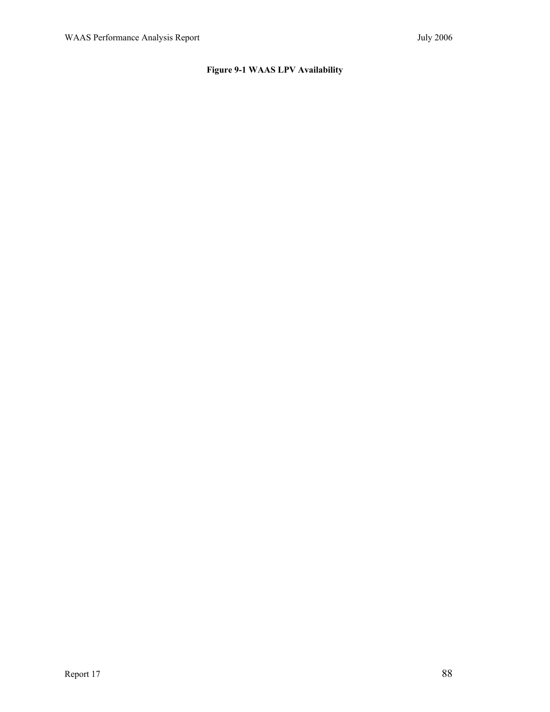# **Figure 9-1 WAAS LPV Availability**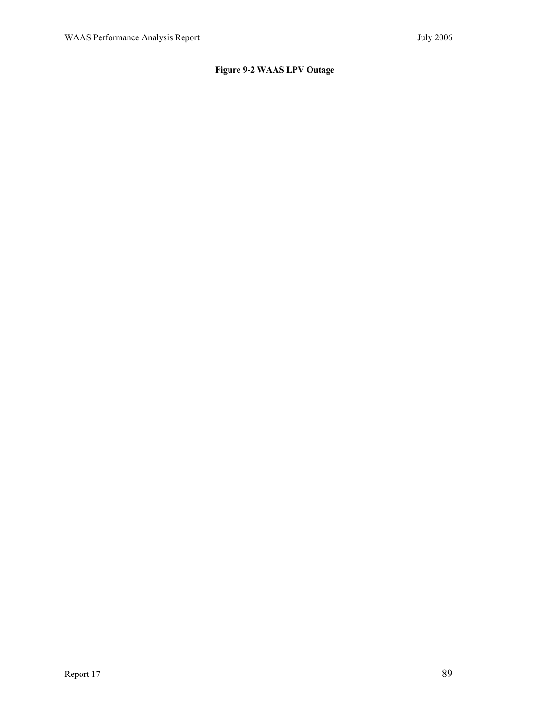# **Figure 9-2 WAAS LPV Outage**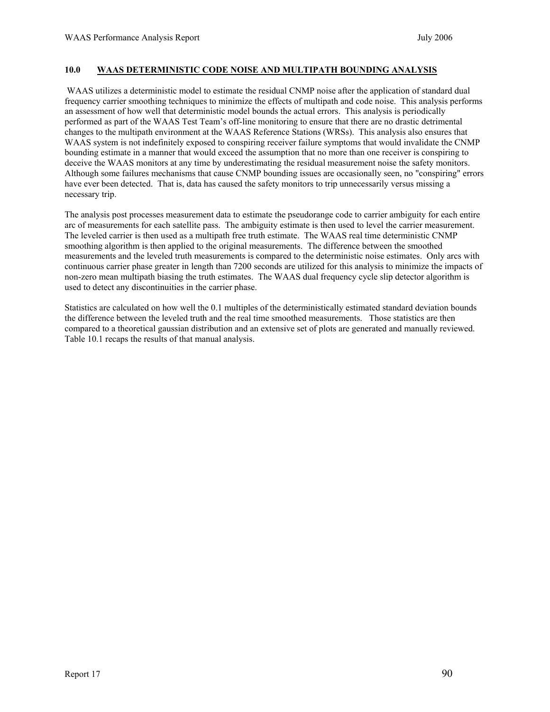## **10.0 WAAS DETERMINISTIC CODE NOISE AND MULTIPATH BOUNDING ANALYSIS**

 WAAS utilizes a deterministic model to estimate the residual CNMP noise after the application of standard dual frequency carrier smoothing techniques to minimize the effects of multipath and code noise. This analysis performs an assessment of how well that deterministic model bounds the actual errors. This analysis is periodically performed as part of the WAAS Test Team's off-line monitoring to ensure that there are no drastic detrimental changes to the multipath environment at the WAAS Reference Stations (WRSs). This analysis also ensures that WAAS system is not indefinitely exposed to conspiring receiver failure symptoms that would invalidate the CNMP bounding estimate in a manner that would exceed the assumption that no more than one receiver is conspiring to deceive the WAAS monitors at any time by underestimating the residual measurement noise the safety monitors. Although some failures mechanisms that cause CNMP bounding issues are occasionally seen, no "conspiring" errors have ever been detected. That is, data has caused the safety monitors to trip unnecessarily versus missing a necessary trip.

The analysis post processes measurement data to estimate the pseudorange code to carrier ambiguity for each entire arc of measurements for each satellite pass. The ambiguity estimate is then used to level the carrier measurement. The leveled carrier is then used as a multipath free truth estimate. The WAAS real time deterministic CNMP smoothing algorithm is then applied to the original measurements. The difference between the smoothed measurements and the leveled truth measurements is compared to the deterministic noise estimates. Only arcs with continuous carrier phase greater in length than 7200 seconds are utilized for this analysis to minimize the impacts of non-zero mean multipath biasing the truth estimates. The WAAS dual frequency cycle slip detector algorithm is used to detect any discontinuities in the carrier phase.

Statistics are calculated on how well the 0.1 multiples of the deterministically estimated standard deviation bounds the difference between the leveled truth and the real time smoothed measurements. Those statistics are then compared to a theoretical gaussian distribution and an extensive set of plots are generated and manually reviewed. Table 10.1 recaps the results of that manual analysis.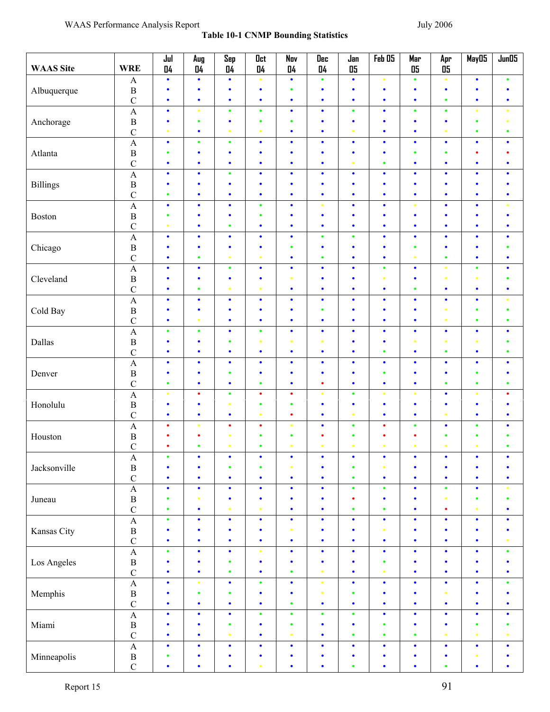| <b>WAAS</b> Site | <b>WRE</b>              | Jul<br>04 | Aug<br>04 | Sep<br>04 | Oct<br>04 | Nov<br>04 | Dec<br>04 | Jan<br>05 | Feb 05    | Mar<br>05 | Apr<br>05 | May05                                                                                                                                                                                                                                                                                                                                                                                                                                                                                                                                              | Jun05     |
|------------------|-------------------------|-----------|-----------|-----------|-----------|-----------|-----------|-----------|-----------|-----------|-----------|----------------------------------------------------------------------------------------------------------------------------------------------------------------------------------------------------------------------------------------------------------------------------------------------------------------------------------------------------------------------------------------------------------------------------------------------------------------------------------------------------------------------------------------------------|-----------|
|                  | $\mathbf{A}$            | $\bullet$ | ٠         | $\bullet$ | $\bullet$ | $\bullet$ | $\bullet$ | $\bullet$ | $\bullet$ | $\bullet$ | $\bullet$ | $\bullet$                                                                                                                                                                                                                                                                                                                                                                                                                                                                                                                                          | $\bullet$ |
| Albuquerque      | $\, {\bf B}$            | $\bullet$ | ۰         | ٠         | $\bullet$ | $\bullet$ | $\bullet$ | ٠         | $\bullet$ | ٠         | $\bullet$ | ٠                                                                                                                                                                                                                                                                                                                                                                                                                                                                                                                                                  | ٠         |
|                  | $\mathbf C$             | $\bullet$ | $\bullet$ | $\bullet$ | $\bullet$ | $\bullet$ | $\bullet$ | $\bullet$ | $\bullet$ | $\bullet$ | $\bullet$ | $\bullet$                                                                                                                                                                                                                                                                                                                                                                                                                                                                                                                                          | $\bullet$ |
|                  | $\overline{A}$          | $\bullet$ | $\bullet$ | $\bullet$ | $\bullet$ | $\bullet$ | $\bullet$ | $\bullet$ | $\bullet$ | $\bullet$ | $\bullet$ | $\bullet$                                                                                                                                                                                                                                                                                                                                                                                                                                                                                                                                          | $\bullet$ |
| Anchorage        | $\, {\bf B}$            | $\bullet$ | $\bullet$ | $\bullet$ | $\bullet$ | $\bullet$ | $\bullet$ | $\bullet$ | $\bullet$ | $\bullet$ | $\bullet$ | $\bullet$                                                                                                                                                                                                                                                                                                                                                                                                                                                                                                                                          | $\bullet$ |
|                  | $\mathbf C$             | $\bullet$ | $\bullet$ | $\bullet$ | $\bullet$ | $\bullet$ | $\bullet$ | $\bullet$ | $\bullet$ | $\bullet$ | $\bullet$ | $\bullet$                                                                                                                                                                                                                                                                                                                                                                                                                                                                                                                                          | $\bullet$ |
|                  | $\overline{A}$          | $\bullet$ | $\bullet$ | $\bullet$ | $\bullet$ | $\bullet$ | $\bullet$ | $\bullet$ | $\bullet$ | $\bullet$ | $\bullet$ |                                                                                                                                                                                                                                                                                                                                                                                                                                                                                                                                                    | $\bullet$ |
| Atlanta          | $\, {\bf B}$            | $\bullet$ | ۰         | $\bullet$ | $\bullet$ | $\bullet$ | ٠         | $\bullet$ | $\bullet$ | $\bullet$ | $\bullet$ | ٠                                                                                                                                                                                                                                                                                                                                                                                                                                                                                                                                                  | ٠         |
|                  | $\mathbf C$             | $\bullet$ | ٠         | $\bullet$ | $\bullet$ | $\bullet$ | $\bullet$ | $\bullet$ | $\bullet$ | $\bullet$ | $\bullet$ |                                                                                                                                                                                                                                                                                                                                                                                                                                                                                                                                                    | $\bullet$ |
|                  | $\overline{A}$          | $\bullet$ | $\bullet$ | $\bullet$ | $\bullet$ | $\bullet$ | $\bullet$ | $\bullet$ | $\bullet$ | $\bullet$ | $\bullet$ |                                                                                                                                                                                                                                                                                                                                                                                                                                                                                                                                                    | $\bullet$ |
|                  | $\, {\bf B}$            | $\bullet$ | ۰         | $\bullet$ | ٠         | ٠         | $\bullet$ | $\bullet$ | ٠         | ٠         | $\bullet$ |                                                                                                                                                                                                                                                                                                                                                                                                                                                                                                                                                    |           |
| <b>Billings</b>  |                         | $\bullet$ | ٠         | $\bullet$ | $\bullet$ | $\bullet$ | $\bullet$ | $\bullet$ | $\bullet$ | $\bullet$ | $\bullet$ |                                                                                                                                                                                                                                                                                                                                                                                                                                                                                                                                                    | $\bullet$ |
|                  | $\mathbf C$             |           |           |           |           |           |           |           |           |           |           |                                                                                                                                                                                                                                                                                                                                                                                                                                                                                                                                                    |           |
|                  | $\overline{A}$          | $\bullet$ | ٠         | $\bullet$ | $\bullet$ | $\bullet$ | $\bullet$ | $\bullet$ | $\bullet$ | $\bullet$ |           |                                                                                                                                                                                                                                                                                                                                                                                                                                                                                                                                                    | $\bullet$ |
| Boston           | $\, {\bf B}$            | $\bullet$ | ۰         | $\bullet$ | $\bullet$ | ٠         | ٠         | ٠         | ٠         | ٠         | ٠         | $\bullet$<br>$\bullet$<br>$\bullet$<br>٠<br>$\bullet$<br>$\bullet$<br>٠<br>٠<br>$\bullet$<br>٠<br>$\bullet$<br>$\bullet$<br>¢<br>$\bullet$<br>$\bullet$<br>$\bullet$<br>$\bullet$<br>$\bullet$<br>¢<br>$\bullet$<br>$\bullet$<br>$\bullet$<br>$\bullet$<br>٠<br>$\bullet$<br>٠<br>$\bullet$<br>$\bullet$<br>$\bullet$<br>$\bullet$<br>$\bullet$<br>$\bullet$<br>$\bullet$<br>$\bullet$<br>$\bullet$<br>$\bullet$<br>$\bullet$<br>$\bullet$<br>$\bullet$<br>$\bullet$<br>$\bullet$<br>$\bullet$<br>$\bullet$<br>$\bullet$<br>$\bullet$<br>$\bullet$ | $\bullet$ |
|                  | $\mathcal{C}$           | $\bullet$ | ۰         | $\bullet$ | $\bullet$ | $\bullet$ | ٠         | $\bullet$ | ٠         | ٠         | $\bullet$ |                                                                                                                                                                                                                                                                                                                                                                                                                                                                                                                                                    | ٠         |
|                  | $\overline{A}$          | $\bullet$ | ٠         | $\bullet$ | $\bullet$ | $\bullet$ | $\bullet$ | $\bullet$ | $\bullet$ | $\bullet$ | $\bullet$ | $\bullet$                                                                                                                                                                                                                                                                                                                                                                                                                                                                                                                                          | $\bullet$ |
| Chicago          | $\, {\bf B}$            | ٠         | ٠         | $\bullet$ | ٠         | $\bullet$ | ٠         | ٠         | $\bullet$ | $\bullet$ | ٠         |                                                                                                                                                                                                                                                                                                                                                                                                                                                                                                                                                    | ٠         |
|                  | $\mathbf C$             | $\bullet$ | $\bullet$ | $\bullet$ | $\bullet$ | $\bullet$ | $\bullet$ | $\bullet$ | $\bullet$ | $\bullet$ | $\bullet$ |                                                                                                                                                                                                                                                                                                                                                                                                                                                                                                                                                    | $\bullet$ |
|                  | $\overline{A}$          | $\bullet$ | ٠         | $\bullet$ | $\bullet$ | $\bullet$ | $\bullet$ | $\bullet$ | $\bullet$ | $\bullet$ | $\bullet$ |                                                                                                                                                                                                                                                                                                                                                                                                                                                                                                                                                    | $\bullet$ |
| Cleveland        | $\, {\bf B}$            | $\bullet$ | ٠         | $\bullet$ | $\bullet$ |           | ٠         | $\bullet$ |           | ٠         | $\bullet$ |                                                                                                                                                                                                                                                                                                                                                                                                                                                                                                                                                    | ٠         |
|                  | $\mathbf C$             | $\bullet$ | $\bullet$ | $\bullet$ | $\bullet$ | $\bullet$ | $\bullet$ | $\bullet$ | $\bullet$ | $\bullet$ | $\bullet$ |                                                                                                                                                                                                                                                                                                                                                                                                                                                                                                                                                    | $\bullet$ |
|                  | $\overline{A}$          | $\bullet$ | $\bullet$ | $\bullet$ | $\bullet$ | $\bullet$ | $\bullet$ | $\bullet$ | $\bullet$ | $\bullet$ | $\bullet$ |                                                                                                                                                                                                                                                                                                                                                                                                                                                                                                                                                    | $\bullet$ |
| Cold Bay         | $\, {\bf B}$            | $\bullet$ | $\bullet$ | $\bullet$ | $\bullet$ | $\bullet$ | $\bullet$ | $\bullet$ | $\bullet$ | $\bullet$ | $\bullet$ | $\bullet$<br>$\bullet$                                                                                                                                                                                                                                                                                                                                                                                                                                                                                                                             | $\bullet$ |
|                  | $\mathbf C$             | $\bullet$ | $\bullet$ | $\bullet$ | $\bullet$ | $\bullet$ | $\bullet$ | $\bullet$ | ٠         | $\bullet$ | $\bullet$ |                                                                                                                                                                                                                                                                                                                                                                                                                                                                                                                                                    | $\bullet$ |
|                  | $\overline{A}$          | $\bullet$ | $\bullet$ | $\bullet$ | $\bullet$ | $\bullet$ | $\bullet$ | $\bullet$ | $\bullet$ | $\bullet$ | $\bullet$ |                                                                                                                                                                                                                                                                                                                                                                                                                                                                                                                                                    | $\bullet$ |
| Dallas           | $\, {\bf B}$            | $\bullet$ | ٠         | $\bullet$ | $\bullet$ |           | $\bullet$ | $\bullet$ | $\bullet$ | $\bullet$ | $\bullet$ |                                                                                                                                                                                                                                                                                                                                                                                                                                                                                                                                                    | $\bullet$ |
|                  | $\mathcal{C}$           | $\bullet$ | $\bullet$ | $\bullet$ | $\bullet$ | $\bullet$ | $\bullet$ | $\bullet$ | $\bullet$ | $\bullet$ | $\bullet$ |                                                                                                                                                                                                                                                                                                                                                                                                                                                                                                                                                    | $\bullet$ |
|                  | $\overline{A}$          | $\bullet$ | ٠         | $\bullet$ | $\bullet$ | $\bullet$ | $\bullet$ | $\bullet$ | $\bullet$ | $\bullet$ | $\bullet$ |                                                                                                                                                                                                                                                                                                                                                                                                                                                                                                                                                    | $\bullet$ |
|                  |                         | $\bullet$ | $\bullet$ | $\bullet$ | $\bullet$ | $\bullet$ | $\bullet$ | $\bullet$ | $\bullet$ | $\bullet$ | $\bullet$ |                                                                                                                                                                                                                                                                                                                                                                                                                                                                                                                                                    | ٠         |
| Denver           | $\, {\bf B}$            | $\bullet$ | $\bullet$ | $\bullet$ | $\bullet$ | $\bullet$ | $\bullet$ | $\bullet$ | $\bullet$ | $\bullet$ | $\bullet$ |                                                                                                                                                                                                                                                                                                                                                                                                                                                                                                                                                    | $\bullet$ |
|                  | $\mathsf{C}$            |           | $\bullet$ |           | $\bullet$ | $\bullet$ |           |           |           |           |           |                                                                                                                                                                                                                                                                                                                                                                                                                                                                                                                                                    |           |
|                  | $\overline{A}$          | $\bullet$ |           | $\bullet$ |           |           | $\bullet$ | $\bullet$ |           | $\bullet$ |           |                                                                                                                                                                                                                                                                                                                                                                                                                                                                                                                                                    | ٠         |
| Honolulu         | $\, {\bf B}$            | $\bullet$ | ۰         | $\bullet$ | $\bullet$ | $\bullet$ | $\bullet$ | $\bullet$ | ٠         | $\bullet$ | $\bullet$ |                                                                                                                                                                                                                                                                                                                                                                                                                                                                                                                                                    | $\bullet$ |
|                  | $\mathsf{C}$            | $\bullet$ | ٠         | $\bullet$ | $\bullet$ | ٠         | $\bullet$ | $\bullet$ | $\bullet$ | $\bullet$ | $\bullet$ |                                                                                                                                                                                                                                                                                                                                                                                                                                                                                                                                                    | $\bullet$ |
|                  | $\overline{A}$          | $\bullet$ | $\bullet$ | $\bullet$ | $\bullet$ | $\bullet$ | $\bullet$ | $\bullet$ | ٠         | $\bullet$ | ٠         |                                                                                                                                                                                                                                                                                                                                                                                                                                                                                                                                                    | $\bullet$ |
| Houston          | $\, {\bf B}$            | ٠         | ٠         | $\bullet$ | $\bullet$ | $\bullet$ | ٠         | $\bullet$ | ٠         | ٠         | $\bullet$ |                                                                                                                                                                                                                                                                                                                                                                                                                                                                                                                                                    | ٠         |
|                  | $\mathcal{C}$           |           | ٠         | $\bullet$ | ٠         |           | ۰         |           |           |           |           |                                                                                                                                                                                                                                                                                                                                                                                                                                                                                                                                                    |           |
|                  | $\mathbf{A}$            | $\bullet$ | ۰         |           | $\bullet$ | $\bullet$ |           | $\bullet$ | $\bullet$ |           |           |                                                                                                                                                                                                                                                                                                                                                                                                                                                                                                                                                    |           |
| Jacksonville     | $\, {\bf B}$            | $\bullet$ | $\bullet$ | $\bullet$ | $\bullet$ | $\bullet$ | ٠         | $\bullet$ | $\bullet$ | ٠         | $\bullet$ |                                                                                                                                                                                                                                                                                                                                                                                                                                                                                                                                                    | $\bullet$ |
|                  | $\mathbf C$             | $\bullet$ | $\bullet$ | $\bullet$ | $\bullet$ | $\bullet$ | $\bullet$ | $\bullet$ | $\bullet$ | $\bullet$ | $\bullet$ | $\bullet$<br>$\bullet$                                                                                                                                                                                                                                                                                                                                                                                                                                                                                                                             | $\bullet$ |
|                  | $\overline{\mathbf{A}}$ | $\bullet$ | ٠         | $\bullet$ | $\bullet$ | $\bullet$ | $\bullet$ | $\bullet$ | $\bullet$ | $\bullet$ | $\bullet$ |                                                                                                                                                                                                                                                                                                                                                                                                                                                                                                                                                    | $\bullet$ |
| Juneau           | $\, {\bf B}$            | $\bullet$ | $\bullet$ | $\bullet$ | $\bullet$ | $\bullet$ | $\bullet$ | $\bullet$ | $\bullet$ | $\bullet$ | $\bullet$ |                                                                                                                                                                                                                                                                                                                                                                                                                                                                                                                                                    | $\bullet$ |
|                  | $\mathbf C$             | $\bullet$ | $\bullet$ | $\bullet$ | $\bullet$ | $\bullet$ | $\bullet$ | $\bullet$ | $\bullet$ | $\bullet$ | $\bullet$ |                                                                                                                                                                                                                                                                                                                                                                                                                                                                                                                                                    | $\bullet$ |
|                  | $\overline{\mathbf{A}}$ | $\bullet$ | $\bullet$ | $\bullet$ | $\bullet$ | $\bullet$ | $\bullet$ | $\bullet$ | $\bullet$ | $\bullet$ | $\bullet$ |                                                                                                                                                                                                                                                                                                                                                                                                                                                                                                                                                    | $\bullet$ |
| Kansas City      | $\, {\bf B}$            | $\bullet$ | ٠         | $\bullet$ | $\bullet$ |           | ٠         | $\bullet$ | ۰         | ٠         | $\bullet$ |                                                                                                                                                                                                                                                                                                                                                                                                                                                                                                                                                    | $\bullet$ |
|                  | $\mathbf C$             | $\bullet$ | ٠         | ٠         | $\bullet$ | $\bullet$ | $\bullet$ | $\bullet$ | $\bullet$ | $\bullet$ | $\bullet$ |                                                                                                                                                                                                                                                                                                                                                                                                                                                                                                                                                    | $\bullet$ |
|                  | $\overline{A}$          | $\bullet$ | $\bullet$ | $\bullet$ | $\bullet$ | $\bullet$ | $\bullet$ | $\bullet$ | $\bullet$ | $\bullet$ | $\bullet$ |                                                                                                                                                                                                                                                                                                                                                                                                                                                                                                                                                    | $\bullet$ |
| Los Angeles      | $\, {\bf B}$            | $\bullet$ | $\bullet$ | $\bullet$ | $\bullet$ | ٠         | ٠         | $\bullet$ | $\bullet$ | $\bullet$ | $\bullet$ |                                                                                                                                                                                                                                                                                                                                                                                                                                                                                                                                                    | ٠         |
|                  | $\mathsf C$             | $\bullet$ | ٠         | $\bullet$ | $\bullet$ | $\bullet$ | $\bullet$ | $\bullet$ | ó         | $\bullet$ | $\bullet$ |                                                                                                                                                                                                                                                                                                                                                                                                                                                                                                                                                    | $\bullet$ |
|                  | $\overline{A}$          | $\bullet$ | ۰         | $\bullet$ | $\bullet$ | $\bullet$ | $\bullet$ | $\bullet$ | $\bullet$ | $\bullet$ | $\bullet$ |                                                                                                                                                                                                                                                                                                                                                                                                                                                                                                                                                    | $\bullet$ |
|                  |                         | $\bullet$ | $\bullet$ | $\bullet$ | $\bullet$ | $\bullet$ | $\bullet$ | $\bullet$ | $\bullet$ | $\bullet$ | $\bullet$ |                                                                                                                                                                                                                                                                                                                                                                                                                                                                                                                                                    | ٠         |
| Memphis          | $\, {\bf B}$            |           | $\bullet$ |           | $\bullet$ | $\bullet$ |           | $\bullet$ |           |           | $\bullet$ |                                                                                                                                                                                                                                                                                                                                                                                                                                                                                                                                                    |           |
|                  | $\mathbf C$             | $\bullet$ |           | $\bullet$ |           |           | $\bullet$ |           | $\bullet$ | ٠         |           |                                                                                                                                                                                                                                                                                                                                                                                                                                                                                                                                                    | ٠         |
|                  | $\overline{\mathbf{A}}$ | $\bullet$ | $\bullet$ | $\bullet$ | $\bullet$ | $\bullet$ | $\bullet$ | $\bullet$ | $\bullet$ | $\bullet$ | $\bullet$ |                                                                                                                                                                                                                                                                                                                                                                                                                                                                                                                                                    | $\bullet$ |
| Miami            | $\, {\bf B}$            | $\bullet$ | ٠         | $\bullet$ | $\bullet$ | $\bullet$ | $\bullet$ | $\bullet$ | $\bullet$ | ٠         | $\bullet$ |                                                                                                                                                                                                                                                                                                                                                                                                                                                                                                                                                    | $\bullet$ |
|                  | $\overline{C}$          | $\bullet$ | $\bullet$ | $\bullet$ | $\bullet$ | $\bullet$ | $\bullet$ | $\bullet$ | $\bullet$ | $\bullet$ | $\bullet$ |                                                                                                                                                                                                                                                                                                                                                                                                                                                                                                                                                    | $\bullet$ |
|                  | $\overline{\mathbf{A}}$ | $\bullet$ | ٠         | $\bullet$ | $\bullet$ | $\bullet$ | $\bullet$ | $\bullet$ | $\bullet$ | $\bullet$ | $\bullet$ |                                                                                                                                                                                                                                                                                                                                                                                                                                                                                                                                                    | $\bullet$ |
| Minneapolis      | $\frac{B}{C}$           | ٠         | ٠         | ٠         | ٠         | $\bullet$ | $\bullet$ | $\bullet$ | $\bullet$ | ٠         | ٠         |                                                                                                                                                                                                                                                                                                                                                                                                                                                                                                                                                    | $\bullet$ |
|                  |                         | $\bullet$ | $\bullet$ | $\bullet$ |           | $\bullet$ | $\bullet$ | $\bullet$ | $\bullet$ | $\bullet$ | $\bullet$ |                                                                                                                                                                                                                                                                                                                                                                                                                                                                                                                                                    | $\bullet$ |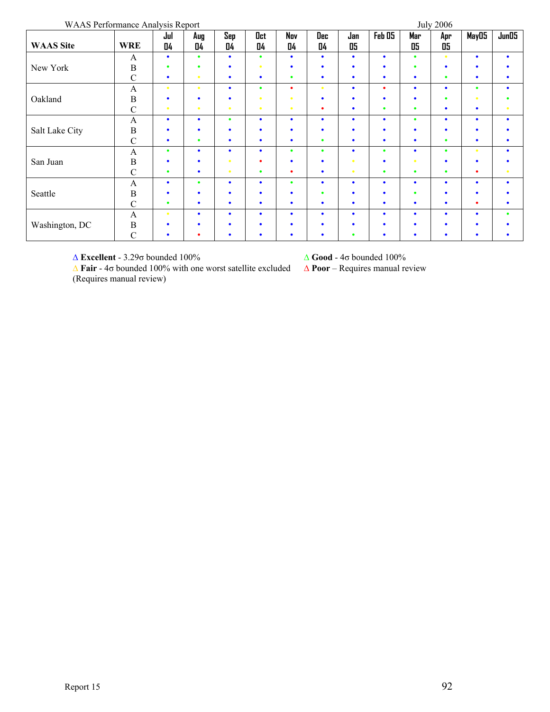WAAS Performance Analysis Report July 2006

| $\ldots$ is a constructive $\ldots$<br><b>WAAS</b> Site | <b>WRE</b>    | 0101<br>Jul<br>04 | Aug<br>04 | Sep<br>04 | Oct<br>04 | Nov<br>04 | Dec<br>04 | Jan<br>05 | Feb 05    | $\mathbf{v}$ which<br>Mar<br>05 | ----<br>Apr<br>05 | May05     | Jun05     |
|---------------------------------------------------------|---------------|-------------------|-----------|-----------|-----------|-----------|-----------|-----------|-----------|---------------------------------|-------------------|-----------|-----------|
|                                                         |               |                   |           |           |           |           |           |           |           |                                 |                   |           |           |
|                                                         | A             | $\bullet$         | $\bullet$ | $\bullet$ | ٠         | ٠         | $\bullet$ | ٠         | ٠         | $\bullet$                       |                   | $\bullet$ | $\bullet$ |
| New York                                                | B             | ٠                 |           | ٠         |           |           | ۰         |           |           | ٠                               |                   |           |           |
|                                                         | $\mathcal{C}$ | $\bullet$         | $\bullet$ | $\bullet$ | $\bullet$ | ٠         | $\bullet$ | ٠         | ٠         | $\bullet$                       | ٠                 | ٠         | $\bullet$ |
|                                                         | $\mathbf{A}$  | $\bullet$         | $\bullet$ | $\bullet$ | $\bullet$ | ٠         | ۰         | $\bullet$ | ٠         | $\bullet$                       | $\bullet$         | $\bullet$ | $\bullet$ |
| Oakland                                                 | $\, {\bf B}$  | ٠                 |           | $\bullet$ |           |           | $\bullet$ | ٠         | ۰         | $\bullet$                       | ٠                 | ٠         |           |
|                                                         | $\mathbf C$   | $\bullet$         | $\bullet$ | $\bullet$ | ٠         |           | ٠         |           | ٠         | $\bullet$                       | ٠                 | ٠         |           |
|                                                         | $\mathbf{A}$  | $\bullet$         | $\bullet$ | $\bullet$ | $\bullet$ | ٠         | $\bullet$ | $\bullet$ | ٠         | $\bullet$                       | $\bullet$         | ۰         | $\bullet$ |
| Salt Lake City                                          | $\, {\bf B}$  | ٠                 |           | $\bullet$ |           |           | ٠         |           | ٠         | ٠                               |                   | ٠         |           |
|                                                         | $\mathcal{C}$ | $\bullet$         | ٠         | $\bullet$ | $\bullet$ | ٠         | ٠         | $\bullet$ | ۰         | $\bullet$                       | $\bullet$         | ۰         |           |
|                                                         | A             | $\bullet$         | $\bullet$ | $\bullet$ | $\bullet$ | ٠         | $\bullet$ | $\bullet$ | $\bullet$ | $\bullet$                       | $\bullet$         | ۰         | $\bullet$ |
| San Juan                                                | $\, {\bf B}$  | ٠                 |           |           |           |           | $\bullet$ | ÷         | ٠         | ٠                               |                   | ٠         |           |
|                                                         | $\mathcal{C}$ | $\bullet$         | $\bullet$ | $\bullet$ | $\bullet$ | ٠         | $\bullet$ | $\bullet$ | ٠         | $\bullet$                       | $\bullet$         | ٠         | $\bullet$ |
|                                                         | $\mathbf{A}$  | $\bullet$         |           | $\bullet$ | $\bullet$ | ٠         | $\bullet$ | $\bullet$ | ٠         | $\bullet$                       | $\bullet$         | ۰         | $\bullet$ |
| Seattle                                                 | $\, {\bf B}$  | ٠                 |           | $\bullet$ | $\bullet$ | ٠         | ۰         | ٠         | ٠         | ٠                               | ٠                 | ٠         |           |
|                                                         | $\mathbf C$   | ٠                 | ٠         | $\bullet$ | $\bullet$ | ٠         | $\bullet$ | ٠         | ۰         | $\bullet$                       | ٠                 | ٠         |           |
|                                                         | A             | $\bullet$         | ٠         | $\bullet$ | $\bullet$ | ٠         | $\bullet$ | $\bullet$ | ٠         | $\bullet$                       | ٠                 | ۰         | $\bullet$ |
| Washington, DC                                          | $\, {\bf B}$  | ٠                 |           | ٠         |           |           | ٠         |           |           | ٠                               |                   |           |           |
|                                                         | $\mathbf C$   | ٠                 |           | $\bullet$ |           |           | ٠         |           |           | ٠                               |                   |           |           |

Δ **Excellent** - 3.29σ bounded 100% Δ **Good** - 4σ bounded 100%

Δ **Poor** – Requires manual review

Δ **Fair** - 4σ bounded 100% with one worst satellite excluded (Requires manual review)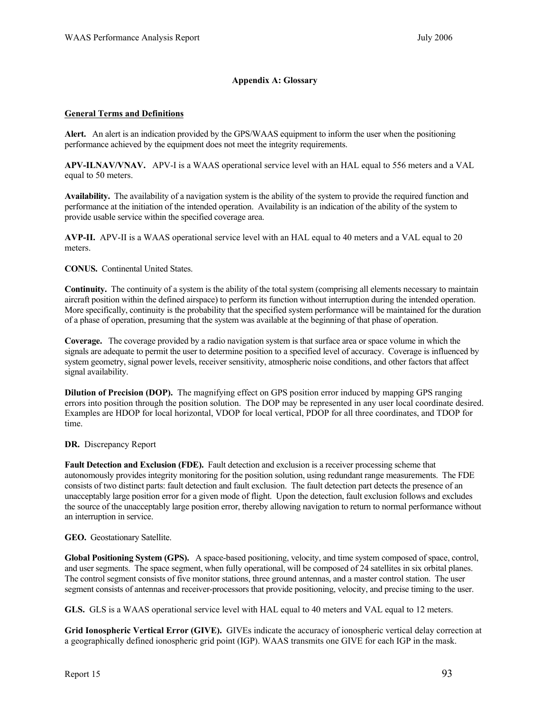### **Appendix A: Glossary**

#### **General Terms and Definitions**

**Alert.** An alert is an indication provided by the GPS/WAAS equipment to inform the user when the positioning performance achieved by the equipment does not meet the integrity requirements.

**APV-ILNAV/VNAV.** APV-I is a WAAS operational service level with an HAL equal to 556 meters and a VAL equal to 50 meters.

**Availability.** The availability of a navigation system is the ability of the system to provide the required function and performance at the initiation of the intended operation. Availability is an indication of the ability of the system to provide usable service within the specified coverage area.

**AVP-II.** APV-II is a WAAS operational service level with an HAL equal to 40 meters and a VAL equal to 20 meters.

**CONUS.** Continental United States.

**Continuity.** The continuity of a system is the ability of the total system (comprising all elements necessary to maintain aircraft position within the defined airspace) to perform its function without interruption during the intended operation. More specifically, continuity is the probability that the specified system performance will be maintained for the duration of a phase of operation, presuming that the system was available at the beginning of that phase of operation.

**Coverage.** The coverage provided by a radio navigation system is that surface area or space volume in which the signals are adequate to permit the user to determine position to a specified level of accuracy. Coverage is influenced by system geometry, signal power levels, receiver sensitivity, atmospheric noise conditions, and other factors that affect signal availability.

**Dilution of Precision (DOP).** The magnifying effect on GPS position error induced by mapping GPS ranging errors into position through the position solution. The DOP may be represented in any user local coordinate desired. Examples are HDOP for local horizontal, VDOP for local vertical, PDOP for all three coordinates, and TDOP for time.

#### **DR.** Discrepancy Report

**Fault Detection and Exclusion (FDE).** Fault detection and exclusion is a receiver processing scheme that autonomously provides integrity monitoring for the position solution, using redundant range measurements. The FDE consists of two distinct parts: fault detection and fault exclusion. The fault detection part detects the presence of an unacceptably large position error for a given mode of flight. Upon the detection, fault exclusion follows and excludes the source of the unacceptably large position error, thereby allowing navigation to return to normal performance without an interruption in service.

**GEO.** Geostationary Satellite.

**Global Positioning System (GPS).** A space-based positioning, velocity, and time system composed of space, control, and user segments. The space segment, when fully operational, will be composed of 24 satellites in six orbital planes. The control segment consists of five monitor stations, three ground antennas, and a master control station. The user segment consists of antennas and receiver-processors that provide positioning, velocity, and precise timing to the user.

**GLS.** GLS is a WAAS operational service level with HAL equal to 40 meters and VAL equal to 12 meters.

**Grid Ionospheric Vertical Error (GIVE).** GIVEs indicate the accuracy of ionospheric vertical delay correction at a geographically defined ionospheric grid point (IGP). WAAS transmits one GIVE for each IGP in the mask.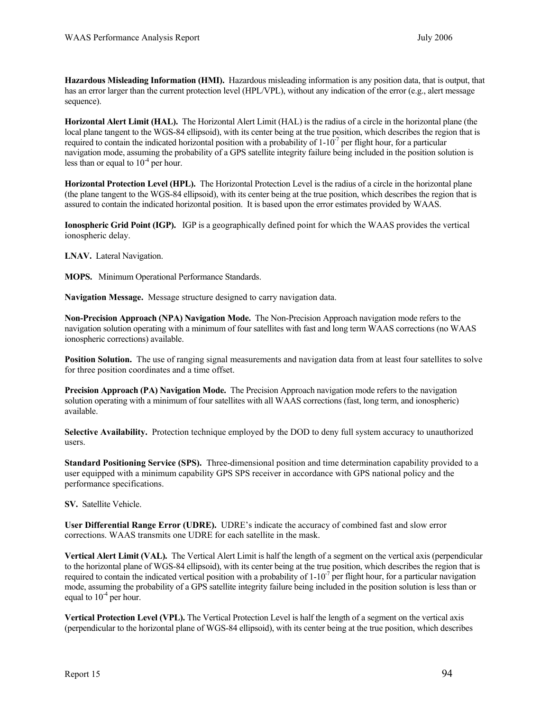**Hazardous Misleading Information (HMI).** Hazardous misleading information is any position data, that is output, that has an error larger than the current protection level (HPL/VPL), without any indication of the error (e.g., alert message sequence).

**Horizontal Alert Limit (HAL).** The Horizontal Alert Limit (HAL) is the radius of a circle in the horizontal plane (the local plane tangent to the WGS-84 ellipsoid), with its center being at the true position, which describes the region that is required to contain the indicated horizontal position with a probability of  $1-10^{-7}$  per flight hour, for a particular navigation mode, assuming the probability of a GPS satellite integrity failure being included in the position solution is less than or equal to  $10^{-4}$  per hour.

**Horizontal Protection Level (HPL).** The Horizontal Protection Level is the radius of a circle in the horizontal plane (the plane tangent to the WGS-84 ellipsoid), with its center being at the true position, which describes the region that is assured to contain the indicated horizontal position. It is based upon the error estimates provided by WAAS.

**Ionospheric Grid Point (IGP).** IGP is a geographically defined point for which the WAAS provides the vertical ionospheric delay.

**LNAV.** Lateral Navigation.

**MOPS.** Minimum Operational Performance Standards.

**Navigation Message.** Message structure designed to carry navigation data.

**Non-Precision Approach (NPA) Navigation Mode.** The Non-Precision Approach navigation mode refers to the navigation solution operating with a minimum of four satellites with fast and long term WAAS corrections (no WAAS ionospheric corrections) available.

**Position Solution.** The use of ranging signal measurements and navigation data from at least four satellites to solve for three position coordinates and a time offset.

**Precision Approach (PA) Navigation Mode.** The Precision Approach navigation mode refers to the navigation solution operating with a minimum of four satellites with all WAAS corrections (fast, long term, and ionospheric) available.

**Selective Availability.** Protection technique employed by the DOD to deny full system accuracy to unauthorized users.

**Standard Positioning Service (SPS).** Three-dimensional position and time determination capability provided to a user equipped with a minimum capability GPS SPS receiver in accordance with GPS national policy and the performance specifications.

**SV.** Satellite Vehicle.

**User Differential Range Error (UDRE).** UDRE's indicate the accuracy of combined fast and slow error corrections. WAAS transmits one UDRE for each satellite in the mask.

**Vertical Alert Limit (VAL).** The Vertical Alert Limit is half the length of a segment on the vertical axis (perpendicular to the horizontal plane of WGS-84 ellipsoid), with its center being at the true position, which describes the region that is required to contain the indicated vertical position with a probability of  $1\textrm{-}10^{-7}$  per flight hour, for a particular navigation mode, assuming the probability of a GPS satellite integrity failure being included in the position solution is less than or equal to  $10^{-4}$  per hour.

**Vertical Protection Level (VPL).** The Vertical Protection Level is half the length of a segment on the vertical axis (perpendicular to the horizontal plane of WGS-84 ellipsoid), with its center being at the true position, which describes